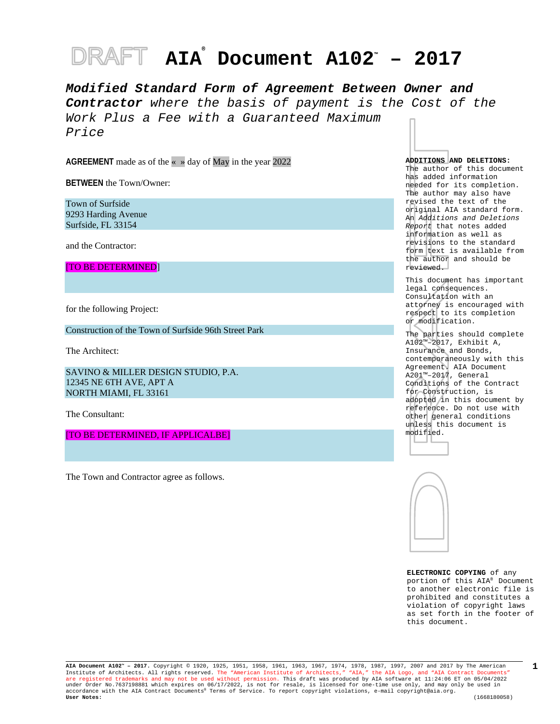# **AIA® Document A102™ – 2017**

*Modified Standard Form of Agreement Between Owner and Contractor where the basis of payment is the Cost of the Work Plus a Fee with a Guaranteed Maximum Price*

**AGREEMENT** made as of the « » day of May in the year 2022

**BETWEEN** the Town/Owner:

Town of Surfside 9293 Harding Avenue Surfside, FL 33154

and the Contractor:

[TO BE DETERMINED]

for the following Project:

Construction of the Town of Surfside 96th Street Park

The Architect:

SAVINO & MILLER DESIGN STUDIO, P.A. 12345 NE 6TH AVE, APT A NORTH MIAMI, FL 33161

The Consultant:

[TO BE DETERMINED, IF APPLICALBE]

The Town and Contractor agree as follows.

**ADDITIONS AND DELETIONS:** 

The author of this document has added information needed for its completion. The author may also have revised the text of the original AIA standard form. An *Additions and Deletions Report* that notes added information as well as revisions to the standard form text is available from the author and should be reviewed.

This document has important legal consequences. Consultation with an attorney is encouraged with respect to its completion or modification.

The parties should complete A102™–2017, Exhibit A, Insurance and Bonds, contemporaneously with this Agreement. AIA Document A201™–2017, General Conditions of the Contract for Construction, is adopted in this document by reference. Do not use with other general conditions unless this document is





**ELECTRONIC COPYING** of any portion of this AIA® Document to another electronic file is prohibited and constitutes a violation of copyright laws as set forth in the footer of this document.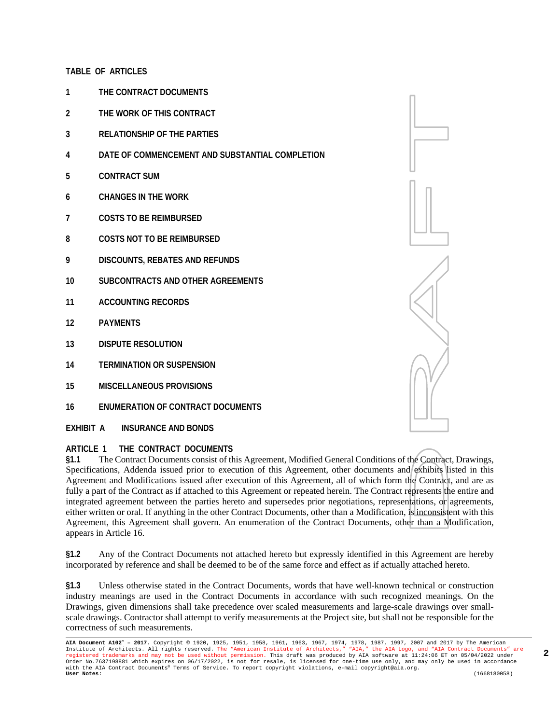#### **TABLE OF ARTICLES**

- **1 THE CONTRACT DOCUMENTS**
- **2 THE WORK OF THIS CONTRACT**
- **3 RELATIONSHIP OF THE PARTIES**
- **4 DATE OF COMMENCEMENT AND SUBSTANTIAL COMPLETION**
- **5 CONTRACT SUM**
- **6 CHANGES IN THE WORK**
- **7 COSTS TO BE REIMBURSED**
- **8 COSTS NOT TO BE REIMBURSED**
- **9 DISCOUNTS, REBATES AND REFUNDS**
- **10 SUBCONTRACTS AND OTHER AGREEMENTS**
- **11 ACCOUNTING RECORDS**
- **12 PAYMENTS**
- **13 DISPUTE RESOLUTION**
- **14 TERMINATION OR SUSPENSION**
- **15 MISCELLANEOUS PROVISIONS**
- **16 ENUMERATION OF CONTRACT DOCUMENTS**
- **EXHIBIT A INSURANCE AND BONDS**

#### **ARTICLE 1 THE CONTRACT DOCUMENTS**

**§1.1** The Contract Documents consist of this Agreement, Modified General Conditions of the Contract, Drawings, Specifications, Addenda issued prior to execution of this Agreement, other documents and exhibits listed in this Agreement and Modifications issued after execution of this Agreement, all of which form the Contract, and are as fully a part of the Contract as if attached to this Agreement or repeated herein. The Contract represents the entire and integrated agreement between the parties hereto and supersedes prior negotiations, representations, or agreements, either written or oral. If anything in the other Contract Documents, other than a Modification, is inconsistent with this Agreement, this Agreement shall govern. An enumeration of the Contract Documents, other than a Modification, appears in Article 16.

**§1.2** Any of the Contract Documents not attached hereto but expressly identified in this Agreement are hereby incorporated by reference and shall be deemed to be of the same force and effect as if actually attached hereto.

**§1.3** Unless otherwise stated in the Contract Documents, words that have well-known technical or construction industry meanings are used in the Contract Documents in accordance with such recognized meanings. On the Drawings, given dimensions shall take precedence over scaled measurements and large-scale drawings over smallscale drawings. Contractor shall attempt to verify measurements at the Project site, but shall not be responsible for the correctness of such measurements.

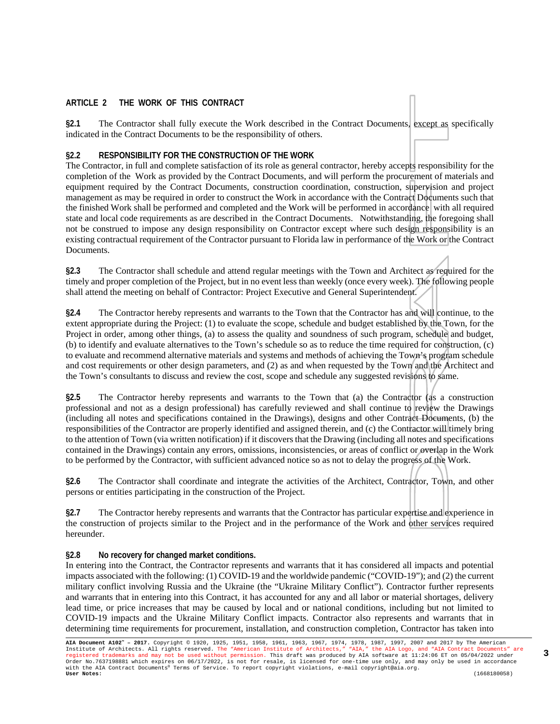#### **ARTICLE 2 THE WORK OF THIS CONTRACT**

**§2.1** The Contractor shall fully execute the Work described in the Contract Documents, except as specifically indicated in the Contract Documents to be the responsibility of others.

#### **§2.2 RESPONSIBILITY FOR THE CONSTRUCTION OF THE WORK**

The Contractor, in full and complete satisfaction of its role as general contractor, hereby accepts responsibility for the completion of the Work as provided by the Contract Documents, and will perform the procurement of materials and equipment required by the Contract Documents, construction coordination, construction, supervision and project management as may be required in order to construct the Work in accordance with the Contract Documents such that the finished Work shall be performed and completed and the Work will be performed in accordance with all required state and local code requirements as are described in the Contract Documents. Notwithstanding, the foregoing shall not be construed to impose any design responsibility on Contractor except where such design responsibility is an existing contractual requirement of the Contractor pursuant to Florida law in performance of the Work or the Contract Documents.

**§2.3** The Contractor shall schedule and attend regular meetings with the Town and Architect as required for the timely and proper completion of the Project, but in no event less than weekly (once every week). The following people shall attend the meeting on behalf of Contractor: Project Executive and General Superintendent.

**§2.4** The Contractor hereby represents and warrants to the Town that the Contractor has and will continue, to the extent appropriate during the Project: (1) to evaluate the scope, schedule and budget established by the Town, for the Project in order, among other things, (a) to assess the quality and soundness of such program, schedule and budget, (b) to identify and evaluate alternatives to the Town's schedule so as to reduce the time required for construction, (c) to evaluate and recommend alternative materials and systems and methods of achieving the Town's program schedule and cost requirements or other design parameters, and (2) as and when requested by the Town and the Architect and the Town's consultants to discuss and review the cost, scope and schedule any suggested revisions to same.

**§2.5** The Contractor hereby represents and warrants to the Town that (a) the Contractor (as a construction professional and not as a design professional) has carefully reviewed and shall continue to review the Drawings (including all notes and specifications contained in the Drawings), designs and other Contract Documents, (b) the responsibilities of the Contractor are properly identified and assigned therein, and (c) the Contractor will timely bring to the attention of Town (via written notification) if it discovers that the Drawing (including all notes and specifications contained in the Drawings) contain any errors, omissions, inconsistencies, or areas of conflict or overlap in the Work to be performed by the Contractor, with sufficient advanced notice so as not to delay the progress of the Work.

**§2.6** The Contractor shall coordinate and integrate the activities of the Architect, Contractor, Town, and other persons or entities participating in the construction of the Project.

**§2.7** The Contractor hereby represents and warrants that the Contractor has particular expertise and experience in the construction of projects similar to the Project and in the performance of the Work and other services required hereunder.

#### **§2.8 No recovery for changed market conditions.**

In entering into the Contract, the Contractor represents and warrants that it has considered all impacts and potential impacts associated with the following: (1) COVID-19 and the worldwide pandemic ("COVID-19"); and (2) the current military conflict involving Russia and the Ukraine (the "Ukraine Military Conflict"). Contractor further represents and warrants that in entering into this Contract, it has accounted for any and all labor or material shortages, delivery lead time, or price increases that may be caused by local and or national conditions, including but not limited to COVID-19 impacts and the Ukraine Military Conflict impacts. Contractor also represents and warrants that in determining time requirements for procurement, installation, and construction completion, Contractor has taken into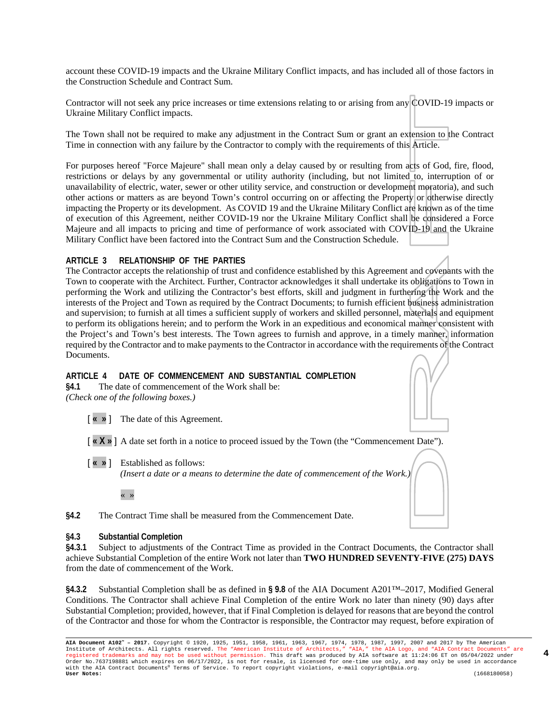account these COVID-19 impacts and the Ukraine Military Conflict impacts, and has included all of those factors in the Construction Schedule and Contract Sum.

Contractor will not seek any price increases or time extensions relating to or arising from any COVID-19 impacts or Ukraine Military Conflict impacts.

The Town shall not be required to make any adjustment in the Contract Sum or grant an extension to the Contract Time in connection with any failure by the Contractor to comply with the requirements of this Article.

For purposes hereof "Force Majeure" shall mean only a delay caused by or resulting from acts of God, fire, flood, restrictions or delays by any governmental or utility authority (including, but not limited to, interruption of or unavailability of electric, water, sewer or other utility service, and construction or development moratoria), and such other actions or matters as are beyond Town's control occurring on or affecting the Property or otherwise directly impacting the Property or its development. As COVID 19 and the Ukraine Military Conflict are known as of the time of execution of this Agreement, neither COVID-19 nor the Ukraine Military Conflict shall be considered a Force Majeure and all impacts to pricing and time of performance of work associated with COVID-19 and the Ukraine Military Conflict have been factored into the Contract Sum and the Construction Schedule.

#### **ARTICLE 3 RELATIONSHIP OF THE PARTIES**

The Contractor accepts the relationship of trust and confidence established by this Agreement and covenants with the Town to cooperate with the Architect. Further, Contractor acknowledges it shall undertake its obligations to Town in performing the Work and utilizing the Contractor's best efforts, skill and judgment in furthering the Work and the interests of the Project and Town as required by the Contract Documents; to furnish efficient business administration and supervision; to furnish at all times a sufficient supply of workers and skilled personnel, materials and equipment to perform its obligations herein; and to perform the Work in an expeditious and economical manner consistent with the Project's and Town's best interests. The Town agrees to furnish and approve, in a timely manner, information required by the Contractor and to make payments to the Contractor in accordance with the requirements of the Contract Documents.

#### **ARTICLE 4 DATE OF COMMENCEMENT AND SUBSTANTIAL COMPLETION**

**§4.1** The date of commencement of the Work shall be: *(Check one of the following boxes.)*

- [ **« »** ] The date of this Agreement.
- [ **« X »** ] A date set forth in a notice to proceed issued by the Town (the "Commencement Date").
- [ **« »** ] Established as follows: *(Insert a date or a means to determine the date of commencement of the Work.)*

**§4.2** The Contract Time shall be measured from the Commencement Date.

#### **§4.3 Substantial Completion**

**§4.3.1** Subject to adjustments of the Contract Time as provided in the Contract Documents, the Contractor shall achieve Substantial Completion of the entire Work not later than **TWO HUNDRED SEVENTY-FIVE (275) DAYS** from the date of commencement of the Work.

**§4.3.2** Substantial Completion shall be as defined in **§ 9.8** of the AIA Document A201™–2017, Modified General Conditions. The Contractor shall achieve Final Completion of the entire Work no later than ninety (90) days after Substantial Completion; provided, however, that if Final Completion is delayed for reasons that are beyond the control of the Contractor and those for whom the Contractor is responsible, the Contractor may request, before expiration of

<sup>« »</sup>

**AIA Document A102™ – 2017.** Copyright © 1920, 1925, 1951, 1958, 1961, 1963, 1967, 1974, 1978, 1987, 1997, 2007 and 2017 by The American Institute of Architects. All rights reserved. The "American Institute of Architects," "AIA," the AIA Logo, and "AIA Contract Documents" are<br>registered trademarks and may not be used without permission. This draft was produ with the AIA Contract Documents® Terms of Service. To report copyright violations, e-mail copyright@aia.org. **User Notes:** (1668180058)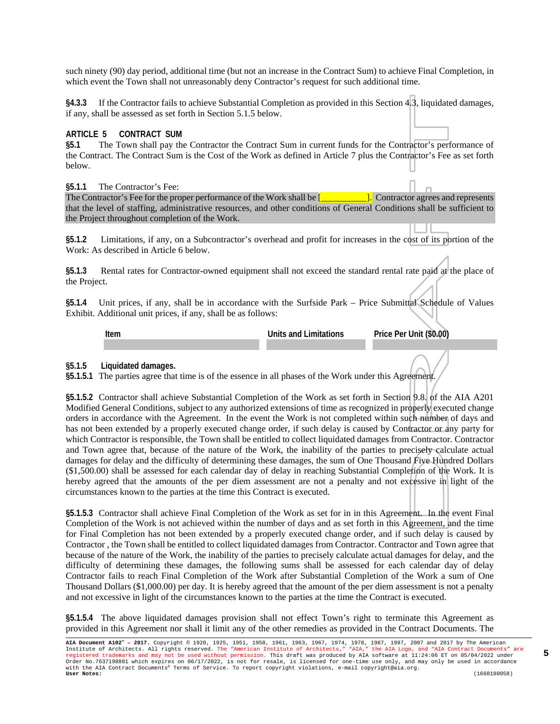such ninety (90) day period, additional time (but not an increase in the Contract Sum) to achieve Final Completion, in which event the Town shall not unreasonably deny Contractor's request for such additional time.

**§4.3.3** If the Contractor fails to achieve Substantial Completion as provided in this Section 4.3, liquidated damages, if any, shall be assessed as set forth in Section 5.1.5 below.

#### **ARTICLE 5 CONTRACT SUM**

**§5.1** The Town shall pay the Contractor the Contract Sum in current funds for the Contractor's performance of the Contract. The Contract Sum is the Cost of the Work as defined in Article 7 plus the Contractor's Fee as set forth below.

#### **§5.1.1** The Contractor's Fee:

The Contractor's Fee for the proper performance of the Work shall be [**wire contractor** agrees and represents that the level of staffing, administrative resources, and other conditions of General Conditions shall be sufficient to the Project throughout completion of the Work.

**§5.1.2** Limitations, if any, on a Subcontractor's overhead and profit for increases in the cost of its portion of the Work: As described in Article 6 below.

§5.1.3 Rental rates for Contractor-owned equipment shall not exceed the standard rental rate paid at the place of the Project.

**§5.1.4** Unit prices, if any, shall be in accordance with the Surfside Park – Price Submittal Schedule of Values Exhibit. Additional unit prices, if any, shall be as follows:

**Item Units and Limitations Price Per Unit (\$0.00)**

**5**

**§5.1.5 Liquidated damages.**

**§5.1.5.1** The parties agree that time is of the essence in all phases of the Work under this Agreement.

**§5.1.5.2** Contractor shall achieve Substantial Completion of the Work as set forth in Section 9.8. of the AIA A201 Modified General Conditions, subject to any authorized extensions of time as recognized in properly executed change orders in accordance with the Agreement. In the event the Work is not completed within such number of days and has not been extended by a properly executed change order, if such delay is caused by Contractor or any party for which Contractor is responsible, the Town shall be entitled to collect liquidated damages from Contractor. Contractor and Town agree that, because of the nature of the Work, the inability of the parties to precisely calculate actual damages for delay and the difficulty of determining these damages, the sum of One Thousand Five Hundred Dollars (\$1,500.00) shall be assessed for each calendar day of delay in reaching Substantial Completion of the Work. It is hereby agreed that the amounts of the per diem assessment are not a penalty and not excessive in light of the circumstances known to the parties at the time this Contract is executed.

**§5.1.5.3** Contractor shall achieve Final Completion of the Work as set for in in this Agreement. In the event Final Completion of the Work is not achieved within the number of days and as set forth in this Agreement, and the time for Final Completion has not been extended by a properly executed change order, and if such delay is caused by Contractor , the Town shall be entitled to collect liquidated damages from Contractor. Contractor and Town agree that because of the nature of the Work, the inability of the parties to precisely calculate actual damages for delay, and the difficulty of determining these damages, the following sums shall be assessed for each calendar day of delay Contractor fails to reach Final Completion of the Work after Substantial Completion of the Work a sum of One Thousand Dollars (\$1,000.00) per day. It is hereby agreed that the amount of the per diem assessment is not a penalty and not excessive in light of the circumstances known to the parties at the time the Contract is executed.

**§5.1.5.4** The above liquidated damages provision shall not effect Town's right to terminate this Agreement as provided in this Agreement nor shall it limit any of the other remedies as provided in the Contract Documents. The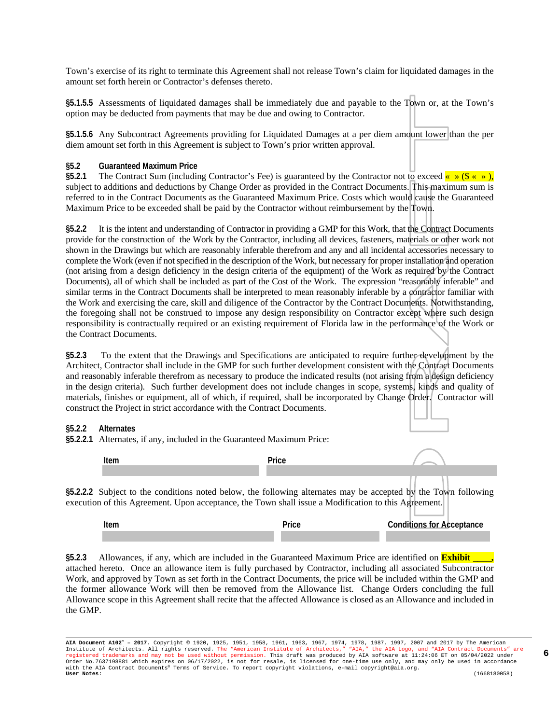Town's exercise of its right to terminate this Agreement shall not release Town's claim for liquidated damages in the amount set forth herein or Contractor's defenses thereto.

**§5.1.5.5** Assessments of liquidated damages shall be immediately due and payable to the Town or, at the Town's option may be deducted from payments that may be due and owing to Contractor.

**§5.1.5.6** Any Subcontract Agreements providing for Liquidated Damages at a per diem amount lower than the per diem amount set forth in this Agreement is subject to Town's prior written approval.

#### **§5.2 Guaranteed Maximum Price**

**§5.2.1** The Contract Sum (including Contractor's Fee) is guaranteed by the Contractor not to exceed  $\frac{8}{x} \times \frac{8}{x} \times x$ , subject to additions and deductions by Change Order as provided in the Contract Documents. This maximum sum is referred to in the Contract Documents as the Guaranteed Maximum Price. Costs which would cause the Guaranteed Maximum Price to be exceeded shall be paid by the Contractor without reimbursement by the Town.

**§5.2.2** It is the intent and understanding of Contractor in providing a GMP for this Work, that the Contract Documents provide for the construction of the Work by the Contractor, including all devices, fasteners, materials or other work not shown in the Drawings but which are reasonably inferable therefrom and any and all incidental accessories necessary to complete the Work (even if not specified in the description of the Work, but necessary for proper installation and operation (not arising from a design deficiency in the design criteria of the equipment) of the Work as required by the Contract Documents), all of which shall be included as part of the Cost of the Work. The expression "reasonably inferable" and similar terms in the Contract Documents shall be interpreted to mean reasonably inferable by a contractor familiar with the Work and exercising the care, skill and diligence of the Contractor by the Contract Documents. Notwithstanding, the foregoing shall not be construed to impose any design responsibility on Contractor except where such design responsibility is contractually required or an existing requirement of Florida law in the performance of the Work or the Contract Documents.

**§5.2.3** To the extent that the Drawings and Specifications are anticipated to require further development by the Architect, Contractor shall include in the GMP for such further development consistent with the Contract Documents and reasonably inferable therefrom as necessary to produce the indicated results (not arising from a design deficiency in the design criteria). Such further development does not include changes in scope, systems, kinds and quality of materials, finishes or equipment, all of which, if required, shall be incorporated by Change Order. Contractor will construct the Project in strict accordance with the Contract Documents.

#### **§5.2.2 Alternates**

**§5.2.2.1** Alternates, if any, included in the Guaranteed Maximum Price:

| Item | $\sim$ $-$<br>. ان د |  |
|------|----------------------|--|
|      |                      |  |
|      |                      |  |

**§5.2.2.2** Subject to the conditions noted below, the following alternates may be accepted by the Town following execution of this Agreement. Upon acceptance, the Town shall issue a Modification to this Agreement.

| Item | Price | <b>Conditions for Acceptance</b> |  |
|------|-------|----------------------------------|--|
|      |       |                                  |  |

§5.2.3 Allowances, if any, which are included in the Guaranteed Maximum Price are identified on **Exhibit** attached hereto. Once an allowance item is fully purchased by Contractor, including all associated Subcontractor Work, and approved by Town as set forth in the Contract Documents, the price will be included within the GMP and the former allowance Work will then be removed from the Allowance list. Change Orders concluding the full Allowance scope in this Agreement shall recite that the affected Allowance is closed as an Allowance and included in the GMP.

**AIA Document A102™ – 2017.** Copyright © 1920, 1925, 1951, 1958, 1961, 1963, 1967, 1974, 1978, 1987, 1997, 2007 and 2017 by The American Institute of Architects. All rights reserved. The "American Institute of Architects," "AIA," the AIA Logo, and "AIA Contract Documents" are<br>registered trademarks and may not be used without permission. This draft was produ with the AIA Contract Documents® Terms of Service. To report copyright violations, e-mail copyright@aia.org. **User Notes:** (1668180058)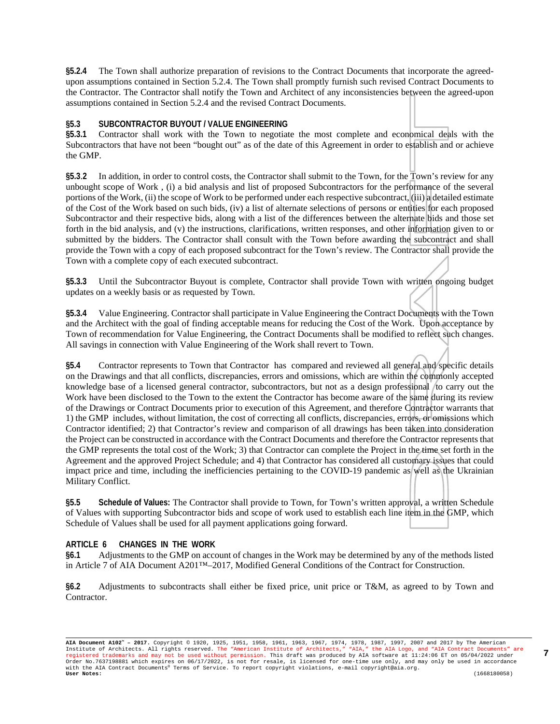**§5.2.4** The Town shall authorize preparation of revisions to the Contract Documents that incorporate the agreedupon assumptions contained in Section 5.2.4. The Town shall promptly furnish such revised Contract Documents to the Contractor. The Contractor shall notify the Town and Architect of any inconsistencies between the agreed-upon assumptions contained in Section 5.2.4 and the revised Contract Documents.

#### **§5.3 SUBCONTRACTOR BUYOUT / VALUE ENGINEERING**

**§5.3.1** Contractor shall work with the Town to negotiate the most complete and economical deals with the Subcontractors that have not been "bought out" as of the date of this Agreement in order to establish and or achieve the GMP.

**§5.3**.**2** In addition, in order to control costs, the Contractor shall submit to the Town, for the Town's review for any unbought scope of Work , (i) a bid analysis and list of proposed Subcontractors for the performance of the several portions of the Work, (ii) the scope of Work to be performed under each respective subcontract, (iii) a detailed estimate of the Cost of the Work based on such bids, (iv) a list of alternate selections of persons or entities for each proposed Subcontractor and their respective bids, along with a list of the differences between the alternate bids and those set forth in the bid analysis, and (v) the instructions, clarifications, written responses, and other information given to or submitted by the bidders. The Contractor shall consult with the Town before awarding the subcontract and shall provide the Town with a copy of each proposed subcontract for the Town's review. The Contractor shall provide the Town with a complete copy of each executed subcontract.

**§5.3.3** Until the Subcontractor Buyout is complete, Contractor shall provide Town with written ongoing budget updates on a weekly basis or as requested by Town.

**§5.3.4** Value Engineering. Contractor shall participate in Value Engineering the Contract Documents with the Town and the Architect with the goal of finding acceptable means for reducing the Cost of the Work. Upon acceptance by Town of recommendation for Value Engineering, the Contract Documents shall be modified to reflect such changes. All savings in connection with Value Engineering of the Work shall revert to Town.

**§5.4** Contractor represents to Town that Contractor has compared and reviewed all general and specific details on the Drawings and that all conflicts, discrepancies, errors and omissions, which are within the commonly accepted knowledge base of a licensed general contractor, subcontractors, but not as a design professional /to carry out the Work have been disclosed to the Town to the extent the Contractor has become aware of the same during its review of the Drawings or Contract Documents prior to execution of this Agreement, and therefore Contractor warrants that 1) the GMP includes, without limitation, the cost of correcting all conflicts, discrepancies, errors, or omissions which Contractor identified; 2) that Contractor's review and comparison of all drawings has been taken into consideration the Project can be constructed in accordance with the Contract Documents and therefore the Contractor represents that the GMP represents the total cost of the Work; 3) that Contractor can complete the Project in the time set forth in the Agreement and the approved Project Schedule; and 4) that Contractor has considered all customary issues that could impact price and time, including the inefficiencies pertaining to the COVID-19 pandemic as well as the Ukrainian Military Conflict.

**§5.5 Schedule of Values:** The Contractor shall provide to Town, for Town's written approval, a written Schedule of Values with supporting Subcontractor bids and scope of work used to establish each line item in the GMP, which Schedule of Values shall be used for all payment applications going forward.

#### **ARTICLE 6 CHANGES IN THE WORK**

**§6.1** Adjustments to the GMP on account of changes in the Work may be determined by any of the methods listed in Article 7 of AIA Document A201™–2017, Modified General Conditions of the Contract for Construction.

**§6.2** Adjustments to subcontracts shall either be fixed price, unit price or T&M, as agreed to by Town and Contractor.

**AIA Document A102™ – 2017.** Copyright © 1920, 1925, 1951, 1958, 1961, 1963, 1967, 1974, 1978, 1987, 1997, 2007 and 2017 by The American Institute of Architects. All rights reserved. The "American Institute of Architects," "AIA," the AIA Logo, and "AIA Contract Documents" are<br>registered trademarks and may not be used without permission. This draft was produ with the AIA Contract Documents® Terms of Service. To report copyright violations, e-mail copyright@aia.org. **User Notes:** (1668180058)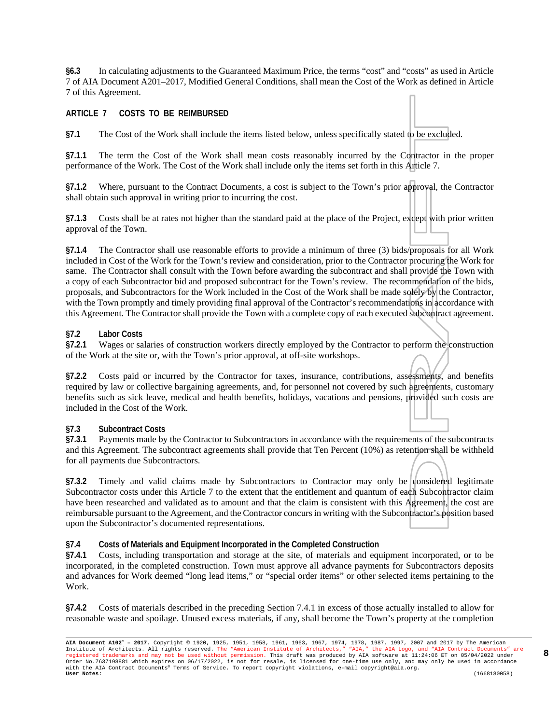**§6.3** In calculating adjustments to the Guaranteed Maximum Price, the terms "cost" and "costs" as used in Article 7 of AIA Document A201–2017, Modified General Conditions, shall mean the Cost of the Work as defined in Article 7 of this Agreement.

#### **ARTICLE 7 COSTS TO BE REIMBURSED**

**§7.1** The Cost of the Work shall include the items listed below, unless specifically stated to be excluded.

**§7.1.1** The term the Cost of the Work shall mean costs reasonably incurred by the Contractor in the proper performance of the Work. The Cost of the Work shall include only the items set forth in this Article 7.

**§7.1.2** Where, pursuant to the Contract Documents, a cost is subject to the Town's prior approval, the Contractor shall obtain such approval in writing prior to incurring the cost.

**§7.1.3** Costs shall be at rates not higher than the standard paid at the place of the Project, except with prior written approval of the Town.

**§7.1.4** The Contractor shall use reasonable efforts to provide a minimum of three (3) bids/proposals for all Work included in Cost of the Work for the Town's review and consideration, prior to the Contractor procuring the Work for same. The Contractor shall consult with the Town before awarding the subcontract and shall provide the Town with a copy of each Subcontractor bid and proposed subcontract for the Town's review. The recommendation of the bids, proposals, and Subcontractors for the Work included in the Cost of the Work shall be made solely by the Contractor, with the Town promptly and timely providing final approval of the Contractor's recommendations in accordance with this Agreement. The Contractor shall provide the Town with a complete copy of each executed subcontract agreement.

#### **§7.2 Labor Costs**

**§7.2.1** Wages or salaries of construction workers directly employed by the Contractor to perform the construction of the Work at the site or, with the Town's prior approval, at off-site workshops.

**§7.2.2** Costs paid or incurred by the Contractor for taxes, insurance, contributions, assessments, and benefits required by law or collective bargaining agreements, and, for personnel not covered by such agreements, customary benefits such as sick leave, medical and health benefits, holidays, vacations and pensions, provided such costs are included in the Cost of the Work.

#### **§7.3 Subcontract Costs**

**§7.3.1** Payments made by the Contractor to Subcontractors in accordance with the requirements of the subcontracts and this Agreement. The subcontract agreements shall provide that Ten Percent (10%) as retention shall be withheld for all payments due Subcontractors.

§7.3.2 Timely and valid claims made by Subcontractors to Contractor may only be considered legitimate Subcontractor costs under this Article 7 to the extent that the entitlement and quantum of each Subcontractor claim have been researched and validated as to amount and that the claim is consistent with this Agreement, the cost are reimbursable pursuant to the Agreement, and the Contractor concurs in writing with the Subcontractor's position based upon the Subcontractor's documented representations.

**§7.4 Costs of Materials and Equipment Incorporated in the Completed Construction**

**§7.4.1** Costs, including transportation and storage at the site, of materials and equipment incorporated, or to be incorporated, in the completed construction. Town must approve all advance payments for Subcontractors deposits and advances for Work deemed "long lead items," or "special order items" or other selected items pertaining to the Work.

**§7.4.2** Costs of materials described in the preceding Section 7.4.1 in excess of those actually installed to allow for reasonable waste and spoilage. Unused excess materials, if any, shall become the Town's property at the completion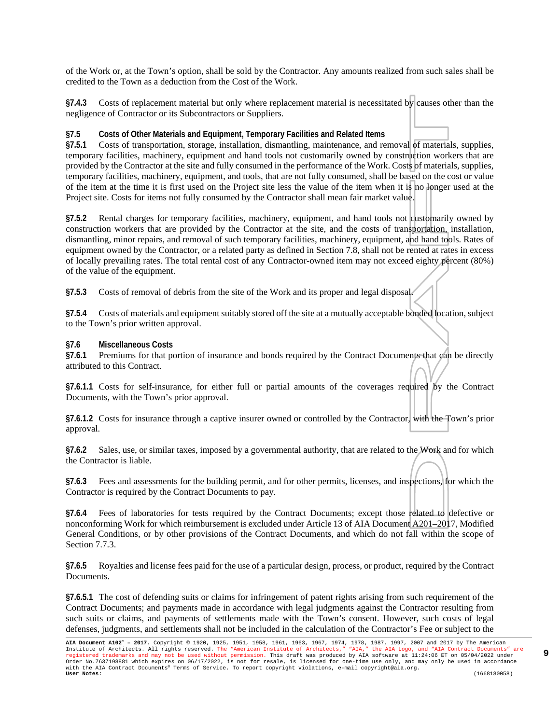of the Work or, at the Town's option, shall be sold by the Contractor. Any amounts realized from such sales shall be credited to the Town as a deduction from the Cost of the Work.

**§7.4.3** Costs of replacement material but only where replacement material is necessitated by causes other than the negligence of Contractor or its Subcontractors or Suppliers.

#### **§7.5 Costs of Other Materials and Equipment, Temporary Facilities and Related Items**

**§7.5.1** Costs of transportation, storage, installation, dismantling, maintenance, and removal of materials, supplies, temporary facilities, machinery, equipment and hand tools not customarily owned by construction workers that are provided by the Contractor at the site and fully consumed in the performance of the Work. Costs of materials, supplies, temporary facilities, machinery, equipment, and tools, that are not fully consumed, shall be based on the cost or value of the item at the time it is first used on the Project site less the value of the item when it is no longer used at the Project site. Costs for items not fully consumed by the Contractor shall mean fair market value.

**§7.5.2** Rental charges for temporary facilities, machinery, equipment, and hand tools not customarily owned by construction workers that are provided by the Contractor at the site, and the costs of transportation, installation, dismantling, minor repairs, and removal of such temporary facilities, machinery, equipment, and hand tools. Rates of equipment owned by the Contractor, or a related party as defined in Section 7.8, shall not be rented at rates in excess of locally prevailing rates. The total rental cost of any Contractor-owned item may not exceed eighty percent (80%) of the value of the equipment.

**§7.5.3** Costs of removal of debris from the site of the Work and its proper and legal disposal.

**§7.5.4** Costs of materials and equipment suitably stored off the site at a mutually acceptable bonded location, subject to the Town's prior written approval.

#### **§7.6 Miscellaneous Costs**

**§7.6.1** Premiums for that portion of insurance and bonds required by the Contract Documents that can be directly attributed to this Contract.

§7.6.1.1 Costs for self-insurance, for either full or partial amounts of the coverages required by the Contract Documents, with the Town's prior approval.

**§7.6.1.2** Costs for insurance through a captive insurer owned or controlled by the Contractor, with the Town's prior approval.

**§7.6.2** Sales, use, or similar taxes, imposed by a governmental authority, that are related to the Work and for which the Contractor is liable.

**§7.6.3** Fees and assessments for the building permit, and for other permits, licenses, and inspections, for which the Contractor is required by the Contract Documents to pay.

**§7.6.4** Fees of laboratories for tests required by the Contract Documents; except those related to defective or nonconforming Work for which reimbursement is excluded under Article 13 of AIA Document A201–2017, Modified General Conditions, or by other provisions of the Contract Documents, and which do not fall within the scope of Section 7.7.3.

**§7.6.5** Royalties and license fees paid for the use of a particular design, process, or product, required by the Contract Documents.

**§7.6.5.1** The cost of defending suits or claims for infringement of patent rights arising from such requirement of the Contract Documents; and payments made in accordance with legal judgments against the Contractor resulting from such suits or claims, and payments of settlements made with the Town's consent. However, such costs of legal defenses, judgments, and settlements shall not be included in the calculation of the Contractor's Fee or subject to the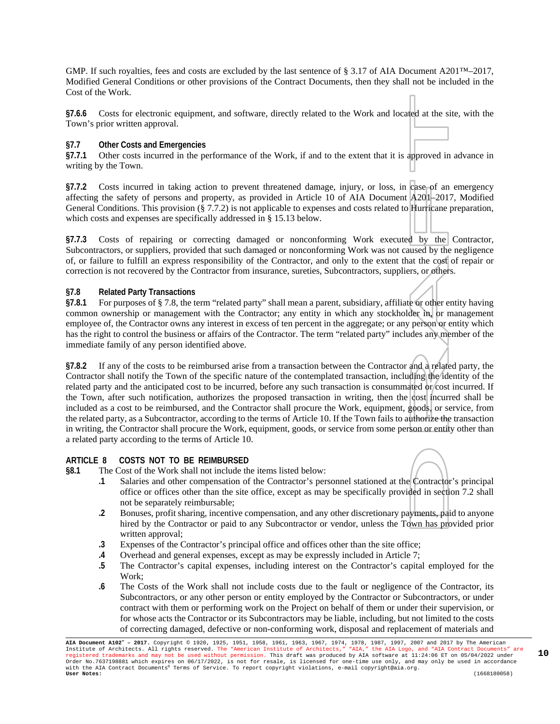GMP. If such royalties, fees and costs are excluded by the last sentence of § 3.17 of AIA Document A201™–2017, Modified General Conditions or other provisions of the Contract Documents, then they shall not be included in the Cost of the Work.

**§7.6.6** Costs for electronic equipment, and software, directly related to the Work and located at the site, with the Town's prior written approval.

#### **§7.7 Other Costs and Emergencies**

**§7.7.1** Other costs incurred in the performance of the Work, if and to the extent that it is approved in advance in writing by the Town.

**§7.7.2** Costs incurred in taking action to prevent threatened damage, injury, or loss, in case of an emergency affecting the safety of persons and property, as provided in Article 10 of AIA Document A201–2017, Modified General Conditions. This provision (§ 7.7.2) is not applicable to expenses and costs related to Hurricane preparation, which costs and expenses are specifically addressed in § 15.13 below.

§7.7.3 Costs of repairing or correcting damaged or nonconforming Work executed by the Contractor, Subcontractors, or suppliers, provided that such damaged or nonconforming Work was not caused by the negligence of, or failure to fulfill an express responsibility of the Contractor, and only to the extent that the cost of repair or correction is not recovered by the Contractor from insurance, sureties, Subcontractors, suppliers, or others.

#### **§7.8 Related Party Transactions**

**§7.8.1** For purposes of § 7.8, the term "related party" shall mean a parent, subsidiary, affiliate or other entity having common ownership or management with the Contractor; any entity in which any stockholder in, or management employee of, the Contractor owns any interest in excess of ten percent in the aggregate; or any person or entity which has the right to control the business or affairs of the Contractor. The term "related party" includes any member of the immediate family of any person identified above.

**§7.8.2** If any of the costs to be reimbursed arise from a transaction between the Contractor and a related party, the Contractor shall notify the Town of the specific nature of the contemplated transaction, including the identity of the related party and the anticipated cost to be incurred, before any such transaction is consummated or cost incurred. If the Town, after such notification, authorizes the proposed transaction in writing, then the cost incurred shall be included as a cost to be reimbursed, and the Contractor shall procure the Work, equipment, goods, or service, from the related party, as a Subcontractor, according to the terms of Article 10. If the Town fails to authorize the transaction in writing, the Contractor shall procure the Work, equipment, goods, or service from some person or entity other than a related party according to the terms of Article 10.

#### **ARTICLE 8 COSTS NOT TO BE REIMBURSED**

**§8.1** The Cost of the Work shall not include the items listed below:

- **.1** Salaries and other compensation of the Contractor's personnel stationed at the Contractor's principal office or offices other than the site office, except as may be specifically provided in section 7.2 shall not be separately reimbursable;
- **.2** Bonuses, profit sharing, incentive compensation, and any other discretionary payments, paid to anyone hired by the Contractor or paid to any Subcontractor or vendor, unless the Town has provided prior written approval;
- **.3** Expenses of the Contractor's principal office and offices other than the site office;
- **.4** Overhead and general expenses, except as may be expressly included in Article 7;
- **.5** The Contractor's capital expenses, including interest on the Contractor's capital employed for the Work;
- **.6** The Costs of the Work shall not include costs due to the fault or negligence of the Contractor, its Subcontractors, or any other person or entity employed by the Contractor or Subcontractors, or under contract with them or performing work on the Project on behalf of them or under their supervision, or for whose acts the Contractor or its Subcontractors may be liable, including, but not limited to the costs of correcting damaged, defective or non-conforming work, disposal and replacement of materials and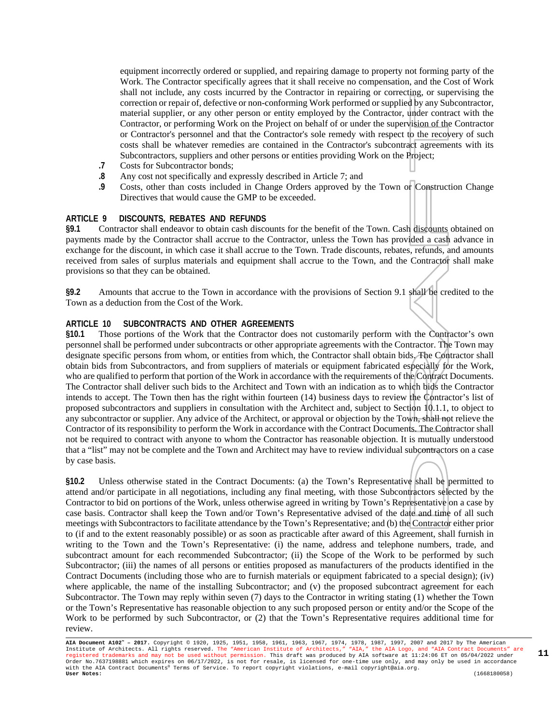equipment incorrectly ordered or supplied, and repairing damage to property not forming party of the Work. The Contractor specifically agrees that it shall receive no compensation, and the Cost of Work shall not include, any costs incurred by the Contractor in repairing or correcting, or supervising the correction or repair of, defective or non-conforming Work performed or supplied by any Subcontractor, material supplier, or any other person or entity employed by the Contractor, under contract with the Contractor, or performing Work on the Project on behalf of or under the supervision of the Contractor or Contractor's personnel and that the Contractor's sole remedy with respect to the recovery of such costs shall be whatever remedies are contained in the Contractor's subcontract agreements with its Subcontractors, suppliers and other persons or entities providing Work on the Project;

- **.7** Costs for Subcontractor bonds;
- **.8** Any cost not specifically and expressly described in Article 7; and
- **.9** Costs, other than costs included in Change Orders approved by the Town or Construction Change Directives that would cause the GMP to be exceeded.

#### **ARTICLE 9 DISCOUNTS, REBATES AND REFUNDS**

**§9.1** Contractor shall endeavor to obtain cash discounts for the benefit of the Town. Cash discounts obtained on payments made by the Contractor shall accrue to the Contractor, unless the Town has provided a cash advance in exchange for the discount, in which case it shall accrue to the Town. Trade discounts, rebates, refunds, and amounts received from sales of surplus materials and equipment shall accrue to the Town, and the Contractor shall make provisions so that they can be obtained.

**§9.2** Amounts that accrue to the Town in accordance with the provisions of Section 9.1 shall be credited to the Town as a deduction from the Cost of the Work.

#### **ARTICLE 10 SUBCONTRACTS AND OTHER AGREEMENTS**

**§10.1** Those portions of the Work that the Contractor does not customarily perform with the Contractor's own personnel shall be performed under subcontracts or other appropriate agreements with the Contractor. The Town may designate specific persons from whom, or entities from which, the Contractor shall obtain bids. The Contractor shall obtain bids from Subcontractors, and from suppliers of materials or equipment fabricated especially for the Work, who are qualified to perform that portion of the Work in accordance with the requirements of the Contract Documents. The Contractor shall deliver such bids to the Architect and Town with an indication as to which bids the Contractor intends to accept. The Town then has the right within fourteen (14) business days to review the Contractor's list of proposed subcontractors and suppliers in consultation with the Architect and, subject to Section 10.1.1, to object to any subcontractor or supplier. Any advice of the Architect, or approval or objection by the Town, shall not relieve the Contractor of its responsibility to perform the Work in accordance with the Contract Documents. The Contractor shall not be required to contract with anyone to whom the Contractor has reasonable objection. It is mutually understood that a "list" may not be complete and the Town and Architect may have to review individual subcontractors on a case by case basis.

**§10.2** Unless otherwise stated in the Contract Documents: (a) the Town's Representative shall be permitted to attend and/or participate in all negotiations, including any final meeting, with those Subcontractors selected by the Contractor to bid on portions of the Work, unless otherwise agreed in writing by Town's Representative on a case by case basis. Contractor shall keep the Town and/or Town's Representative advised of the date and time of all such meetings with Subcontractors to facilitate attendance by the Town's Representative; and (b) the Contractor either prior to (if and to the extent reasonably possible) or as soon as practicable after award of this Agreement, shall furnish in writing to the Town and the Town's Representative: (i) the name, address and telephone numbers, trade, and subcontract amount for each recommended Subcontractor; (ii) the Scope of the Work to be performed by such Subcontractor; (iii) the names of all persons or entities proposed as manufacturers of the products identified in the Contract Documents (including those who are to furnish materials or equipment fabricated to a special design); (iv) where applicable, the name of the installing Subcontractor; and (v) the proposed subcontract agreement for each Subcontractor. The Town may reply within seven (7) days to the Contractor in writing stating (1) whether the Town or the Town's Representative has reasonable objection to any such proposed person or entity and/or the Scope of the Work to be performed by such Subcontractor, or (2) that the Town's Representative requires additional time for review.

**AIA Document A102™ – 2017.** Copyright © 1920, 1925, 1951, 1958, 1961, 1963, 1967, 1974, 1978, 1987, 1997, 2007 and 2017 by The American Institute of Architects. All rights reserved. The "American Institute of Architects," "AIA," the AIA Logo, and "AIA Contract Documents" are<br>registered trademarks and may not be used without permission. This draft was produ with the AIA Contract Documents® Terms of Service. To report copyright violations, e-mail copyright@aia.org. **User Notes:** (1668180058)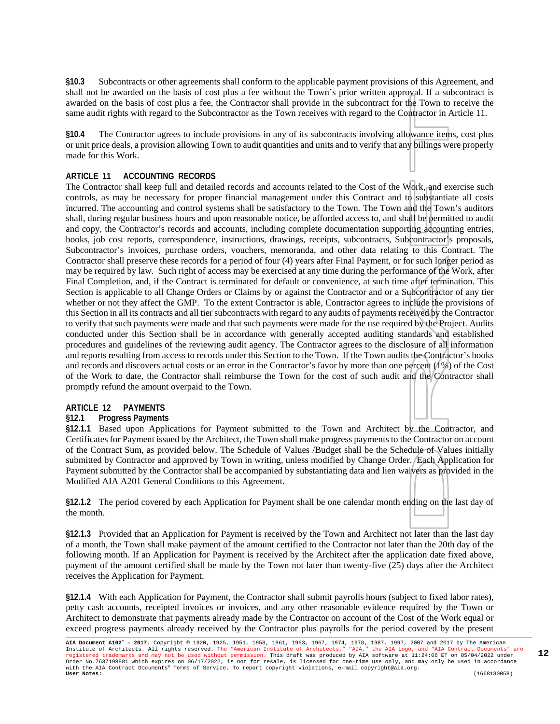**§10.3** Subcontracts or other agreements shall conform to the applicable payment provisions of this Agreement, and shall not be awarded on the basis of cost plus a fee without the Town's prior written approval. If a subcontract is awarded on the basis of cost plus a fee, the Contractor shall provide in the subcontract for the Town to receive the same audit rights with regard to the Subcontractor as the Town receives with regard to the Contractor in Article 11.

**§10.4** The Contractor agrees to include provisions in any of its subcontracts involving allowance items, cost plus or unit price deals, a provision allowing Town to audit quantities and units and to verify that any billings were properly made for this Work.

#### **ARTICLE 11 ACCOUNTING RECORDS**

The Contractor shall keep full and detailed records and accounts related to the Cost of the Work, and exercise such controls, as may be necessary for proper financial management under this Contract and to substantiate all costs incurred. The accounting and control systems shall be satisfactory to the Town. The Town and the Town's auditors shall, during regular business hours and upon reasonable notice, be afforded access to, and shall be permitted to audit and copy, the Contractor's records and accounts, including complete documentation supporting accounting entries, books, job cost reports, correspondence, instructions, drawings, receipts, subcontracts, Subcontractor's proposals, Subcontractor's invoices, purchase orders, vouchers, memoranda, and other data relating to this Contract. The Contractor shall preserve these records for a period of four (4) years after Final Payment, or for such longer period as may be required by law. Such right of access may be exercised at any time during the performance of the Work, after Final Completion, and, if the Contract is terminated for default or convenience, at such time after termination. This Section is applicable to all Change Orders or Claims by or against the Contractor and or a Subcontractor of any tier whether or not they affect the GMP. To the extent Contractor is able, Contractor agrees to include the provisions of this Section in all its contracts and all tier subcontracts with regard to any audits of payments received by the Contractor to verify that such payments were made and that such payments were made for the use required by the Project. Audits conducted under this Section shall be in accordance with generally accepted auditing standards and established procedures and guidelines of the reviewing audit agency. The Contractor agrees to the disclosure of all information and reports resulting from access to records under this Section to the Town. If the Town audits the Contractor's books and records and discovers actual costs or an error in the Contractor's favor by more than one percent (1%) of the Cost of the Work to date, the Contractor shall reimburse the Town for the cost of such audit and the Contractor shall promptly refund the amount overpaid to the Town.

# **ARTICLE 12 PAYMENTS**

#### **§12.1 Progress Payments**

**§12.1.1** Based upon Applications for Payment submitted to the Town and Architect by the Contractor, and Certificates for Payment issued by the Architect, the Town shall make progress payments to the Contractor on account of the Contract Sum, as provided below. The Schedule of Values /Budget shall be the Schedule of Values initially submitted by Contractor and approved by Town in writing, unless modified by Change Order. Each Application for Payment submitted by the Contractor shall be accompanied by substantiating data and lien waivers as provided in the Modified AIA A201 General Conditions to this Agreement.

**§12.1.2** The period covered by each Application for Payment shall be one calendar month ending on the last day of the month.

**§12.1.3** Provided that an Application for Payment is received by the Town and Architect not later than the last day of a month, the Town shall make payment of the amount certified to the Contractor not later than the 20th day of the following month. If an Application for Payment is received by the Architect after the application date fixed above, payment of the amount certified shall be made by the Town not later than twenty-five (25) days after the Architect receives the Application for Payment.

**§12.1.4** With each Application for Payment, the Contractor shall submit payrolls hours (subject to fixed labor rates), petty cash accounts, receipted invoices or invoices, and any other reasonable evidence required by the Town or Architect to demonstrate that payments already made by the Contractor on account of the Cost of the Work equal or exceed progress payments already received by the Contractor plus payrolls for the period covered by the present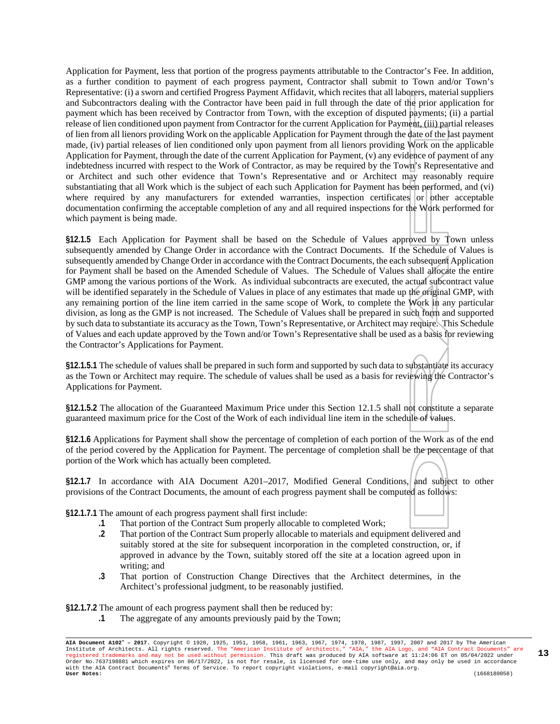Application for Payment, less that portion of the progress payments attributable to the Contractor's Fee. In addition, as a further condition to payment of each progress payment, Contractor shall submit to Town and/or Town's Representative: (i) a sworn and certified Progress Payment Affidavit, which recites that all laborers, material suppliers and Subcontractors dealing with the Contractor have been paid in full through the date of the prior application for payment which has been received by Contractor from Town, with the exception of disputed payments; (ii) a partial release of lien conditioned upon payment from Contractor for the current Application for Payment, (iii) partial releases of lien from all lienors providing Work on the applicable Application for Payment through the date of the last payment made, (iv) partial releases of lien conditioned only upon payment from all lienors providing Work on the applicable Application for Payment, through the date of the current Application for Payment, (v) any evidence of payment of any indebtedness incurred with respect to the Work of Contractor, as may be required by the Town's Representative and or Architect and such other evidence that Town's Representative and or Architect may reasonably require substantiating that all Work which is the subject of each such Application for Payment has been performed, and (vi) where required by any manufacturers for extended warranties, inspection certificates or other acceptable documentation confirming the acceptable completion of any and all required inspections for the Work performed for which payment is being made.

**§12.1.5** Each Application for Payment shall be based on the Schedule of Values approved by Town unless subsequently amended by Change Order in accordance with the Contract Documents. If the Schedule of Values is subsequently amended by Change Order in accordance with the Contract Documents, the each subsequent Application for Payment shall be based on the Amended Schedule of Values. The Schedule of Values shall allocate the entire GMP among the various portions of the Work. As individual subcontracts are executed, the actual subcontract value will be identified separately in the Schedule of Values in place of any estimates that made up the original GMP, with any remaining portion of the line item carried in the same scope of Work, to complete the Work in any particular division, as long as the GMP is not increased. The Schedule of Values shall be prepared in such form and supported by such data to substantiate its accuracy as the Town, Town's Representative, or Architect may require. This Schedule of Values and each update approved by the Town and/or Town's Representative shall be used as a basis for reviewing the Contractor's Applications for Payment.

**§12.1.5.1** The schedule of values shall be prepared in such form and supported by such data to substantiate its accuracy as the Town or Architect may require. The schedule of values shall be used as a basis for reviewing the Contractor's Applications for Payment.

**§12.1.5.2** The allocation of the Guaranteed Maximum Price under this Section 12.1.5 shall not constitute a separate guaranteed maximum price for the Cost of the Work of each individual line item in the schedule of values.

**§12.1.6** Applications for Payment shall show the percentage of completion of each portion of the Work as of the end of the period covered by the Application for Payment. The percentage of completion shall be the percentage of that portion of the Work which has actually been completed.

**§12.1.7** In accordance with AIA Document A201–2017, Modified General Conditions, and subject to other provisions of the Contract Documents, the amount of each progress payment shall be computed as follows:

**§12.1.7.1** The amount of each progress payment shall first include:

- **.1** That portion of the Contract Sum properly allocable to completed Work;
- **.2** That portion of the Contract Sum properly allocable to materials and equipment delivered and suitably stored at the site for subsequent incorporation in the completed construction, or, if approved in advance by the Town, suitably stored off the site at a location agreed upon in writing; and
- **.3** That portion of Construction Change Directives that the Architect determines, in the Architect's professional judgment, to be reasonably justified.

**§12.1.7.2** The amount of each progress payment shall then be reduced by:

**.1** The aggregate of any amounts previously paid by the Town;

**AIA Document A102™ – 2017.** Copyright © 1920, 1925, 1951, 1958, 1961, 1963, 1967, 1974, 1978, 1987, 1997, 2007 and 2017 by The American Institute of Architects. All rights reserved. The "American Institute of Architects," "AIA," the AIA Logo, and "AIA Contract Documents" are<br>registered trademarks and may not be used without permission. This draft was produ with the AIA Contract Documents® Terms of Service. To report copyright violations, e-mail copyright@aia.org. **User Notes:** (1668180058)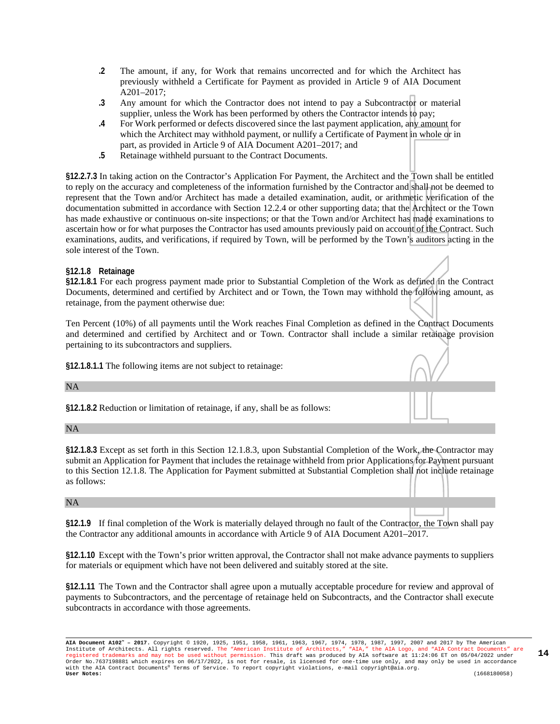- **.2** The amount, if any, for Work that remains uncorrected and for which the Architect has previously withheld a Certificate for Payment as provided in Article 9 of AIA Document A201–2017;
- **.3** Any amount for which the Contractor does not intend to pay a Subcontractor or material supplier, unless the Work has been performed by others the Contractor intends to pay;
- **.4** For Work performed or defects discovered since the last payment application, any amount for which the Architect may withhold payment, or nullify a Certificate of Payment in whole or in part, as provided in Article 9 of AIA Document A201–2017; and
- **.5** Retainage withheld pursuant to the Contract Documents.

**§12.2.7.3** In taking action on the Contractor's Application For Payment, the Architect and the Town shall be entitled to reply on the accuracy and completeness of the information furnished by the Contractor and shall not be deemed to represent that the Town and/or Architect has made a detailed examination, audit, or arithmetic verification of the documentation submitted in accordance with Section 12.2.4 or other supporting data; that the Architect or the Town has made exhaustive or continuous on-site inspections; or that the Town and/or Architect has made examinations to ascertain how or for what purposes the Contractor has used amounts previously paid on account of the Contract. Such examinations, audits, and verifications, if required by Town, will be performed by the Town's auditors acting in the sole interest of the Town.

#### **§12.1.8 Retainage**

**§12.1.8.1** For each progress payment made prior to Substantial Completion of the Work as defined in the Contract Documents, determined and certified by Architect and or Town, the Town may withhold the following amount, as retainage, from the payment otherwise due:

Ten Percent (10%) of all payments until the Work reaches Final Completion as defined in the Contract Documents and determined and certified by Architect and or Town. Contractor shall include a similar retainage provision pertaining to its subcontractors and suppliers.

**§12.1.8.1.1** The following items are not subject to retainage:

NA

**§12.1.8.2** Reduction or limitation of retainage, if any, shall be as follows:

NA

**§12.1.8.3** Except as set forth in this Section 12.1.8.3, upon Substantial Completion of the Work, the Contractor may submit an Application for Payment that includes the retainage withheld from prior Applications for Payment pursuant to this Section 12.1.8. The Application for Payment submitted at Substantial Completion shall not include retainage as follows:

#### NA

**§12.1.9** If final completion of the Work is materially delayed through no fault of the Contractor, the Town shall pay the Contractor any additional amounts in accordance with Article 9 of AIA Document A201–2017.

**§12.1.10** Except with the Town's prior written approval, the Contractor shall not make advance payments to suppliers for materials or equipment which have not been delivered and suitably stored at the site.

**§12.1.11** The Town and the Contractor shall agree upon a mutually acceptable procedure for review and approval of payments to Subcontractors, and the percentage of retainage held on Subcontracts, and the Contractor shall execute subcontracts in accordance with those agreements.

**AIA Document A102™ – 2017.** Copyright © 1920, 1925, 1951, 1958, 1961, 1963, 1967, 1974, 1978, 1987, 1997, 2007 and 2017 by The American Institute of Architects. All rights reserved. The "American Institute of Architects," "AIA," the AIA Logo, and "AIA Contract Documents" are<br>registered trademarks and may not be used without permission. This draft was produ with the AIA Contract Documents® Terms of Service. To report copyright violations, e-mail copyright@aia.org. **User Notes:** (1668180058)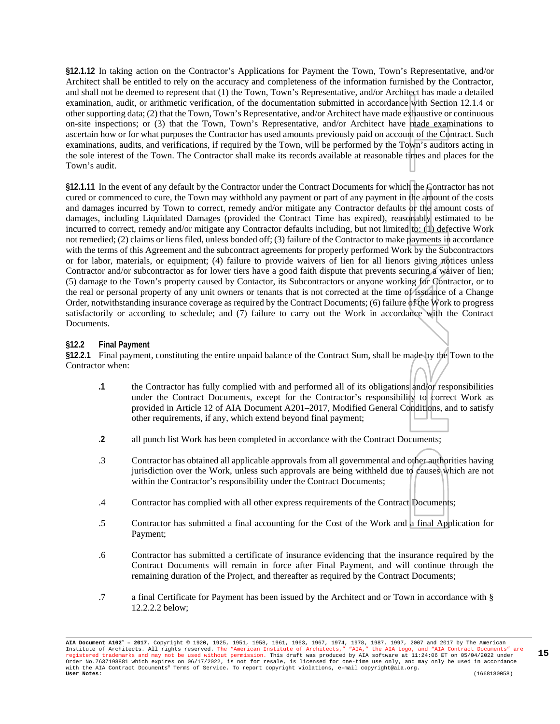**§12.1.12** In taking action on the Contractor's Applications for Payment the Town, Town's Representative, and/or Architect shall be entitled to rely on the accuracy and completeness of the information furnished by the Contractor, and shall not be deemed to represent that (1) the Town, Town's Representative, and/or Architect has made a detailed examination, audit, or arithmetic verification, of the documentation submitted in accordance with Section 12.1.4 or other supporting data; (2) that the Town, Town's Representative, and/or Architect have made exhaustive or continuous on-site inspections; or (3) that the Town, Town's Representative, and/or Architect have made examinations to ascertain how or for what purposes the Contractor has used amounts previously paid on account of the Contract. Such examinations, audits, and verifications, if required by the Town, will be performed by the Town's auditors acting in the sole interest of the Town. The Contractor shall make its records available at reasonable times and places for the Town's audit.

**§12.1.11** In the event of any default by the Contractor under the Contract Documents for which the Contractor has not cured or commenced to cure, the Town may withhold any payment or part of any payment in the amount of the costs and damages incurred by Town to correct, remedy and/or mitigate any Contractor defaults or the amount costs of damages, including Liquidated Damages (provided the Contract Time has expired), reasonably estimated to be incurred to correct, remedy and/or mitigate any Contractor defaults including, but not limited to: (1) defective Work not remedied; (2) claims or liens filed, unless bonded off; (3) failure of the Contractor to make payments in accordance with the terms of this Agreement and the subcontract agreements for properly performed Work by the Subcontractors or for labor, materials, or equipment; (4) failure to provide waivers of lien for all lienors giving notices unless Contractor and/or subcontractor as for lower tiers have a good faith dispute that prevents securing a waiver of lien; (5) damage to the Town's property caused by Contactor, its Subcontractors or anyone working for Contractor, or to the real or personal property of any unit owners or tenants that is not corrected at the time of issuance of a Change Order, notwithstanding insurance coverage as required by the Contract Documents; (6) failure of the Work to progress satisfactorily or according to schedule; and (7) failure to carry out the Work in accordance with the Contract Documents.

#### **§12.2 Final Payment**

**§12.2.1** Final payment, constituting the entire unpaid balance of the Contract Sum, shall be made by the Town to the Contractor when:

- **.1** the Contractor has fully complied with and performed all of its obligations and/or responsibilities under the Contract Documents, except for the Contractor's responsibility to correct Work as provided in Article 12 of AIA Document A201–2017, Modified General Conditions, and to satisfy other requirements, if any, which extend beyond final payment;
- **.2** all punch list Work has been completed in accordance with the Contract Documents;
- .3 Contractor has obtained all applicable approvals from all governmental and other authorities having jurisdiction over the Work, unless such approvals are being withheld due to causes which are not within the Contractor's responsibility under the Contract Documents;
- .4 Contractor has complied with all other express requirements of the Contract Documents;
- .5 Contractor has submitted a final accounting for the Cost of the Work and a final Application for Payment;
- .6 Contractor has submitted a certificate of insurance evidencing that the insurance required by the Contract Documents will remain in force after Final Payment, and will continue through the remaining duration of the Project, and thereafter as required by the Contract Documents;
- .7 a final Certificate for Payment has been issued by the Architect and or Town in accordance with § 12.2.2.2 below;

**AIA Document A102™ – 2017.** Copyright © 1920, 1925, 1951, 1958, 1961, 1963, 1967, 1974, 1978, 1987, 1997, 2007 and 2017 by The American Institute of Architects. All rights reserved. The "American Institute of Architects," "AIA," the AIA Logo, and "AIA Contract Documents" are<br>registered trademarks and may not be used without permission. This draft was produ Order No.7637198881 which expires on 06/17/2022, is not for resale, is licensed for one-time use only, and may only be used in accordance with the AIA Contract Documents® Terms of Service. To report copyright violations, e-mail copyright@aia.org. **User Notes:** (1668180058)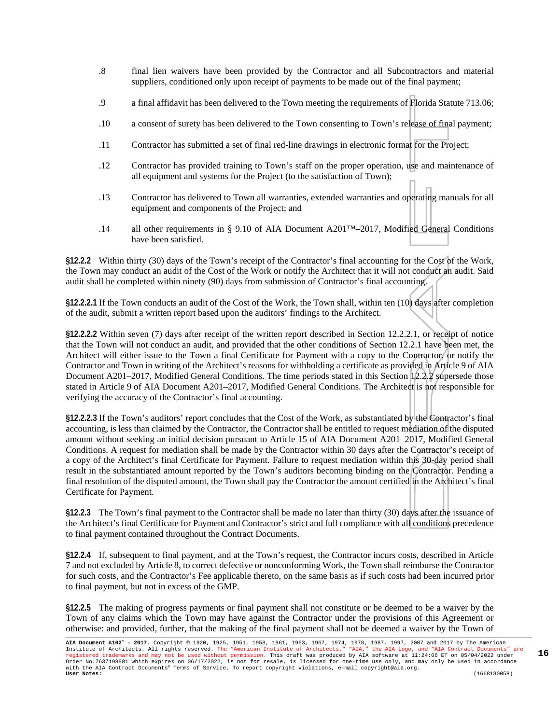- .8 final lien waivers have been provided by the Contractor and all Subcontractors and material suppliers, conditioned only upon receipt of payments to be made out of the final payment;
- .9 a final affidavit has been delivered to the Town meeting the requirements of Florida Statute 713.06;
- .10 a consent of surety has been delivered to the Town consenting to Town's release of final payment;
- .11 Contractor has submitted a set of final red-line drawings in electronic format for the Project;
- .12 Contractor has provided training to Town's staff on the proper operation, use and maintenance of all equipment and systems for the Project (to the satisfaction of Town);
- .13 Contractor has delivered to Town all warranties, extended warranties and operating manuals for all equipment and components of the Project; and
- .14 all other requirements in § 9.10 of AIA Document A201™–2017, Modified General Conditions have been satisfied.

**§12.2.2** Within thirty (30) days of the Town's receipt of the Contractor's final accounting for the Cost of the Work, the Town may conduct an audit of the Cost of the Work or notify the Architect that it will not conduct an audit. Said audit shall be completed within ninety (90) days from submission of Contractor's final accounting.

**§12.2.2.1** If the Town conducts an audit of the Cost of the Work, the Town shall, within ten (10) days after completion of the audit, submit a written report based upon the auditors' findings to the Architect.

**§12.2.2.2** Within seven (7) days after receipt of the written report described in Section 12.2.2.1, or receipt of notice that the Town will not conduct an audit, and provided that the other conditions of Section 12.2.1 have been met, the Architect will either issue to the Town a final Certificate for Payment with a copy to the Contractor, or notify the Contractor and Town in writing of the Architect's reasons for withholding a certificate as provided in Article 9 of AIA Document A201–2017, Modified General Conditions. The time periods stated in this Section 12.2.2 supersede those stated in Article 9 of AIA Document A201–2017, Modified General Conditions. The Architect is not responsible for verifying the accuracy of the Contractor's final accounting.

**§12.2.2.3** If the Town's auditors' report concludes that the Cost of the Work, as substantiated by the Contractor's final accounting, is less than claimed by the Contractor, the Contractor shall be entitled to request mediation of the disputed amount without seeking an initial decision pursuant to Article 15 of AIA Document A201–2017, Modified General Conditions. A request for mediation shall be made by the Contractor within 30 days after the Contractor's receipt of a copy of the Architect's final Certificate for Payment. Failure to request mediation within this 30-day period shall result in the substantiated amount reported by the Town's auditors becoming binding on the Contractor. Pending a final resolution of the disputed amount, the Town shall pay the Contractor the amount certified in the Architect's final Certificate for Payment.

**§12.2.3** The Town's final payment to the Contractor shall be made no later than thirty (30) days after the issuance of the Architect's final Certificate for Payment and Contractor's strict and full compliance with all conditions precedence to final payment contained throughout the Contract Documents.

**§12.2.4** If, subsequent to final payment, and at the Town's request, the Contractor incurs costs, described in Article 7 and not excluded by Article 8, to correct defective or nonconforming Work, the Town shall reimburse the Contractor for such costs, and the Contractor's Fee applicable thereto, on the same basis as if such costs had been incurred prior to final payment, but not in excess of the GMP.

**§12.2.5** The making of progress payments or final payment shall not constitute or be deemed to be a waiver by the Town of any claims which the Town may have against the Contractor under the provisions of this Agreement or otherwise: and provided, further, that the making of the final payment shall not be deemed a waiver by the Town of

**AIA Document A102™ – 2017.** Copyright © 1920, 1925, 1951, 1958, 1961, 1963, 1967, 1974, 1978, 1987, 1997, 2007 and 2017 by The American Institute of Architects. All rights reserved. The "American Institute of Architects," "AIA," the AIA Logo, and "AIA Contract Documents" are<br>registered trademarks and may not be used without permission. This draft was produ with the AIA Contract Documents® Terms of Service. To report copyright violations, e-mail copyright@aia.org. **User Notes:** (1668180058)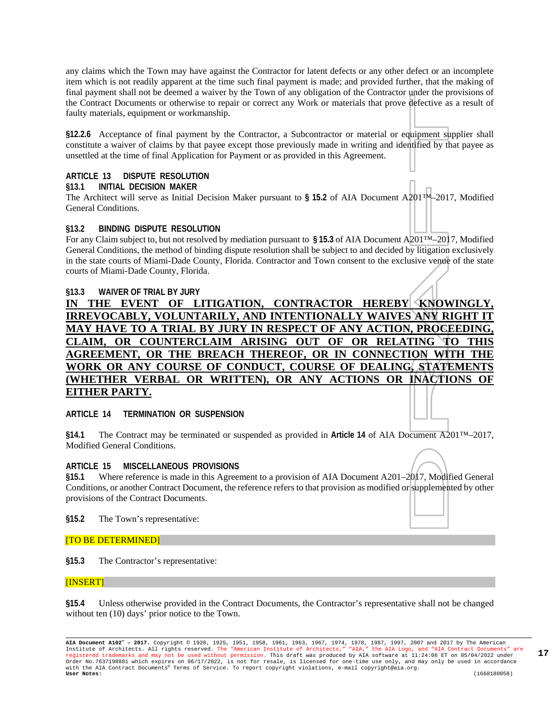any claims which the Town may have against the Contractor for latent defects or any other defect or an incomplete item which is not readily apparent at the time such final payment is made; and provided further, that the making of final payment shall not be deemed a waiver by the Town of any obligation of the Contractor under the provisions of the Contract Documents or otherwise to repair or correct any Work or materials that prove defective as a result of faulty materials, equipment or workmanship.

**§12.2.6** Acceptance of final payment by the Contractor, a Subcontractor or material or equipment supplier shall constitute a waiver of claims by that payee except those previously made in writing and identified by that payee as unsettled at the time of final Application for Payment or as provided in this Agreement.

# **ARTICLE 13 DISPUTE RESOLUTION**

#### **§13.1 INITIAL DECISION MAKER**

The Architect will serve as Initial Decision Maker pursuant to **§ 15.2** of AIA Document A201™–2017, Modified General Conditions.

#### **§13.2 BINDING DISPUTE RESOLUTION**

For any Claim subject to, but not resolved by mediation pursuant to **§ 15.3** of AIA Document A201™–2017, Modified General Conditions, the method of binding dispute resolution shall be subject to and decided by litigation exclusively in the state courts of Miami-Dade County, Florida. Contractor and Town consent to the exclusive venue of the state courts of Miami-Dade County, Florida.

#### **§13.3 WAIVER OF TRIAL BY JURY IN THE EVENT OF LITIGATION, CONTRACTOR HEREBY KNOWINGLY, IRREVOCABLY, VOLUNTARILY, AND INTENTIONALLY WAIVES ANY RIGHT MAY HAVE TO A TRIAL BY JURY IN RESPECT OF ANY ACTION, PROCEEDING, CLAIM, OR COUNTERCLAIM ARISING OUT OF OR RELATING TO THIS AGREEMENT, OR THE BREACH THEREOF, OR IN CONNECTION WITH THE WORK OR ANY COURSE OF CONDUCT, COURSE OF DEALING, STATEMENTS (WHETHER VERBAL OR WRITTEN), OR ANY ACTIONS OR INACTIONS OF EITHER PARTY.**

**ARTICLE 14 TERMINATION OR SUSPENSION**

**§14.1** The Contract may be terminated or suspended as provided in **Article 14** of AIA Document A201™–2017, Modified General Conditions.

#### **ARTICLE 15 MISCELLANEOUS PROVISIONS**

**§15.1** Where reference is made in this Agreement to a provision of AIA Document A201–2017, Modified General Conditions, or another Contract Document, the reference refers to that provision as modified or supplemented by other provisions of the Contract Documents.

**§15.2** The Town's representative:

#### [TO BE DETERMINED]

**§15.3** The Contractor's representative:

#### [INSERT]

**§15.4** Unless otherwise provided in the Contract Documents, the Contractor's representative shall not be changed without ten (10) days' prior notice to the Town.

**AIA Document A102™ – 2017.** Copyright © 1920, 1925, 1951, 1958, 1961, 1963, 1967, 1974, 1978, 1987, 1997, 2007 and 2017 by The American Institute of Architects. All rights reserved. The "American Institute of Architects," "AIA," the AIA Logo, and "AIA Contract Documents" are<br>registered trademarks and may not be used without permission. This draft was produ with the AIA Contract Documents® Terms of Service. To report copyright violations, e-mail copyright@aia.org. **User Notes:** (1668180058)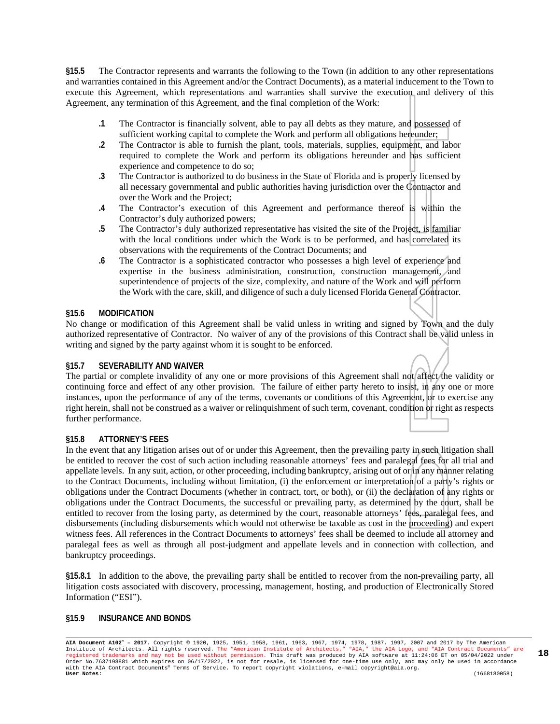**§15.5** The Contractor represents and warrants the following to the Town (in addition to any other representations and warranties contained in this Agreement and/or the Contract Documents), as a material inducement to the Town to execute this Agreement, which representations and warranties shall survive the execution and delivery of this Agreement, any termination of this Agreement, and the final completion of the Work:

- **.1** The Contractor is financially solvent, able to pay all debts as they mature, and possessed of sufficient working capital to complete the Work and perform all obligations hereunder;
- **.2** The Contractor is able to furnish the plant, tools, materials, supplies, equipment, and labor required to complete the Work and perform its obligations hereunder and has sufficient experience and competence to do so;
- **.3** The Contractor is authorized to do business in the State of Florida and is properly licensed by all necessary governmental and public authorities having jurisdiction over the Contractor and over the Work and the Project;
- **.4** The Contractor's execution of this Agreement and performance thereof is within the Contractor's duly authorized powers;
- **.5** The Contractor's duly authorized representative has visited the site of the Project, is familiar with the local conditions under which the Work is to be performed, and has correlated its observations with the requirements of the Contract Documents; and
- **.6** The Contractor is a sophisticated contractor who possesses a high level of experience and expertise in the business administration, construction, construction management, and superintendence of projects of the size, complexity, and nature of the Work and will perform the Work with the care, skill, and diligence of such a duly licensed Florida General Contractor.

#### **§15.6 MODIFICATION**

No change or modification of this Agreement shall be valid unless in writing and signed by Town and the duly authorized representative of Contractor. No waiver of any of the provisions of this Contract shall be valid unless in writing and signed by the party against whom it is sought to be enforced.

#### **§15.7 SEVERABILITY AND WAIVER**

The partial or complete invalidity of any one or more provisions of this Agreement shall not affect the validity or continuing force and effect of any other provision. The failure of either party hereto to insist, in any one or more instances, upon the performance of any of the terms, covenants or conditions of this Agreement, or to exercise any right herein, shall not be construed as a waiver or relinquishment of such term, covenant, condition or right as respects further performance.

#### **§15.8 ATTORNEY'S FEES**

In the event that any litigation arises out of or under this Agreement, then the prevailing party in such litigation shall be entitled to recover the cost of such action including reasonable attorneys' fees and paralegal fees for all trial and appellate levels. In any suit, action, or other proceeding, including bankruptcy, arising out of or in any manner relating to the Contract Documents, including without limitation, (i) the enforcement or interpretation of a party's rights or obligations under the Contract Documents (whether in contract, tort, or both), or (ii) the declaration of any rights or obligations under the Contract Documents, the successful or prevailing party, as determined by the court, shall be entitled to recover from the losing party, as determined by the court, reasonable attorneys' fees, paralegal fees, and disbursements (including disbursements which would not otherwise be taxable as cost in the proceeding) and expert witness fees. All references in the Contract Documents to attorneys' fees shall be deemed to include all attorney and paralegal fees as well as through all post-judgment and appellate levels and in connection with collection, and bankruptcy proceedings.

**§15.8.1** In addition to the above, the prevailing party shall be entitled to recover from the non-prevailing party, all litigation costs associated with discovery, processing, management, hosting, and production of Electronically Stored Information ("ESI").

#### **§15.9 INSURANCE AND BONDS**

**AIA Document A102™ – 2017.** Copyright © 1920, 1925, 1951, 1958, 1961, 1963, 1967, 1974, 1978, 1987, 1997, 2007 and 2017 by The American Institute of Architects. All rights reserved. The "American Institute of Architects," "AIA," the AIA Logo, and "AIA Contract Documents" are<br>registered trademarks and may not be used without permission. This draft was produ Order No.7637198881 which expires on 06/17/2022, is not for resale, is licensed for one-time use only, and may only be used in accordance with the AIA Contract Documents® Terms of Service. To report copyright violations, e-mail copyright@aia.org. **User Notes:** (1668180058)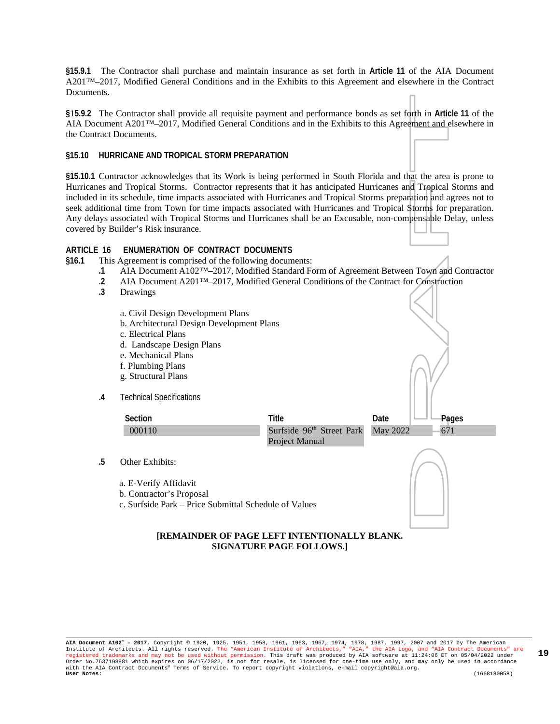**§15.9.1** The Contractor shall purchase and maintain insurance as set forth in **Article 11** of the AIA Document A201™–2017, Modified General Conditions and in the Exhibits to this Agreement and elsewhere in the Contract Documents.

**§**1**5.9.2** The Contractor shall provide all requisite payment and performance bonds as set forth in **Article 11** of the AIA Document A201™–2017, Modified General Conditions and in the Exhibits to this Agreement and elsewhere in the Contract Documents.

#### **§15.10 HURRICANE AND TROPICAL STORM PREPARATION**

**§15.10.1** Contractor acknowledges that its Work is being performed in South Florida and that the area is prone to Hurricanes and Tropical Storms. Contractor represents that it has anticipated Hurricanes and Tropical Storms and included in its schedule, time impacts associated with Hurricanes and Tropical Storms preparation and agrees not to seek additional time from Town for time impacts associated with Hurricanes and Tropical Storms for preparation. Any delays associated with Tropical Storms and Hurricanes shall be an Excusable, non-compensable Delay, unless covered by Builder's Risk insurance.

#### **ARTICLE 16 ENUMERATION OF CONTRACT DOCUMENTS**

- **§16.1** This Agreement is comprised of the following documents:
	- **.1** AIA Document A102™–2017, Modified Standard Form of Agreement Between Town and Contractor
	- **.2** AIA Document A201™–2017, Modified General Conditions of the Contract for Construction
	- **.3** Drawings
		- a. Civil Design Development Plans
		- b. Architectural Design Development Plans
		- c. Electrical Plans
		- d. Landscape Design Plans
		- e. Mechanical Plans
		- f. Plumbing Plans
		- g. Structural Plans
	- **.4** Technical Specifications



- **.5** Other Exhibits:
	- a. E-Verify Affidavit
	- b. Contractor's Proposal
	- c. Surfside Park Price Submittal Schedule of Values



#### **[REMAINDER OF PAGE LEFT INTENTIONALLY BLANK. SIGNATURE PAGE FOLLOWS.]**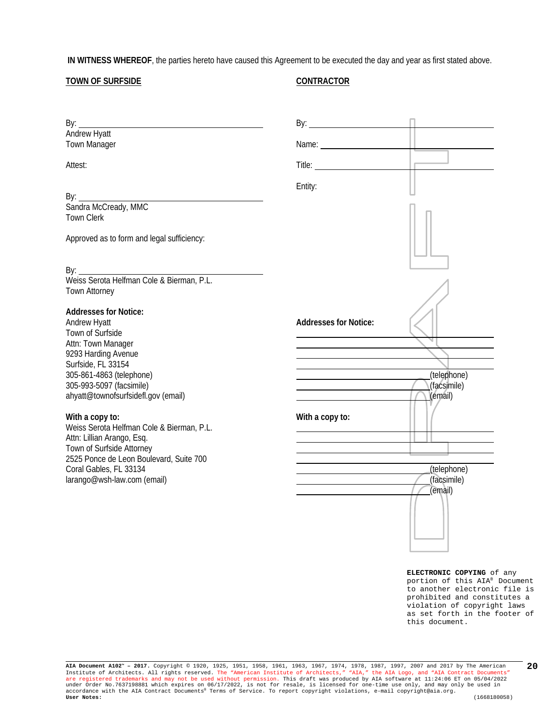**IN WITNESS WHEREOF**, the parties hereto have caused this Agreement to be executed the day and year as first stated above.

#### **TOWN OF SURFSIDE**

#### **CONTRACTOR**

| By: $\_$                                                                                           | $\mathsf{By:}\n \overline{\phantom{aa}}$ |                                       |
|----------------------------------------------------------------------------------------------------|------------------------------------------|---------------------------------------|
| Andrew Hyatt<br><b>Town Manager</b>                                                                | Name: Name                               |                                       |
| Attest:                                                                                            | Title: Title:                            |                                       |
| By:                                                                                                | Entity:                                  |                                       |
| <b>Town Clerk</b>                                                                                  |                                          |                                       |
| Approved as to form and legal sufficiency:                                                         |                                          |                                       |
|                                                                                                    |                                          |                                       |
| Town Attorney                                                                                      |                                          |                                       |
| <b>Addresses for Notice:</b><br>Andrew Hyatt<br>Town of Surfside                                   | <b>Addresses for Notice:</b>             |                                       |
| Attn: Town Manager<br>9293 Harding Avenue<br>Surfside, FL 33154                                    |                                          |                                       |
| 305-861-4863 (telephone)<br>305-993-5097 (facsimile)<br>ahyatt@townofsurfsidefl.gov (email)        |                                          | (telephone)<br>(facsimile)<br>(email) |
| With a copy to:<br>Weiss Serota Helfman Cole & Bierman, P.L.                                       | With a copy to:                          |                                       |
| Attn: Lillian Arango, Esq.<br>Town of Surfside Attorney<br>2525 Ponce de Leon Boulevard, Suite 700 |                                          |                                       |
| Coral Gables, FL 33134<br>larango@wsh-law.com (email)                                              |                                          | (telephone)<br>(facsimile)<br>(email) |
|                                                                                                    |                                          |                                       |
|                                                                                                    |                                          |                                       |

**ELECTRONIC COPYING** of any portion of this AIA® Document to another electronic file is prohibited and constitutes a violation of copyright laws as set forth in the footer of this document.

**AIA Document A102™ – 2017.** Copyright © 1920, 1925, 1951, 1958, 1961, 1963, 1967, 1974, 1978, 1987, 1997, 2007 and 2017 by The American Institute of Architects. All rights reserved. The "American Institute of Architects," "AIA," the AIA Logo, and "AIA Contract Documents"<br>are registered trademarks and may not be used without permission. This draft was produ **20**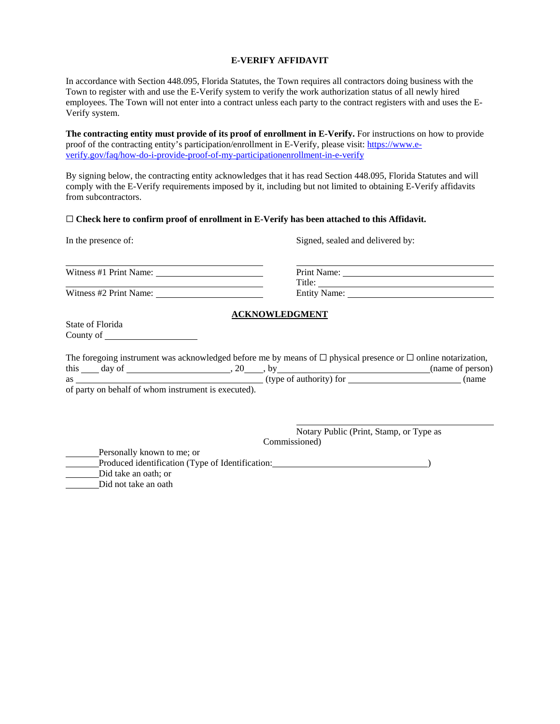#### **E-VERIFY AFFIDAVIT**

In accordance with Section 448.095, Florida Statutes, the Town requires all contractors doing business with the Town to register with and use the E-Verify system to verify the work authorization status of all newly hired employees. The Town will not enter into a contract unless each party to the contract registers with and uses the E-Verify system.

**The contracting entity must provide of its proof of enrollment in E-Verify.** For instructions on how to provide proof of the contracting entity's participation/enrollment in E-Verify, please visit[: https://www.e](https://www.e-verify.gov/faq/how-do-i-provide-proof-of-my-participationenrollment-in-e-verify)[verify.gov/faq/how-do-i-provide-proof-of-my-participationenrollment-in-e-verify](https://www.e-verify.gov/faq/how-do-i-provide-proof-of-my-participationenrollment-in-e-verify)

By signing below, the contracting entity acknowledges that it has read Section 448.095, Florida Statutes and will comply with the E-Verify requirements imposed by it, including but not limited to obtaining E-Verify affidavits from subcontractors.

#### ☐ **Check here to confirm proof of enrollment in E-Verify has been attached to this Affidavit.**

Witness #1 Print Name:

Witness #2 Print Name: Entity Name:

#### In the presence of: Signed, sealed and delivered by:

| Print Name:         |  |
|---------------------|--|
| Title:              |  |
| <b>Entity Name:</b> |  |

#### **ACKNOWLEDGMENT**

State of Florida County of

| The foregoing instrument was acknowledged before me by means of $\Box$ physical presence or $\Box$ online notarization, |        |                                                    |                         |  |                  |
|-------------------------------------------------------------------------------------------------------------------------|--------|----------------------------------------------------|-------------------------|--|------------------|
| this                                                                                                                    | day of |                                                    |                         |  | (name of person) |
| as                                                                                                                      |        |                                                    | (type of authority) for |  | (name            |
|                                                                                                                         |        | of neutron helpelf of whom instrument is executed) |                         |  |                  |

of party on behalf of whom instrument is executed).

Notary Public (Print, Stamp, or Type as Commissioned)

Personally known to me; or Produced identification (Type of Identification: ) Did take an oath; or

Did not take an oath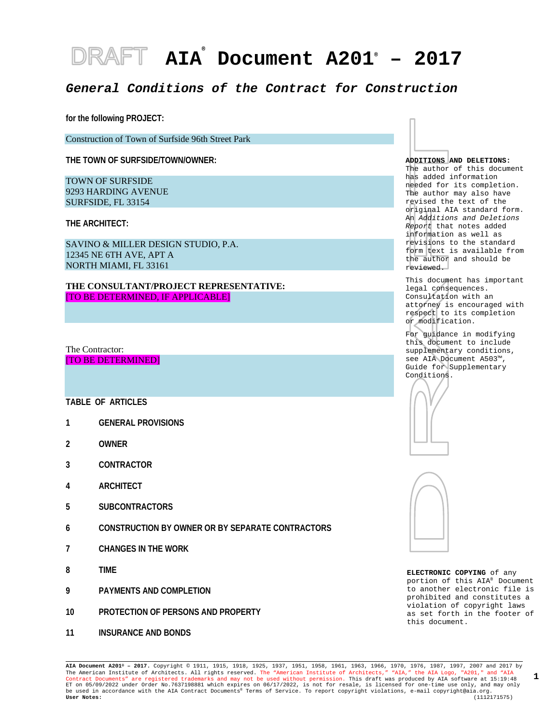# **AIA® Document A201® – 2017**

#### *General Conditions of the Contract for Construction*

**for the following PROJECT:**

Construction of Town of Surfside 96th Street Park

**THE TOWN OF SURFSIDE/TOWN/OWNER:**

TOWN OF SURFSIDE 9293 HARDING AVENUE SURFSIDE, FL 33154

**THE ARCHITECT:**

SAVINO & MILLER DESIGN STUDIO, P.A. 12345 NE 6TH AVE, APT A NORTH MIAMI, FL 33161

**THE CONSULTANT/PROJECT REPRESENTATIVE:** [TO BE DETERMINED, IF APPLICABLE]

The Contractor: [TO BE DETERMINED]

**TABLE OF ARTICLES**

- **1 GENERAL PROVISIONS**
- **2 OWNER**
- **3 CONTRACTOR**
- **4 ARCHITECT**
- **5 SUBCONTRACTORS**
- **6 CONSTRUCTION BY OWNER OR BY SEPARATE CONTRACTORS**
- **7 CHANGES IN THE WORK**
- **8 TIME**
- **9 PAYMENTS AND COMPLETION**
- **10 PROTECTION OF PERSONS AND PROPERTY**
- **11 INSURANCE AND BONDS**



The author of this document has added information needed for its completion. The author may also have revised the text of the original AIA standard form. An *Additions and Deletions Report* that notes added information as well as revisions to the standard form text is available from the author and should be reviewed.

This document has important legal consequences. Consultation with an attorney is encouraged with respect to its completion or modification.

For guidance in modifying this document to include supplementary conditions, see AIA Document A503™, Guide for Supplementary Conditions.





**ELECTRONIC COPYING** of any portion of this AIA® Document to another electronic file is prohibited and constitutes a violation of copyright laws as set forth in the footer of this document.

**AIA Document A201® – 2017.** Copyright © 1911, 1915, 1918, 1925, 1937, 1951, 1958, 1961, 1963, 1966, 1970, 1976, 1987, 1997, 2007 and 2017 by The American Institute of Architects. All rights reserved. The "American Institute of Architects," "AIA," the AIA Logo, "A201," and "AIA<br>Contract Documents" are registered trademarks and may not be used without permission. ET on 05/09/2022 under Order No.7637198881 which expires on 06/17/2022, is not for resale, is licensed for one-time use only, and may only be used in accordance with the AIA Contract Documents® Terms of Service. To report copyright violations, e-mail copyright@aia.org.<br> **User Notes:** (1112171575) **User Notes:** (1112171575) **1**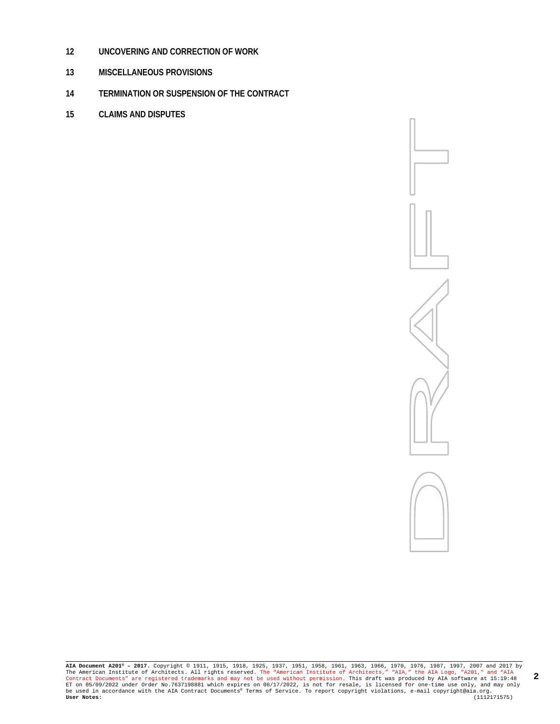- **UNCOVERING AND CORRECTION OF WORK**
- **MISCELLANEOUS PROVISIONS**
- **TERMINATION OR SUSPENSION OF THE CONTRACT**
- **CLAIMS AND DISPUTES**

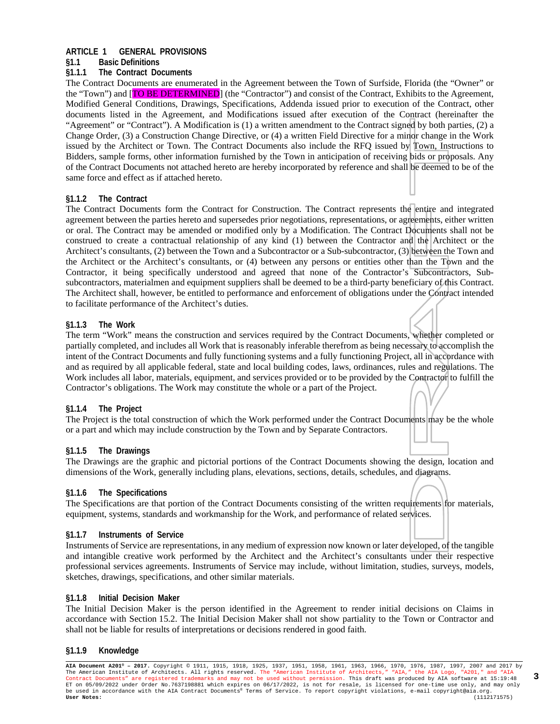#### **ARTICLE 1 GENERAL PROVISIONS**

#### **§1.1 Basic Definitions**

#### **§1.1.1 The Contract Documents**

The Contract Documents are enumerated in the Agreement between the Town of Surfside, Florida (the "Owner" or the "Town") and [TO BE DETERMINED] (the "Contractor") and consist of the Contract, Exhibits to the Agreement, Modified General Conditions, Drawings, Specifications, Addenda issued prior to execution of the Contract, other documents listed in the Agreement, and Modifications issued after execution of the Contract (hereinafter the "Agreement" or "Contract"). A Modification is (1) a written amendment to the Contract signed by both parties, (2) a Change Order, (3) a Construction Change Directive, or (4) a written Field Directive for a minor change in the Work issued by the Architect or Town. The Contract Documents also include the RFQ issued by Town, Instructions to Bidders, sample forms, other information furnished by the Town in anticipation of receiving bids or proposals. Any of the Contract Documents not attached hereto are hereby incorporated by reference and shall be deemed to be of the same force and effect as if attached hereto.

#### **§1.1.2 The Contract**

The Contract Documents form the Contract for Construction. The Contract represents the entire and integrated agreement between the parties hereto and supersedes prior negotiations, representations, or agreements, either written or oral. The Contract may be amended or modified only by a Modification. The Contract Documents shall not be construed to create a contractual relationship of any kind (1) between the Contractor and the Architect or the Architect's consultants, (2) between the Town and a Subcontractor or a Sub-subcontractor, (3) between the Town and the Architect or the Architect's consultants, or (4) between any persons or entities other than the Town and the Contractor, it being specifically understood and agreed that none of the Contractor's Subcontractors, Subsubcontractors, materialmen and equipment suppliers shall be deemed to be a third-party beneficiary of this Contract. The Architect shall, however, be entitled to performance and enforcement of obligations under the Contract intended to facilitate performance of the Architect's duties.

#### **§1.1.3 The Work**

The term "Work" means the construction and services required by the Contract Documents, whether completed or partially completed, and includes all Work that is reasonably inferable therefrom as being necessary to accomplish the intent of the Contract Documents and fully functioning systems and a fully functioning Project, all in accordance with and as required by all applicable federal, state and local building codes, laws, ordinances, rules and regulations. The Work includes all labor, materials, equipment, and services provided or to be provided by the Contractor to fulfill the Contractor's obligations. The Work may constitute the whole or a part of the Project.

#### **§1.1.4 The Project**

The Project is the total construction of which the Work performed under the Contract Documents may be the whole or a part and which may include construction by the Town and by Separate Contractors.

#### **§1.1.5 The Drawings**

The Drawings are the graphic and pictorial portions of the Contract Documents showing the design, location and dimensions of the Work, generally including plans, elevations, sections, details, schedules, and diagrams.

#### **§1.1.6 The Specifications**

The Specifications are that portion of the Contract Documents consisting of the written requirements for materials, equipment, systems, standards and workmanship for the Work, and performance of related services.

#### **§1.1.7 Instruments of Service**

Instruments of Service are representations, in any medium of expression now known or later developed, of the tangible and intangible creative work performed by the Architect and the Architect's consultants under their respective professional services agreements. Instruments of Service may include, without limitation, studies, surveys, models, sketches, drawings, specifications, and other similar materials.

#### **§1.1.8 Initial Decision Maker**

The Initial Decision Maker is the person identified in the Agreement to render initial decisions on Claims in accordance with Section 15.2. The Initial Decision Maker shall not show partiality to the Town or Contractor and shall not be liable for results of interpretations or decisions rendered in good faith.

#### **§1.1.9 Knowledge**

**AIA Document A201® – 2017.** Copyright © 1911, 1915, 1918, 1925, 1937, 1951, 1958, 1961, 1963, 1966, 1970, 1976, 1987, 1997, 2007 and 2017 by The American Institute of Architects. All rights reserved. The "American Institute of Architects," "AIA," the AIA Logo, "A201," and "AIA<br>Contract Documents" are registered trademarks and may not be used without permission. ET on 05/09/2022 under Order No.7637198881 which expires on 06/17/2022, is not for resale, is licensed for one-time use only, and may only<br>be used in accordance with the AIA Contract Documents® Terms of Service. To report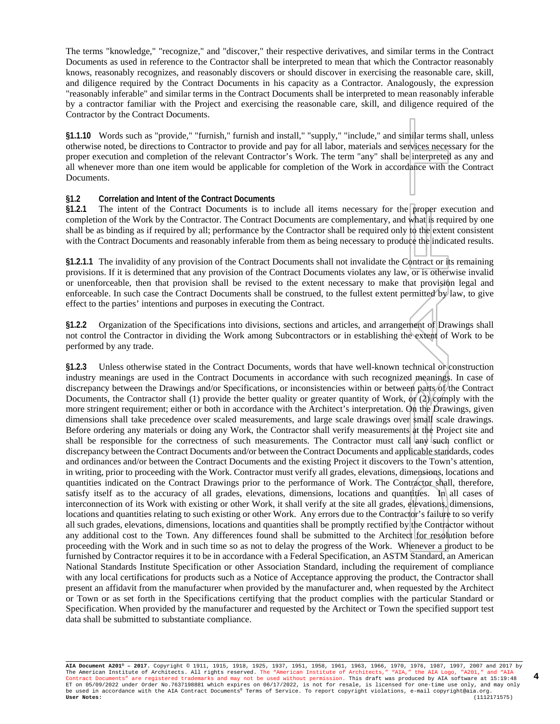The terms "knowledge," "recognize," and "discover," their respective derivatives, and similar terms in the Contract Documents as used in reference to the Contractor shall be interpreted to mean that which the Contractor reasonably knows, reasonably recognizes, and reasonably discovers or should discover in exercising the reasonable care, skill, and diligence required by the Contract Documents in his capacity as a Contractor. Analogously, the expression "reasonably inferable" and similar terms in the Contract Documents shall be interpreted to mean reasonably inferable by a contractor familiar with the Project and exercising the reasonable care, skill, and diligence required of the Contractor by the Contract Documents.

**§1.1.10** Words such as "provide," "furnish," furnish and install," "supply," "include," and similar terms shall, unless otherwise noted, be directions to Contractor to provide and pay for all labor, materials and services necessary for the proper execution and completion of the relevant Contractor's Work. The term "any" shall be interpreted as any and all whenever more than one item would be applicable for completion of the Work in accordance with the Contract Documents.

#### **§1.2 Correlation and Intent of the Contract Documents**

**§1.2.1** The intent of the Contract Documents is to include all items necessary for the proper execution and completion of the Work by the Contractor. The Contract Documents are complementary, and what is required by one shall be as binding as if required by all; performance by the Contractor shall be required only to the extent consistent with the Contract Documents and reasonably inferable from them as being necessary to produce the indicated results.

**§1.2.1.1** The invalidity of any provision of the Contract Documents shall not invalidate the Contract or its remaining provisions. If it is determined that any provision of the Contract Documents violates any law, or is otherwise invalid or unenforceable, then that provision shall be revised to the extent necessary to make that provision legal and enforceable. In such case the Contract Documents shall be construed, to the fullest extent permitted by law, to give effect to the parties' intentions and purposes in executing the Contract.

**§1.2.2** Organization of the Specifications into divisions, sections and articles, and arrangement of Drawings shall not control the Contractor in dividing the Work among Subcontractors or in establishing the extent of Work to be performed by any trade.

**§1.2.3** Unless otherwise stated in the Contract Documents, words that have well-known technical or construction industry meanings are used in the Contract Documents in accordance with such recognized meanings. In case of discrepancy between the Drawings and/or Specifications, or inconsistencies within or between parts of the Contract Documents, the Contractor shall (1) provide the better quality or greater quantity of Work, or (2) comply with the more stringent requirement; either or both in accordance with the Architect's interpretation. On the Drawings, given dimensions shall take precedence over scaled measurements, and large scale drawings over small scale drawings. Before ordering any materials or doing any Work, the Contractor shall verify measurements at the Project site and shall be responsible for the correctness of such measurements. The Contractor must call any such conflict or discrepancy between the Contract Documents and/or between the Contract Documents and applicable standards, codes and ordinances and/or between the Contract Documents and the existing Project it discovers to the Town's attention, in writing, prior to proceeding with the Work. Contractor must verify all grades, elevations, dimensions, locations and quantities indicated on the Contract Drawings prior to the performance of Work. The Contractor shall, therefore, satisfy itself as to the accuracy of all grades, elevations, dimensions, locations and quantities. In all cases of interconnection of its Work with existing or other Work, it shall verify at the site all grades, elevations, dimensions, locations and quantities relating to such existing or other Work. Any errors due to the Contractor's failure to so verify all such grades, elevations, dimensions, locations and quantities shall be promptly rectified by the Contractor without any additional cost to the Town. Any differences found shall be submitted to the Architect for resolution before proceeding with the Work and in such time so as not to delay the progress of the Work. Whenever a product to be furnished by Contractor requires it to be in accordance with a Federal Specification, an ASTM Standard, an American National Standards Institute Specification or other Association Standard, including the requirement of compliance with any local certifications for products such as a Notice of Acceptance approving the product, the Contractor shall present an affidavit from the manufacturer when provided by the manufacturer and, when requested by the Architect or Town or as set forth in the Specifications certifying that the product complies with the particular Standard or Specification. When provided by the manufacturer and requested by the Architect or Town the specified support test data shall be submitted to substantiate compliance.

**AIA Document A201® – 2017.** Copyright © 1911, 1915, 1918, 1925, 1937, 1951, 1958, 1961, 1963, 1966, 1970, 1976, 1987, 1997, 2007 and 2017 by The American Institute of Architects. All rights reserved. The "American Institute of Architects," "AIA," the AIA Logo, "A201," and "AIA<br>Contract Documents" are registered trademarks and may not be used without permission. ET on 05/09/2022 under Order No.7637198881 which expires on 06/17/2022, is not for resale, is licensed for one-time use only, and may only<br>be used in accordance with the AIA Contract Documents® Terms of Service. To report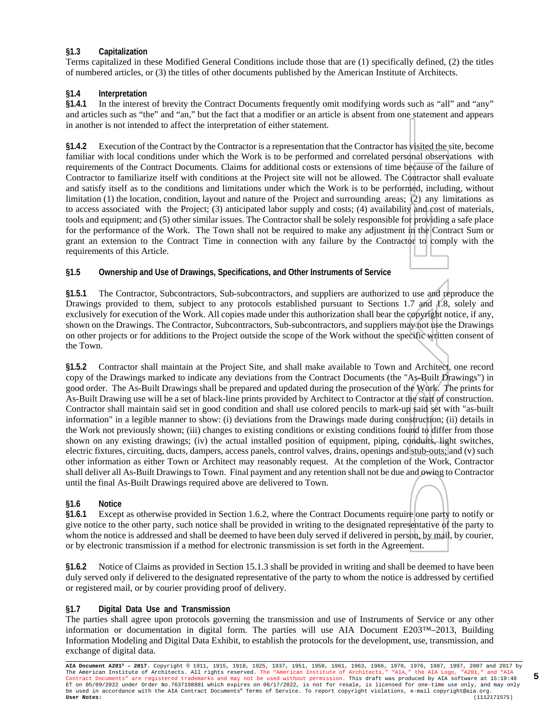#### **§1.3 Capitalization**

Terms capitalized in these Modified General Conditions include those that are (1) specifically defined, (2) the titles of numbered articles, or (3) the titles of other documents published by the American Institute of Architects.

#### **§1.4 Interpretation**

**§1.4.1** In the interest of brevity the Contract Documents frequently omit modifying words such as "all" and "any" and articles such as "the" and "an," but the fact that a modifier or an article is absent from one statement and appears in another is not intended to affect the interpretation of either statement.

**§1.4.2** Execution of the Contract by the Contractor is a representation that the Contractor has visited the site, become familiar with local conditions under which the Work is to be performed and correlated personal observations with requirements of the Contract Documents. Claims for additional costs or extensions of time because of the failure of Contractor to familiarize itself with conditions at the Project site will not be allowed. The Contractor shall evaluate and satisfy itself as to the conditions and limitations under which the Work is to be performed, including, without limitation (1) the location, condition, layout and nature of the Project and surrounding areas;  $\overline{(2)}$  any limitations as to access associated with the Project; (3) anticipated labor supply and costs; (4) availability and cost of materials, tools and equipment; and (5) other similar issues. The Contractor shall be solely responsible for providing a safe place for the performance of the Work. The Town shall not be required to make any adjustment in the Contract Sum or grant an extension to the Contract Time in connection with any failure by the Contractor to comply with the requirements of this Article.

**§1.5 Ownership and Use of Drawings, Specifications, and Other Instruments of Service**

**§1.5.1** The Contractor, Subcontractors, Sub-subcontractors, and suppliers are authorized to use and reproduce the Drawings provided to them, subject to any protocols established pursuant to Sections 1.7 and 1.8, solely and exclusively for execution of the Work. All copies made under this authorization shall bear the copyright notice, if any, shown on the Drawings. The Contractor, Subcontractors, Sub-subcontractors, and suppliers may not use the Drawings on other projects or for additions to the Project outside the scope of the Work without the specific written consent of the Town.

**§1.5.2** Contractor shall maintain at the Project Site, and shall make available to Town and Architect, one record copy of the Drawings marked to indicate any deviations from the Contract Documents (the "As-Built Drawings") in good order. The As-Built Drawings shall be prepared and updated during the prosecution of the Work. The prints for As-Built Drawing use will be a set of black-line prints provided by Architect to Contractor at the start of construction. Contractor shall maintain said set in good condition and shall use colored pencils to mark-up said set with "as-built information" in a legible manner to show: (i) deviations from the Drawings made during construction; (ii) details in the Work not previously shown; (iii) changes to existing conditions or existing conditions found to differ from those shown on any existing drawings; (iv) the actual installed position of equipment, piping, conduits, light switches, electric fixtures, circuiting, ducts, dampers, access panels, control valves, drains, openings and stub-outs; and (v) such other information as either Town or Architect may reasonably request. At the completion of the Work, Contractor shall deliver all As-Built Drawings to Town. Final payment and any retention shall not be due and owing to Contractor until the final As-Built Drawings required above are delivered to Town.

#### **§1.6 Notice**

**§1.6.1** Except as otherwise provided in Section 1.6.2, where the Contract Documents require one party to notify or give notice to the other party, such notice shall be provided in writing to the designated representative of the party to whom the notice is addressed and shall be deemed to have been duly served if delivered in person, by mail, by courier, or by electronic transmission if a method for electronic transmission is set forth in the Agreement.

**§1.6.2** Notice of Claims as provided in Section 15.1.3 shall be provided in writing and shall be deemed to have been duly served only if delivered to the designated representative of the party to whom the notice is addressed by certified or registered mail, or by courier providing proof of delivery.

#### **§1.7 Digital Data Use and Transmission**

The parties shall agree upon protocols governing the transmission and use of Instruments of Service or any other information or documentation in digital form. The parties will use AIA Document E203™–2013, Building Information Modeling and Digital Data Exhibit, to establish the protocols for the development, use, transmission, and exchange of digital data.

**AIA Document A201® – 2017.** Copyright © 1911, 1915, 1918, 1925, 1937, 1951, 1958, 1961, 1963, 1966, 1970, 1976, 1987, 1997, 2007 and 2017 by The American Institute of Architects. All rights reserved. The "American Institute of Architects," "AIA," the AIA Logo, "A201," and "AIA<br>Contract Documents" are registered trademarks and may not be used without permission. ET on 05/09/2022 under Order No.7637198881 which expires on 06/17/2022, is not for resale, is licensed for one-time use only, and may only<br>be used in accordance with the AIA Contract Documents® Terms of Service. To report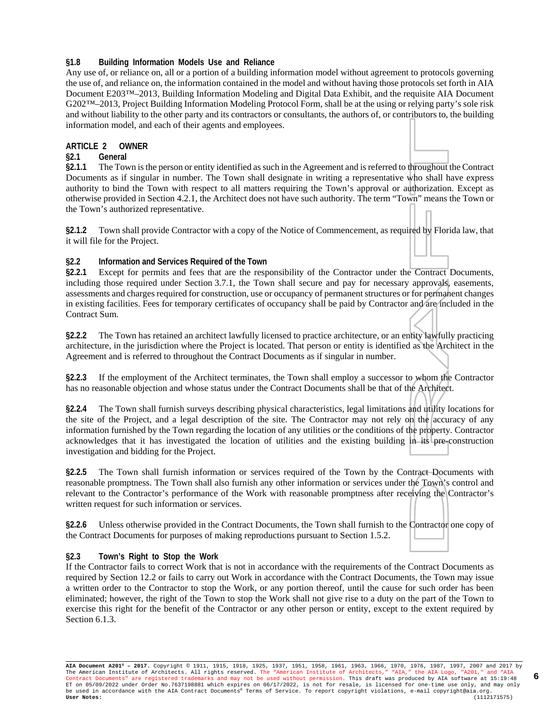#### **§1.8 Building Information Models Use and Reliance**

Any use of, or reliance on, all or a portion of a building information model without agreement to protocols governing the use of, and reliance on, the information contained in the model and without having those protocols set forth in AIA Document E203™–2013, Building Information Modeling and Digital Data Exhibit, and the requisite AIA Document G202™–2013, Project Building Information Modeling Protocol Form, shall be at the using or relying party's sole risk and without liability to the other party and its contractors or consultants, the authors of, or contributors to, the building information model, and each of their agents and employees.

#### **ARTICLE 2 OWNER**

#### **§2.1 General**

**§2.1.1** The Town is the person or entity identified as such in the Agreement and is referred to throughout the Contract Documents as if singular in number. The Town shall designate in writing a representative who shall have express authority to bind the Town with respect to all matters requiring the Town's approval or authorization. Except as otherwise provided in Section 4.2.1, the Architect does not have such authority. The term "Town" means the Town or the Town's authorized representative.

**§2.1.2** Town shall provide Contractor with a copy of the Notice of Commencement, as required by Florida law, that it will file for the Project.

#### **§2.2 Information and Services Required of the Town**

**§2.2.1** Except for permits and fees that are the responsibility of the Contractor under the Contract Documents, including those required under Section 3.7.1, the Town shall secure and pay for necessary approvals, easements, assessments and charges required for construction, use or occupancy of permanent structures or for permanent changes in existing facilities. Fees for temporary certificates of occupancy shall be paid by Contractor and are included in the Contract Sum.

**§2.2.2** The Town has retained an architect lawfully licensed to practice architecture, or an entity lawfully practicing architecture, in the jurisdiction where the Project is located. That person or entity is identified as the Architect in the Agreement and is referred to throughout the Contract Documents as if singular in number.

**§2.2.3** If the employment of the Architect terminates, the Town shall employ a successor to whom the Contractor has no reasonable objection and whose status under the Contract Documents shall be that of the Architect.

**§2.2.4** The Town shall furnish surveys describing physical characteristics, legal limitations and utility locations for the site of the Project, and a legal description of the site. The Contractor may not rely on the accuracy of any information furnished by the Town regarding the location of any utilities or the conditions of the property. Contractor acknowledges that it has investigated the location of utilities and the existing building in its pre-construction investigation and bidding for the Project.

**§2.2.5** The Town shall furnish information or services required of the Town by the Contract Documents with reasonable promptness. The Town shall also furnish any other information or services under the Town's control and relevant to the Contractor's performance of the Work with reasonable promptness after receiving the Contractor's written request for such information or services.

**§2.2.6** Unless otherwise provided in the Contract Documents, the Town shall furnish to the Contractor one copy of the Contract Documents for purposes of making reproductions pursuant to Section 1.5.2.

#### **§2.3 Town's Right to Stop the Work**

If the Contractor fails to correct Work that is not in accordance with the requirements of the Contract Documents as required by Section 12.2 or fails to carry out Work in accordance with the Contract Documents, the Town may issue a written order to the Contractor to stop the Work, or any portion thereof, until the cause for such order has been eliminated; however, the right of the Town to stop the Work shall not give rise to a duty on the part of the Town to exercise this right for the benefit of the Contractor or any other person or entity, except to the extent required by Section 6.1.3.

**AIA Document A201® – 2017.** Copyright © 1911, 1915, 1918, 1925, 1937, 1951, 1958, 1961, 1963, 1966, 1970, 1976, 1987, 1997, 2007 and 2017 by The American Institute of Architects. All rights reserved. The "American Institute of Architects," "AIA," the AIA Logo, "A201," and "AIA<br>Contract Documents" are registered trademarks and may not be used without permission. ET on 05/09/2022 under Order No.7637198881 which expires on 06/17/2022, is not for resale, is licensed for one-time use only, and may only<br>be used in accordance with the AIA Contract Documents® Terms of Service. To report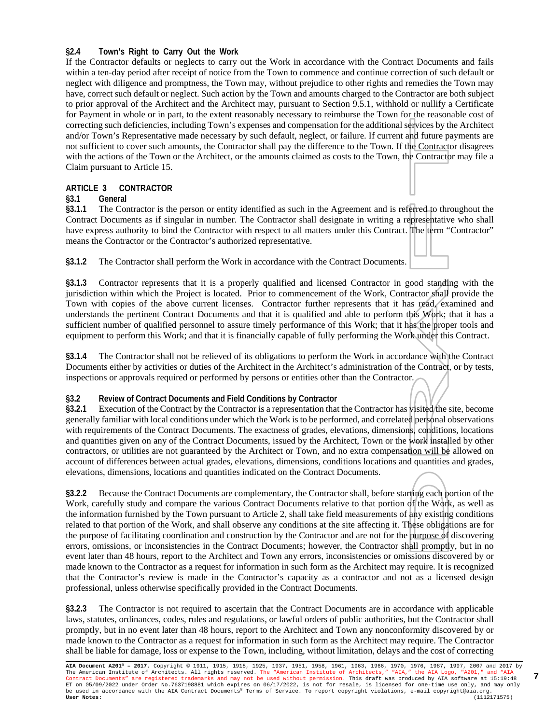#### **§2.4 Town's Right to Carry Out the Work**

If the Contractor defaults or neglects to carry out the Work in accordance with the Contract Documents and fails within a ten-day period after receipt of notice from the Town to commence and continue correction of such default or neglect with diligence and promptness, the Town may, without prejudice to other rights and remedies the Town may have, correct such default or neglect. Such action by the Town and amounts charged to the Contractor are both subject to prior approval of the Architect and the Architect may, pursuant to Section 9.5.1, withhold or nullify a Certificate for Payment in whole or in part, to the extent reasonably necessary to reimburse the Town for the reasonable cost of correcting such deficiencies, including Town's expenses and compensation for the additional services by the Architect and/or Town's Representative made necessary by such default, neglect, or failure. If current and future payments are not sufficient to cover such amounts, the Contractor shall pay the difference to the Town. If the Contractor disagrees with the actions of the Town or the Architect, or the amounts claimed as costs to the Town, the Contractor may file a Claim pursuant to Article 15.

#### **ARTICLE 3 CONTRACTOR**

#### **§3.1 General**

**§3.1.1** The Contractor is the person or entity identified as such in the Agreement and is referred to throughout the Contract Documents as if singular in number. The Contractor shall designate in writing a representative who shall have express authority to bind the Contractor with respect to all matters under this Contract. The term "Contractor" means the Contractor or the Contractor's authorized representative.

**§3.1.2** The Contractor shall perform the Work in accordance with the Contract Documents.

**§3.1.3** Contractor represents that it is a properly qualified and licensed Contractor in good standing with the jurisdiction within which the Project is located. Prior to commencement of the Work, Contractor shall provide the Town with copies of the above current licenses. Contractor further represents that it has read, examined and understands the pertinent Contract Documents and that it is qualified and able to perform this Work; that it has a sufficient number of qualified personnel to assure timely performance of this Work; that it has the proper tools and equipment to perform this Work; and that it is financially capable of fully performing the Work under this Contract.

**§3.1.4** The Contractor shall not be relieved of its obligations to perform the Work in accordance with the Contract Documents either by activities or duties of the Architect in the Architect's administration of the Contract, or by tests, inspections or approvals required or performed by persons or entities other than the Contractor.

#### **§3.2 Review of Contract Documents and Field Conditions by Contractor**

**§3.2.1** Execution of the Contract by the Contractor is a representation that the Contractor has visited the site, become generally familiar with local conditions under which the Work is to be performed, and correlated personal observations with requirements of the Contract Documents. The exactness of grades, elevations, dimensions, conditions, locations and quantities given on any of the Contract Documents, issued by the Architect, Town or the work installed by other contractors, or utilities are not guaranteed by the Architect or Town, and no extra compensation will be allowed on account of differences between actual grades, elevations, dimensions, conditions locations and quantities and grades, elevations, dimensions, locations and quantities indicated on the Contract Documents.

**§3.2.2** Because the Contract Documents are complementary, the Contractor shall, before starting each portion of the Work, carefully study and compare the various Contract Documents relative to that portion of the Work, as well as the information furnished by the Town pursuant to Article 2, shall take field measurements of any existing conditions related to that portion of the Work, and shall observe any conditions at the site affecting it. These obligations are for the purpose of facilitating coordination and construction by the Contractor and are not for the purpose of discovering errors, omissions, or inconsistencies in the Contract Documents; however, the Contractor shall promptly, but in no event later than 48 hours, report to the Architect and Town any errors, inconsistencies or omissions discovered by or made known to the Contractor as a request for information in such form as the Architect may require. It is recognized that the Contractor's review is made in the Contractor's capacity as a contractor and not as a licensed design professional, unless otherwise specifically provided in the Contract Documents.

**§3.2.3** The Contractor is not required to ascertain that the Contract Documents are in accordance with applicable laws, statutes, ordinances, codes, rules and regulations, or lawful orders of public authorities, but the Contractor shall promptly, but in no event later than 48 hours, report to the Architect and Town any nonconformity discovered by or made known to the Contractor as a request for information in such form as the Architect may require. The Contractor shall be liable for damage, loss or expense to the Town, including, without limitation, delays and the cost of correcting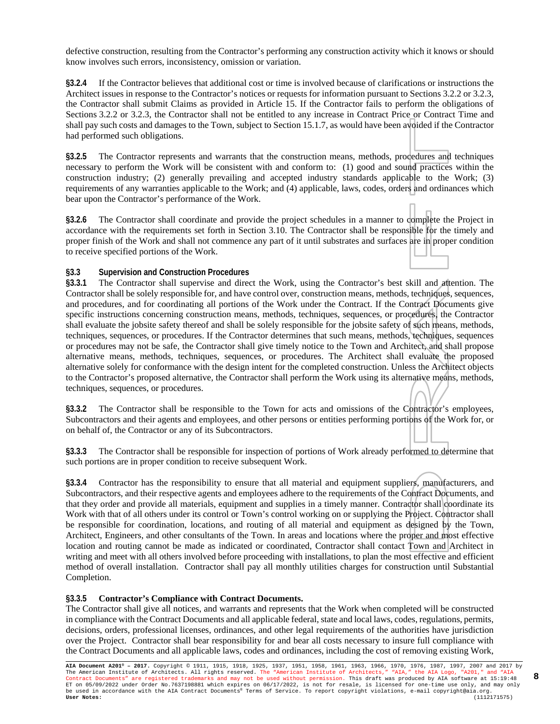defective construction, resulting from the Contractor's performing any construction activity which it knows or should know involves such errors, inconsistency, omission or variation.

**§3.2.4** If the Contractor believes that additional cost or time is involved because of clarifications or instructions the Architect issues in response to the Contractor's notices or requests for information pursuant to Sections 3.2.2 or 3.2.3, the Contractor shall submit Claims as provided in Article 15. If the Contractor fails to perform the obligations of Sections 3.2.2 or 3.2.3, the Contractor shall not be entitled to any increase in Contract Price or Contract Time and shall pay such costs and damages to the Town, subject to Section 15.1.7, as would have been avoided if the Contractor had performed such obligations.

**§3.2.5** The Contractor represents and warrants that the construction means, methods, procedures and techniques necessary to perform the Work will be consistent with and conform to: (1) good and sound practices within the construction industry; (2) generally prevailing and accepted industry standards applicable to the Work; (3) requirements of any warranties applicable to the Work; and (4) applicable, laws, codes, orders and ordinances which bear upon the Contractor's performance of the Work.

**§3.2.6** The Contractor shall coordinate and provide the project schedules in a manner to complete the Project in accordance with the requirements set forth in Section 3.10. The Contractor shall be responsible for the timely and proper finish of the Work and shall not commence any part of it until substrates and surfaces are in proper condition to receive specified portions of the Work.

#### **§3.3 Supervision and Construction Procedures**

**§3.3.1** The Contractor shall supervise and direct the Work, using the Contractor's best skill and attention. The Contractor shall be solely responsible for, and have control over, construction means, methods, techniques, sequences, and procedures, and for coordinating all portions of the Work under the Contract. If the Contract Documents give specific instructions concerning construction means, methods, techniques, sequences, or procedures, the Contractor shall evaluate the jobsite safety thereof and shall be solely responsible for the jobsite safety of such means, methods, techniques, sequences, or procedures. If the Contractor determines that such means, methods, techniques, sequences or procedures may not be safe, the Contractor shall give timely notice to the Town and Architect, and shall propose alternative means, methods, techniques, sequences, or procedures. The Architect shall evaluate the proposed alternative solely for conformance with the design intent for the completed construction. Unless the Architect objects to the Contractor's proposed alternative, the Contractor shall perform the Work using its alternative means, methods, techniques, sequences, or procedures.

**§3.3.2** The Contractor shall be responsible to the Town for acts and omissions of the Contractor's employees, Subcontractors and their agents and employees, and other persons or entities performing portions of the Work for, or on behalf of, the Contractor or any of its Subcontractors.

**§3.3.3** The Contractor shall be responsible for inspection of portions of Work already performed to determine that such portions are in proper condition to receive subsequent Work.

**§3.3.4** Contractor has the responsibility to ensure that all material and equipment suppliers, manufacturers, and Subcontractors, and their respective agents and employees adhere to the requirements of the Contract Documents, and that they order and provide all materials, equipment and supplies in a timely manner. Contractor shall coordinate its Work with that of all others under its control or Town's control working on or supplying the Project. Contractor shall be responsible for coordination, locations, and routing of all material and equipment as designed by the Town, Architect, Engineers, and other consultants of the Town. In areas and locations where the proper and most effective location and routing cannot be made as indicated or coordinated, Contractor shall contact Town and Architect in writing and meet with all others involved before proceeding with installations, to plan the most effective and efficient method of overall installation. Contractor shall pay all monthly utilities charges for construction until Substantial Completion.

#### **§3.3.5 Contractor's Compliance with Contract Documents.**

The Contractor shall give all notices, and warrants and represents that the Work when completed will be constructed in compliance with the Contract Documents and all applicable federal, state and local laws, codes, regulations, permits, decisions, orders, professional licenses, ordinances, and other legal requirements of the authorities have jurisdiction over the Project. Contractor shall bear responsibility for and bear all costs necessary to insure full compliance with the Contract Documents and all applicable laws, codes and ordinances, including the cost of removing existing Work,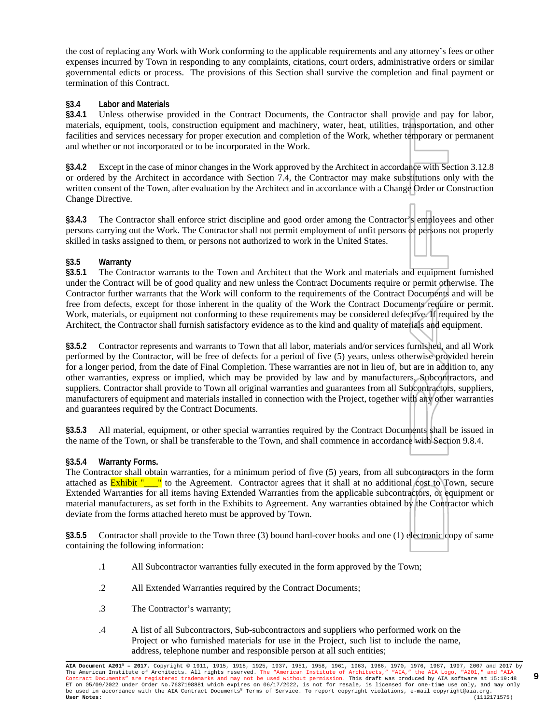the cost of replacing any Work with Work conforming to the applicable requirements and any attorney's fees or other expenses incurred by Town in responding to any complaints, citations, court orders, administrative orders or similar governmental edicts or process. The provisions of this Section shall survive the completion and final payment or termination of this Contract.

#### **§3.4 Labor and Materials**

**§3.4.1** Unless otherwise provided in the Contract Documents, the Contractor shall provide and pay for labor, materials, equipment, tools, construction equipment and machinery, water, heat, utilities, transportation, and other facilities and services necessary for proper execution and completion of the Work, whether temporary or permanent and whether or not incorporated or to be incorporated in the Work.

**§3.4.2** Except in the case of minor changes in the Work approved by the Architect in accordance with Section 3.12.8 or ordered by the Architect in accordance with Section 7.4, the Contractor may make substitutions only with the written consent of the Town, after evaluation by the Architect and in accordance with a Change Order or Construction Change Directive.

**§3.4.3** The Contractor shall enforce strict discipline and good order among the Contractor's employees and other persons carrying out the Work. The Contractor shall not permit employment of unfit persons or persons not properly skilled in tasks assigned to them, or persons not authorized to work in the United States.

#### **§3.5 Warranty**

**§3.5.1** The Contractor warrants to the Town and Architect that the Work and materials and equipment furnished under the Contract will be of good quality and new unless the Contract Documents require or permit otherwise. The Contractor further warrants that the Work will conform to the requirements of the Contract Documents and will be free from defects, except for those inherent in the quality of the Work the Contract Documents require or permit. Work, materials, or equipment not conforming to these requirements may be considered defective. If required by the Architect, the Contractor shall furnish satisfactory evidence as to the kind and quality of materials and equipment.

**§3.5.2** Contractor represents and warrants to Town that all labor, materials and/or services furnished, and all Work performed by the Contractor, will be free of defects for a period of five (5) years, unless otherwise provided herein for a longer period, from the date of Final Completion. These warranties are not in lieu of, but are in addition to, any other warranties, express or implied, which may be provided by law and by manufacturers, Subcontractors, and suppliers. Contractor shall provide to Town all original warranties and guarantees from all Subcontractors, suppliers, manufacturers of equipment and materials installed in connection with the Project, together with any other warranties and guarantees required by the Contract Documents.

**§3.5.3** All material, equipment, or other special warranties required by the Contract Documents shall be issued in the name of the Town, or shall be transferable to the Town, and shall commence in accordance with Section 9.8.4.

#### **§3.5.4 Warranty Forms.**

The Contractor shall obtain warranties, for a minimum period of five (5) years, from all subcontractors in the form attached as **Exhibit "\_\_\_"** to the Agreement. Contractor agrees that it shall at no additional cost to Town, secure Extended Warranties for all items having Extended Warranties from the applicable subcontractors, or equipment or material manufacturers, as set forth in the Exhibits to Agreement. Any warranties obtained by the Contractor which deviate from the forms attached hereto must be approved by Town.

**§3.5.5** Contractor shall provide to the Town three (3) bound hard-cover books and one (1) electronic copy of same containing the following information:

- .1 All Subcontractor warranties fully executed in the form approved by the Town;
- .2 All Extended Warranties required by the Contract Documents;
- .3 The Contractor's warranty;
- .4 A list of all Subcontractors, Sub-subcontractors and suppliers who performed work on the Project or who furnished materials for use in the Project, such list to include the name, address, telephone number and responsible person at all such entities;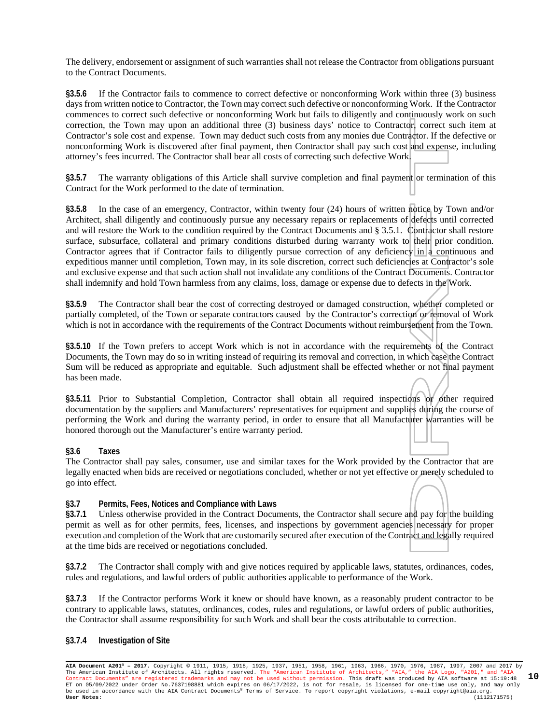The delivery, endorsement or assignment of such warranties shall not release the Contractor from obligations pursuant to the Contract Documents.

**§3.5.6** If the Contractor fails to commence to correct defective or nonconforming Work within three (3) business days from written notice to Contractor, the Town may correct such defective or nonconforming Work. If the Contractor commences to correct such defective or nonconforming Work but fails to diligently and continuously work on such correction, the Town may upon an additional three (3) business days' notice to Contractor, correct such item at Contractor's sole cost and expense. Town may deduct such costs from any monies due Contractor. If the defective or nonconforming Work is discovered after final payment, then Contractor shall pay such cost and expense, including attorney's fees incurred. The Contractor shall bear all costs of correcting such defective Work.

**§3.5.7** The warranty obligations of this Article shall survive completion and final payment or termination of this Contract for the Work performed to the date of termination.

**§3.5.8** In the case of an emergency, Contractor, within twenty four (24) hours of written notice by Town and/or Architect, shall diligently and continuously pursue any necessary repairs or replacements of defects until corrected and will restore the Work to the condition required by the Contract Documents and § 3.5.1. Contractor shall restore surface, subsurface, collateral and primary conditions disturbed during warranty work to their prior condition. Contractor agrees that if Contractor fails to diligently pursue correction of any deficiency in a continuous and expeditious manner until completion, Town may, in its sole discretion, correct such deficiencies at Contractor's sole and exclusive expense and that such action shall not invalidate any conditions of the Contract Documents. Contractor shall indemnify and hold Town harmless from any claims, loss, damage or expense due to defects in the Work.

**§3.5.9** The Contractor shall bear the cost of correcting destroyed or damaged construction, whether completed or partially completed, of the Town or separate contractors caused by the Contractor's correction or removal of Work which is not in accordance with the requirements of the Contract Documents without reimbursement from the Town.

**§3.5.10** If the Town prefers to accept Work which is not in accordance with the requirements of the Contract Documents, the Town may do so in writing instead of requiring its removal and correction, in which case the Contract Sum will be reduced as appropriate and equitable. Such adjustment shall be effected whether or not final payment has been made.

**§3.5.11** Prior to Substantial Completion, Contractor shall obtain all required inspections or other required documentation by the suppliers and Manufacturers' representatives for equipment and supplies during the course of performing the Work and during the warranty period, in order to ensure that all Manufacturer warranties will be honored thorough out the Manufacturer's entire warranty period.

#### **§3.6 Taxes**

The Contractor shall pay sales, consumer, use and similar taxes for the Work provided by the Contractor that are legally enacted when bids are received or negotiations concluded, whether or not yet effective or merely scheduled to go into effect.

#### **§3.7 Permits, Fees, Notices and Compliance with Laws**

**§3.7.1** Unless otherwise provided in the Contract Documents, the Contractor shall secure and pay for the building permit as well as for other permits, fees, licenses, and inspections by government agencies necessary for proper execution and completion of the Work that are customarily secured after execution of the Contract and legally required at the time bids are received or negotiations concluded.

**§3.7.2** The Contractor shall comply with and give notices required by applicable laws, statutes, ordinances, codes, rules and regulations, and lawful orders of public authorities applicable to performance of the Work.

**§3.7.3** If the Contractor performs Work it knew or should have known, as a reasonably prudent contractor to be contrary to applicable laws, statutes, ordinances, codes, rules and regulations, or lawful orders of public authorities, the Contractor shall assume responsibility for such Work and shall bear the costs attributable to correction.

#### **§3.7.4 Investigation of Site**

**AIA Document A201® – 2017.** Copyright © 1911, 1915, 1918, 1925, 1937, 1951, 1958, 1961, 1963, 1966, 1970, 1976, 1987, 1997, 2007 and 2017 by The American Institute of Architects. All rights reserved. The "American Institute of Architects," "AIA," the AIA Logo, "A201," and "AIA<br>Contract Documents" are registered trademarks and may not be used without permission. ET on 05/09/2022 under Order No.7637198881 which expires on 06/17/2022, is not for resale, is licensed for one-time use only, and may only<br>be used in accordance with the AIA Contract Documents® Terms of Service. To report **10**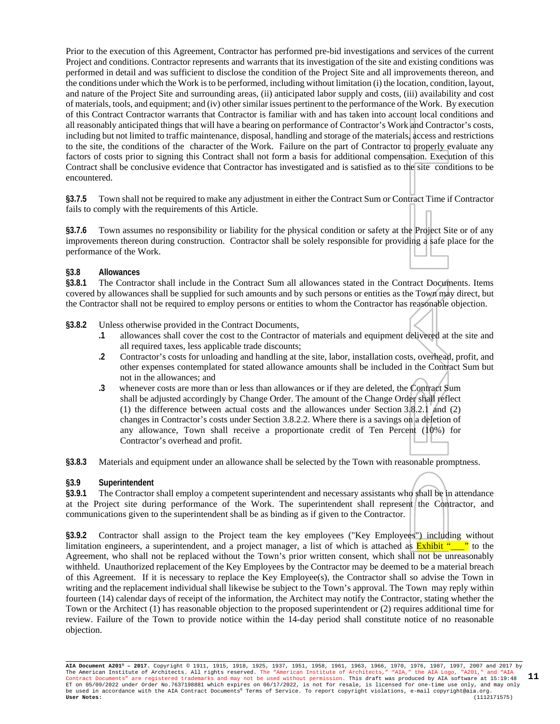Prior to the execution of this Agreement, Contractor has performed pre-bid investigations and services of the current Project and conditions. Contractor represents and warrants that its investigation of the site and existing conditions was performed in detail and was sufficient to disclose the condition of the Project Site and all improvements thereon, and the conditions under which the Work is to be performed, including without limitation (i) the location, condition, layout, and nature of the Project Site and surrounding areas, (ii) anticipated labor supply and costs, (iii) availability and cost of materials, tools, and equipment; and (iv) other similar issues pertinent to the performance of the Work. By execution of this Contract Contractor warrants that Contractor is familiar with and has taken into account local conditions and all reasonably anticipated things that will have a bearing on performance of Contractor's Work and Contractor's costs, including but not limited to traffic maintenance, disposal, handling and storage of the materials, access and restrictions to the site, the conditions of the character of the Work. Failure on the part of Contractor to properly evaluate any factors of costs prior to signing this Contract shall not form a basis for additional compensation. Execution of this Contract shall be conclusive evidence that Contractor has investigated and is satisfied as to the site conditions to be encountered.

**§3.7.5** Town shall not be required to make any adjustment in either the Contract Sum or Contract Time if Contractor fails to comply with the requirements of this Article.

**§3.7.6** Town assumes no responsibility or liability for the physical condition or safety at the Project Site or of any improvements thereon during construction. Contractor shall be solely responsible for providing a safe place for the performance of the Work.

#### **§3.8 Allowances**

**§3.8.1** The Contractor shall include in the Contract Sum all allowances stated in the Contract Documents. Items covered by allowances shall be supplied for such amounts and by such persons or entities as the Town may direct, but the Contractor shall not be required to employ persons or entities to whom the Contractor has reasonable objection.

#### **§3.8.2** Unless otherwise provided in the Contract Documents,

- **.1** allowances shall cover the cost to the Contractor of materials and equipment delivered at the site and all required taxes, less applicable trade discounts;
- **.2** Contractor's costs for unloading and handling at the site, labor, installation costs, overhead, profit, and other expenses contemplated for stated allowance amounts shall be included in the Contract Sum but not in the allowances; and
- **.3** whenever costs are more than or less than allowances or if they are deleted, the Contract Sum shall be adjusted accordingly by Change Order. The amount of the Change Order shall reflect (1) the difference between actual costs and the allowances under Section  $3.8 \cdot 3.2.1$  and (2) changes in Contractor's costs under Section 3.8.2.2. Where there is a savings on a deletion of any allowance, Town shall receive a proportionate credit of Ten Percent (10%) for Contractor's overhead and profit.

**§3.8.3** Materials and equipment under an allowance shall be selected by the Town with reasonable promptness.

#### **§3.9 Superintendent**

**§3.9.1** The Contractor shall employ a competent superintendent and necessary assistants who shall be in attendance at the Project site during performance of the Work. The superintendent shall represent the Contractor, and communications given to the superintendent shall be as binding as if given to the Contractor.

**§3.9.2** Contractor shall assign to the Project team the key employees ("Key Employees") including without limitation engineers, a superintendent, and a project manager, a list of which is attached as  $\frac{Exhibit "}}{2"$  to the Agreement, who shall not be replaced without the Town's prior written consent, which shall not be unreasonably withheld. Unauthorized replacement of the Key Employees by the Contractor may be deemed to be a material breach of this Agreement. If it is necessary to replace the Key Employee(s), the Contractor shall so advise the Town in writing and the replacement individual shall likewise be subject to the Town's approval. The Town may reply within fourteen (14) calendar days of receipt of the information, the Architect may notify the Contractor, stating whether the Town or the Architect (1) has reasonable objection to the proposed superintendent or (2) requires additional time for review. Failure of the Town to provide notice within the 14-day period shall constitute notice of no reasonable objection.

**AIA Document A201® – 2017.** Copyright © 1911, 1915, 1918, 1925, 1937, 1951, 1958, 1961, 1963, 1966, 1970, 1976, 1987, 1997, 2007 and 2017 by The American Institute of Architects. All rights reserved. The "American Institute of Architects," "AIA," the AIA Logo, "A201," and "AIA<br>Contract Documents" are registered trademarks and may not be used without permission. ET on 05/09/2022 under Order No.7637198881 which expires on 06/17/2022, is not for resale, is licensed for one-time use only, and may only<br>be used in accordance with the AIA Contract Documents® Terms of Service. To report **11**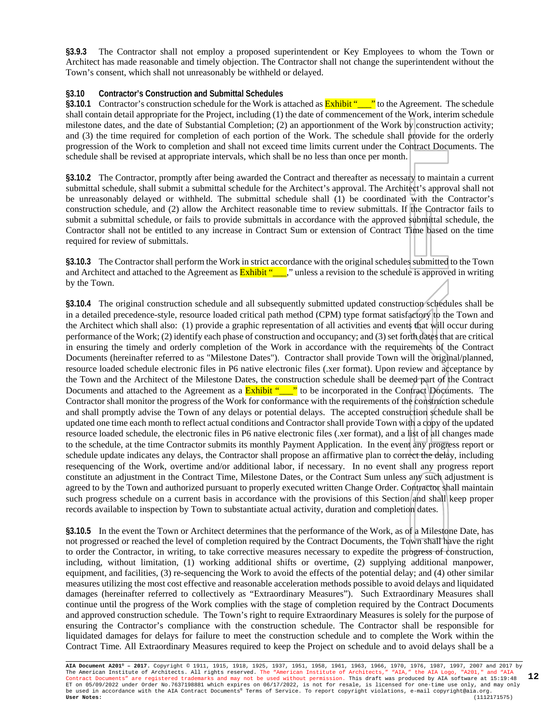**§3.9.3** The Contractor shall not employ a proposed superintendent or Key Employees to whom the Town or Architect has made reasonable and timely objection. The Contractor shall not change the superintendent without the Town's consent, which shall not unreasonably be withheld or delayed.

#### **§3.10 Contractor's Construction and Submittal Schedules**

**§3.10.1** Contractor's construction schedule for the Work is attached as **Exhibit "** to the Agreement. The schedule shall contain detail appropriate for the Project, including (1) the date of commencement of the Work, interim schedule milestone dates, and the date of Substantial Completion; (2) an apportionment of the Work by construction activity; and (3) the time required for completion of each portion of the Work. The schedule shall provide for the orderly progression of the Work to completion and shall not exceed time limits current under the Contract Documents. The schedule shall be revised at appropriate intervals, which shall be no less than once per month.

**§3.10.2** The Contractor, promptly after being awarded the Contract and thereafter as necessary to maintain a current submittal schedule, shall submit a submittal schedule for the Architect's approval. The Architect's approval shall not be unreasonably delayed or withheld. The submittal schedule shall (1) be coordinated with the Contractor's construction schedule, and (2) allow the Architect reasonable time to review submittals. If the Contractor fails to submit a submittal schedule, or fails to provide submittals in accordance with the approved submittal schedule, the Contractor shall not be entitled to any increase in Contract Sum or extension of Contract Time based on the time required for review of submittals.

**§3.10.3** The Contractor shall perform the Work in strict accordance with the original schedules submitted to the Town and Architect and attached to the Agreement as **Exhibit "**\_\_," unless a revision to the schedule is approved in writing by the Town.

**§3.10.4** The original construction schedule and all subsequently submitted updated construction schedules shall be in a detailed precedence-style, resource loaded critical path method (CPM) type format satisfactory to the Town and the Architect which shall also: (1) provide a graphic representation of all activities and events that will occur during performance of the Work; (2) identify each phase of construction and occupancy; and (3) set forth dates that are critical in ensuring the timely and orderly completion of the Work in accordance with the requirements of the Contract Documents (hereinafter referred to as "Milestone Dates"). Contractor shall provide Town will the original/planned, resource loaded schedule electronic files in P6 native electronic files (.xer format). Upon review and acceptance by the Town and the Architect of the Milestone Dates, the construction schedule shall be deemed part of the Contract Documents and attached to the Agreement as a **Exhibit "\_\_\_"** to be incorporated in the Contract Documents. The Contractor shall monitor the progress of the Work for conformance with the requirements of the construction schedule and shall promptly advise the Town of any delays or potential delays. The accepted construction schedule shall be updated one time each month to reflect actual conditions and Contractor shall provide Town with a copy of the updated resource loaded schedule, the electronic files in P6 native electronic files (.xer format), and a list of all changes made to the schedule, at the time Contractor submits its monthly Payment Application. In the event any progress report or schedule update indicates any delays, the Contractor shall propose an affirmative plan to correct the delay, including resequencing of the Work, overtime and/or additional labor, if necessary. In no event shall any progress report constitute an adjustment in the Contract Time, Milestone Dates, or the Contract Sum unless any such adjustment is agreed to by the Town and authorized pursuant to properly executed written Change Order. Contractor shall maintain such progress schedule on a current basis in accordance with the provisions of this Section and shall keep proper records available to inspection by Town to substantiate actual activity, duration and completion dates.

**§3.10.5** In the event the Town or Architect determines that the performance of the Work, as of a Milestone Date, has not progressed or reached the level of completion required by the Contract Documents, the Town shall have the right to order the Contractor, in writing, to take corrective measures necessary to expedite the progress of construction, including, without limitation, (1) working additional shifts or overtime, (2) supplying additional manpower, equipment, and facilities, (3) re-sequencing the Work to avoid the effects of the potential delay; and (4) other similar measures utilizing the most cost effective and reasonable acceleration methods possible to avoid delays and liquidated damages (hereinafter referred to collectively as "Extraordinary Measures"). Such Extraordinary Measures shall continue until the progress of the Work complies with the stage of completion required by the Contract Documents and approved construction schedule. The Town's right to require Extraordinary Measures is solely for the purpose of ensuring the Contractor's compliance with the construction schedule. The Contractor shall be responsible for liquidated damages for delays for failure to meet the construction schedule and to complete the Work within the Contract Time. All Extraordinary Measures required to keep the Project on schedule and to avoid delays shall be a

**AIA Document A201® – 2017.** Copyright © 1911, 1915, 1918, 1925, 1937, 1951, 1958, 1961, 1963, 1966, 1970, 1976, 1987, 1997, 2007 and 2017 by The American Institute of Architects. All rights reserved. The "American Institute of Architects," "AIA," the AIA Logo, "A201," and "AIA<br>Contract Documents" are registered trademarks and may not be used without permission. ET on 05/09/2022 under Order No.7637198881 which expires on 06/17/2022, is not for resale, is licensed for one-time use only, and may only be used in accordance with the AIA Contract Documents® Terms of Service. To report copyright violations, e-mail copyright@aia.org. **User Notes:** (1112171575) **12**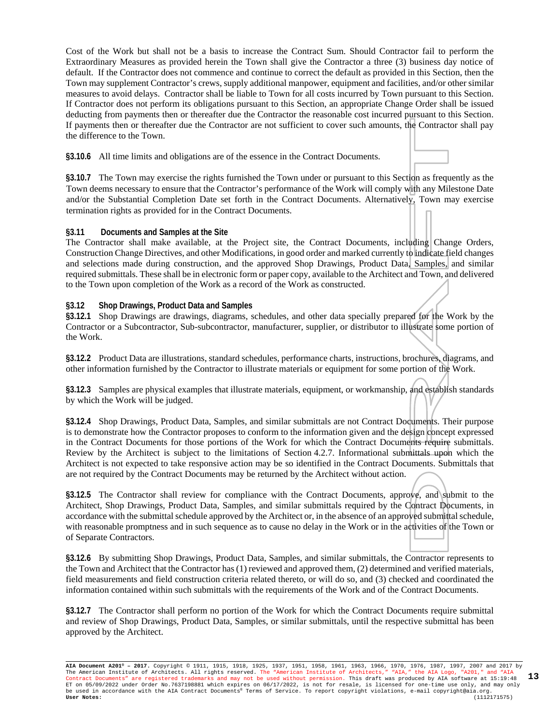Cost of the Work but shall not be a basis to increase the Contract Sum. Should Contractor fail to perform the Extraordinary Measures as provided herein the Town shall give the Contractor a three (3) business day notice of default. If the Contractor does not commence and continue to correct the default as provided in this Section, then the Town may supplement Contractor's crews, supply additional manpower, equipment and facilities, and/or other similar measures to avoid delays. Contractor shall be liable to Town for all costs incurred by Town pursuant to this Section. If Contractor does not perform its obligations pursuant to this Section, an appropriate Change Order shall be issued deducting from payments then or thereafter due the Contractor the reasonable cost incurred pursuant to this Section. If payments then or thereafter due the Contractor are not sufficient to cover such amounts, the Contractor shall pay the difference to the Town.

**§3.10.6** All time limits and obligations are of the essence in the Contract Documents.

**§3.10.7** The Town may exercise the rights furnished the Town under or pursuant to this Section as frequently as the Town deems necessary to ensure that the Contractor's performance of the Work will comply with any Milestone Date and/or the Substantial Completion Date set forth in the Contract Documents. Alternatively, Town may exercise termination rights as provided for in the Contract Documents.

#### **§3.11 Documents and Samples at the Site**

The Contractor shall make available, at the Project site, the Contract Documents, including Change Orders, Construction Change Directives, and other Modifications, in good order and marked currently to indicate field changes and selections made during construction, and the approved Shop Drawings, Product Data, Samples, and similar required submittals. These shall be in electronic form or paper copy, available to the Architect and Town, and delivered to the Town upon completion of the Work as a record of the Work as constructed.

#### **§3.12 Shop Drawings, Product Data and Samples**

**§3.12.1** Shop Drawings are drawings, diagrams, schedules, and other data specially prepared for the Work by the Contractor or a Subcontractor, Sub-subcontractor, manufacturer, supplier, or distributor to illustrate some portion of the Work.

**§3.12.2** Product Data are illustrations, standard schedules, performance charts, instructions, brochures, diagrams, and other information furnished by the Contractor to illustrate materials or equipment for some portion of the Work.

**§3.12.3** Samples are physical examples that illustrate materials, equipment, or workmanship, and establish standards by which the Work will be judged.

**§3.12.4** Shop Drawings, Product Data, Samples, and similar submittals are not Contract Documents. Their purpose is to demonstrate how the Contractor proposes to conform to the information given and the design concept expressed in the Contract Documents for those portions of the Work for which the Contract Documents require submittals. Review by the Architect is subject to the limitations of Section 4.2.7. Informational submittals upon which the Architect is not expected to take responsive action may be so identified in the Contract Documents. Submittals that are not required by the Contract Documents may be returned by the Architect without action.

**§3.12.5** The Contractor shall review for compliance with the Contract Documents, approve, and submit to the Architect, Shop Drawings, Product Data, Samples, and similar submittals required by the Contract Documents, in accordance with the submittal schedule approved by the Architect or, in the absence of an approved submittal schedule, with reasonable promptness and in such sequence as to cause no delay in the Work or in the activities of the Town or of Separate Contractors.

**§3.12.6** By submitting Shop Drawings, Product Data, Samples, and similar submittals, the Contractor represents to the Town and Architect that the Contractor has (1) reviewed and approved them, (2) determined and verified materials, field measurements and field construction criteria related thereto, or will do so, and (3) checked and coordinated the information contained within such submittals with the requirements of the Work and of the Contract Documents.

**§3.12.7** The Contractor shall perform no portion of the Work for which the Contract Documents require submittal and review of Shop Drawings, Product Data, Samples, or similar submittals, until the respective submittal has been approved by the Architect.

**AIA Document A201® – 2017.** Copyright © 1911, 1915, 1918, 1925, 1937, 1951, 1958, 1961, 1963, 1966, 1970, 1976, 1987, 1997, 2007 and 2017 by The American Institute of Architects. All rights reserved. The "American Institute of Architects," "AIA," the AIA Logo, "A201," and "AIA<br>Contract Documents" are registered trademarks and may not be used without permission. ET on 05/09/2022 under Order No.7637198881 which expires on 06/17/2022, is not for resale, is licensed for one-time use only, and may only<br>be used in accordance with the AIA Contract Documents® Terms of Service. To report **13**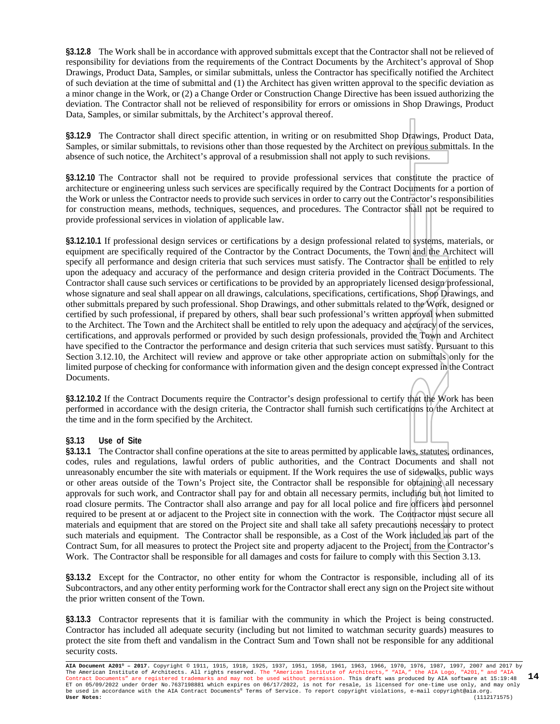**§3.12.8** The Work shall be in accordance with approved submittals except that the Contractor shall not be relieved of responsibility for deviations from the requirements of the Contract Documents by the Architect's approval of Shop Drawings, Product Data, Samples, or similar submittals, unless the Contractor has specifically notified the Architect of such deviation at the time of submittal and (1) the Architect has given written approval to the specific deviation as a minor change in the Work, or (2) a Change Order or Construction Change Directive has been issued authorizing the deviation. The Contractor shall not be relieved of responsibility for errors or omissions in Shop Drawings, Product Data, Samples, or similar submittals, by the Architect's approval thereof.

**§3.12.9** The Contractor shall direct specific attention, in writing or on resubmitted Shop Drawings, Product Data, Samples, or similar submittals, to revisions other than those requested by the Architect on previous submittals. In the absence of such notice, the Architect's approval of a resubmission shall not apply to such revisions.

**§3.12.10** The Contractor shall not be required to provide professional services that constitute the practice of architecture or engineering unless such services are specifically required by the Contract Documents for a portion of the Work or unless the Contractor needs to provide such services in order to carry out the Contractor's responsibilities for construction means, methods, techniques, sequences, and procedures. The Contractor shall not be required to provide professional services in violation of applicable law.

**§3.12.10.1** If professional design services or certifications by a design professional related to systems, materials, or equipment are specifically required of the Contractor by the Contract Documents, the Town and the Architect will specify all performance and design criteria that such services must satisfy. The Contractor shall be entitled to rely upon the adequacy and accuracy of the performance and design criteria provided in the Contract Documents. The Contractor shall cause such services or certifications to be provided by an appropriately licensed design professional, whose signature and seal shall appear on all drawings, calculations, specifications, certifications, Shop Drawings, and other submittals prepared by such professional. Shop Drawings, and other submittals related to the Work, designed or certified by such professional, if prepared by others, shall bear such professional's written approval when submitted to the Architect. The Town and the Architect shall be entitled to rely upon the adequacy and accuracy of the services, certifications, and approvals performed or provided by such design professionals, provided the Town and Architect have specified to the Contractor the performance and design criteria that such services must satisfy. Pursuant to this Section 3.12.10, the Architect will review and approve or take other appropriate action on submittals only for the limited purpose of checking for conformance with information given and the design concept expressed in the Contract Documents.

**§3.12.10.2** If the Contract Documents require the Contractor's design professional to certify that the Work has been performed in accordance with the design criteria, the Contractor shall furnish such certifications to the Architect at the time and in the form specified by the Architect.

#### **§3.13 Use of Site**

**§3.13.1** The Contractor shall confine operations at the site to areas permitted by applicable laws, statutes, ordinances, codes, rules and regulations, lawful orders of public authorities, and the Contract Documents and shall not unreasonably encumber the site with materials or equipment. If the Work requires the use of sidewalks, public ways or other areas outside of the Town's Project site, the Contractor shall be responsible for obtaining all necessary approvals for such work, and Contractor shall pay for and obtain all necessary permits, including but not limited to road closure permits. The Contractor shall also arrange and pay for all local police and fire officers and personnel required to be present at or adjacent to the Project site in connection with the work. The Contractor must secure all materials and equipment that are stored on the Project site and shall take all safety precautions necessary to protect such materials and equipment. The Contractor shall be responsible, as a Cost of the Work included as part of the Contract Sum, for all measures to protect the Project site and property adjacent to the Project, from the Contractor's Work. The Contractor shall be responsible for all damages and costs for failure to comply with this Section 3.13.

**§3.13.2** Except for the Contractor, no other entity for whom the Contractor is responsible, including all of its Subcontractors, and any other entity performing work for the Contractor shall erect any sign on the Project site without the prior written consent of the Town.

**§3.13.3** Contractor represents that it is familiar with the community in which the Project is being constructed. Contractor has included all adequate security (including but not limited to watchman security guards) measures to protect the site from theft and vandalism in the Contract Sum and Town shall not be responsible for any additional security costs.

**AIA Document A201® – 2017.** Copyright © 1911, 1915, 1918, 1925, 1937, 1951, 1958, 1961, 1963, 1966, 1970, 1976, 1987, 1997, 2007 and 2017 by The American Institute of Architects. All rights reserved. The "American Institute of Architects," "AIA," the AIA Logo, "A201," and "AIA<br>Contract Documents" are registered trademarks and may not be used without permission. ET on 05/09/2022 under Order No.7637198881 which expires on 06/17/2022, is not for resale, is licensed for one-time use only, and may only<br>be used in accordance with the AIA Contract Documents® Terms of Service. To report **14**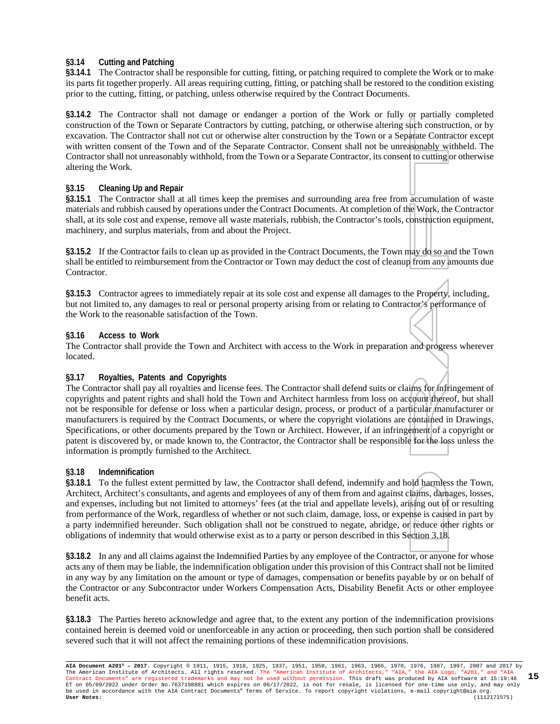#### **§3.14 Cutting and Patching**

**§3.14.1** The Contractor shall be responsible for cutting, fitting, or patching required to complete the Work or to make its parts fit together properly. All areas requiring cutting, fitting, or patching shall be restored to the condition existing prior to the cutting, fitting, or patching, unless otherwise required by the Contract Documents.

**§3.14.2** The Contractor shall not damage or endanger a portion of the Work or fully or partially completed construction of the Town or Separate Contractors by cutting, patching, or otherwise altering such construction, or by excavation. The Contractor shall not cut or otherwise alter construction by the Town or a Separate Contractor except with written consent of the Town and of the Separate Contractor. Consent shall not be unreasonably withheld. The Contractor shall not unreasonably withhold, from the Town or a Separate Contractor, its consent to cutting or otherwise altering the Work.

#### **§3.15 Cleaning Up and Repair**

**§3.15.1** The Contractor shall at all times keep the premises and surrounding area free from accumulation of waste materials and rubbish caused by operations under the Contract Documents. At completion of the Work, the Contractor shall, at its sole cost and expense, remove all waste materials, rubbish, the Contractor's tools, construction equipment, machinery, and surplus materials, from and about the Project.

**§3.15.2** If the Contractor fails to clean up as provided in the Contract Documents, the Town may do so and the Town shall be entitled to reimbursement from the Contractor or Town may deduct the cost of cleanup from any amounts due Contractor.

**§3.15.3** Contractor agrees to immediately repair at its sole cost and expense all damages to the Property, including, but not limited to, any damages to real or personal property arising from or relating to Contractor's performance of the Work to the reasonable satisfaction of the Town.

#### **§3.16 Access to Work**

The Contractor shall provide the Town and Architect with access to the Work in preparation and progress wherever located.

#### **§3.17 Royalties, Patents and Copyrights**

The Contractor shall pay all royalties and license fees. The Contractor shall defend suits or claims for infringement of copyrights and patent rights and shall hold the Town and Architect harmless from loss on account thereof, but shall not be responsible for defense or loss when a particular design, process, or product of a particular manufacturer or manufacturers is required by the Contract Documents, or where the copyright violations are contained in Drawings, Specifications, or other documents prepared by the Town or Architect. However, if an infringement of a copyright or patent is discovered by, or made known to, the Contractor, the Contractor shall be responsible for the loss unless the information is promptly furnished to the Architect.

#### **§3.18 Indemnification**

**§3.18.1** To the fullest extent permitted by law, the Contractor shall defend, indemnify and hold harmless the Town, Architect, Architect's consultants, and agents and employees of any of them from and against claims, damages, losses, and expenses, including but not limited to attorneys' fees (at the trial and appellate levels), arising out of or resulting from performance of the Work, regardless of whether or not such claim, damage, loss, or expense is caused in part by a party indemnified hereunder. Such obligation shall not be construed to negate, abridge, or reduce other rights or obligations of indemnity that would otherwise exist as to a party or person described in this Section 3.18.

**§3.18.2** In any and all claims against the Indemnified Parties by any employee of the Contractor, or anyone for whose acts any of them may be liable, the indemnification obligation under this provision of this Contract shall not be limited in any way by any limitation on the amount or type of damages, compensation or benefits payable by or on behalf of the Contractor or any Subcontractor under Workers Compensation Acts, Disability Benefit Acts or other employee benefit acts.

**§3.18.3** The Parties hereto acknowledge and agree that, to the extent any portion of the indemnification provisions contained herein is deemed void or unenforceable in any action or proceeding, then such portion shall be considered severed such that it will not affect the remaining portions of these indemnification provisions.

**AIA Document A201® – 2017.** Copyright © 1911, 1915, 1918, 1925, 1937, 1951, 1958, 1961, 1963, 1966, 1970, 1976, 1987, 1997, 2007 and 2017 by The American Institute of Architects. All rights reserved. The "American Institute of Architects," "AIA," the AIA Logo, "A201," and "AIA<br>Contract Documents" are registered trademarks and may not be used without permission. ET on 05/09/2022 under Order No.7637198881 which expires on 06/17/2022, is not for resale, is licensed for one-time use only, and may only<br>be used in accordance with the AIA Contract Documents® Terms of Service. To report **15**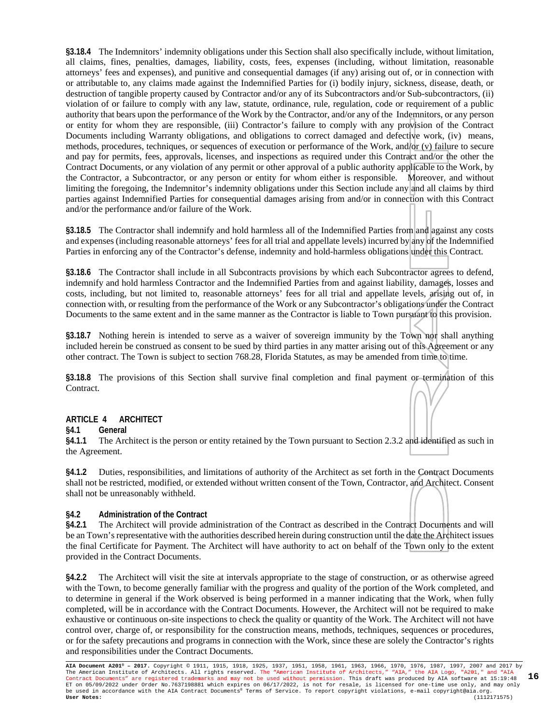**§3.18.4** The Indemnitors' indemnity obligations under this Section shall also specifically include, without limitation, all claims, fines, penalties, damages, liability, costs, fees, expenses (including, without limitation, reasonable attorneys' fees and expenses), and punitive and consequential damages (if any) arising out of, or in connection with or attributable to, any claims made against the Indemnified Parties for (i) bodily injury, sickness, disease, death, or destruction of tangible property caused by Contractor and/or any of its Subcontractors and/or Sub-subcontractors, (ii) violation of or failure to comply with any law, statute, ordinance, rule, regulation, code or requirement of a public authority that bears upon the performance of the Work by the Contractor, and/or any of the Indemnitors, or any person or entity for whom they are responsible, (iii) Contractor's failure to comply with any provision of the Contract Documents including Warranty obligations, and obligations to correct damaged and defective work, (iv) means, methods, procedures, techniques, or sequences of execution or performance of the Work, and/or (v) failure to secure and pay for permits, fees, approvals, licenses, and inspections as required under this Contract and/or the other the Contract Documents, or any violation of any permit or other approval of a public authority applicable to the Work, by the Contractor, a Subcontractor, or any person or entity for whom either is responsible. Moreover, and without limiting the foregoing, the Indemnitor's indemnity obligations under this Section include any and all claims by third parties against Indemnified Parties for consequential damages arising from and/or in connection with this Contract and/or the performance and/or failure of the Work.

**§3.18.5** The Contractor shall indemnify and hold harmless all of the Indemnified Parties from and against any costs and expenses (including reasonable attorneys' fees for all trial and appellate levels) incurred by any of the Indemnified Parties in enforcing any of the Contractor's defense, indemnity and hold-harmless obligations under this Contract.

**§3.18.6** The Contractor shall include in all Subcontracts provisions by which each Subcontractor agrees to defend, indemnify and hold harmless Contractor and the Indemnified Parties from and against liability, damages, losses and costs, including, but not limited to, reasonable attorneys' fees for all trial and appellate levels, arising out of, in connection with, or resulting from the performance of the Work or any Subcontractor's obligations under the Contract Documents to the same extent and in the same manner as the Contractor is liable to Town pursuant to this provision.

**§3.18.7** Nothing herein is intended to serve as a waiver of sovereign immunity by the Town nor shall anything included herein be construed as consent to be sued by third parties in any matter arising out of this Agreement or any other contract. The Town is subject to section 768.28, Florida Statutes, as may be amended from time to time.

**§3.18.8** The provisions of this Section shall survive final completion and final payment or termination of this Contract.

#### **ARTICLE 4 ARCHITECT**

**§4.1 General**

**§4.1.1** The Architect is the person or entity retained by the Town pursuant to Section 2.3.2 and identified as such in the Agreement.

**§4.1.2** Duties, responsibilities, and limitations of authority of the Architect as set forth in the Contract Documents shall not be restricted, modified, or extended without written consent of the Town, Contractor, and Architect. Consent shall not be unreasonably withheld.

#### **§4.2 Administration of the Contract**

**§4.2.1** The Architect will provide administration of the Contract as described in the Contract Documents and will be an Town's representative with the authorities described herein during construction until the date the Architect issues the final Certificate for Payment. The Architect will have authority to act on behalf of the Town only to the extent provided in the Contract Documents.

**§4.2.2** The Architect will visit the site at intervals appropriate to the stage of construction, or as otherwise agreed with the Town, to become generally familiar with the progress and quality of the portion of the Work completed, and to determine in general if the Work observed is being performed in a manner indicating that the Work, when fully completed, will be in accordance with the Contract Documents. However, the Architect will not be required to make exhaustive or continuous on-site inspections to check the quality or quantity of the Work. The Architect will not have control over, charge of, or responsibility for the construction means, methods, techniques, sequences or procedures, or for the safety precautions and programs in connection with the Work, since these are solely the Contractor's rights and responsibilities under the Contract Documents.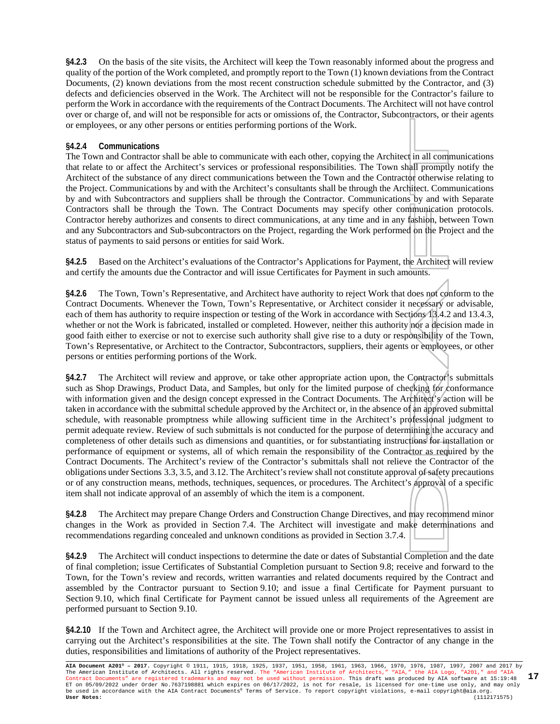**§4.2.3** On the basis of the site visits, the Architect will keep the Town reasonably informed about the progress and quality of the portion of the Work completed, and promptly report to the Town (1) known deviations from the Contract Documents, (2) known deviations from the most recent construction schedule submitted by the Contractor, and (3) defects and deficiencies observed in the Work. The Architect will not be responsible for the Contractor's failure to perform the Work in accordance with the requirements of the Contract Documents. The Architect will not have control over or charge of, and will not be responsible for acts or omissions of, the Contractor, Subcontractors, or their agents or employees, or any other persons or entities performing portions of the Work.

#### **§4.2.4 Communications**

The Town and Contractor shall be able to communicate with each other, copying the Architect in all communications that relate to or affect the Architect's services or professional responsibilities. The Town shall promptly notify the Architect of the substance of any direct communications between the Town and the Contractor otherwise relating to the Project. Communications by and with the Architect's consultants shall be through the Architect. Communications by and with Subcontractors and suppliers shall be through the Contractor. Communications by and with Separate Contractors shall be through the Town. The Contract Documents may specify other communication protocols. Contractor hereby authorizes and consents to direct communications, at any time and in any fashion, between Town and any Subcontractors and Sub-subcontractors on the Project, regarding the Work performed on the Project and the status of payments to said persons or entities for said Work.

**§4.2.5** Based on the Architect's evaluations of the Contractor's Applications for Payment, the Architect will review and certify the amounts due the Contractor and will issue Certificates for Payment in such amounts.

**§4.2.6** The Town, Town's Representative, and Architect have authority to reject Work that does not conform to the Contract Documents. Whenever the Town, Town's Representative, or Architect consider it necessary or advisable, each of them has authority to require inspection or testing of the Work in accordance with Sections 13.4.2 and 13.4.3, whether or not the Work is fabricated, installed or completed. However, neither this authority nor a decision made in good faith either to exercise or not to exercise such authority shall give rise to a duty or responsibility of the Town, Town's Representative, or Architect to the Contractor, Subcontractors, suppliers, their agents or employees, or other persons or entities performing portions of the Work.

**§4.2.7** The Architect will review and approve, or take other appropriate action upon, the Contractor's submittals such as Shop Drawings, Product Data, and Samples, but only for the limited purpose of checking for conformance with information given and the design concept expressed in the Contract Documents. The Architect's action will be taken in accordance with the submittal schedule approved by the Architect or, in the absence of an approved submittal schedule, with reasonable promptness while allowing sufficient time in the Architect's professional judgment to permit adequate review. Review of such submittals is not conducted for the purpose of determining the accuracy and completeness of other details such as dimensions and quantities, or for substantiating instructions for installation or performance of equipment or systems, all of which remain the responsibility of the Contractor as required by the Contract Documents. The Architect's review of the Contractor's submittals shall not relieve the Contractor of the obligations under Sections 3.3, 3.5, and 3.12. The Architect's review shall not constitute approval of safety precautions or of any construction means, methods, techniques, sequences, or procedures. The Architect's approval of a specific item shall not indicate approval of an assembly of which the item is a component.

**§4.2.8** The Architect may prepare Change Orders and Construction Change Directives, and may recommend minor changes in the Work as provided in Section 7.4. The Architect will investigate and make determinations and recommendations regarding concealed and unknown conditions as provided in Section 3.7.4.

**§4.2.9** The Architect will conduct inspections to determine the date or dates of Substantial Completion and the date of final completion; issue Certificates of Substantial Completion pursuant to Section 9.8; receive and forward to the Town, for the Town's review and records, written warranties and related documents required by the Contract and assembled by the Contractor pursuant to Section 9.10; and issue a final Certificate for Payment pursuant to Section 9.10, which final Certificate for Payment cannot be issued unless all requirements of the Agreement are performed pursuant to Section 9.10.

**§4.2.10** If the Town and Architect agree, the Architect will provide one or more Project representatives to assist in carrying out the Architect's responsibilities at the site. The Town shall notify the Contractor of any change in the duties, responsibilities and limitations of authority of the Project representatives.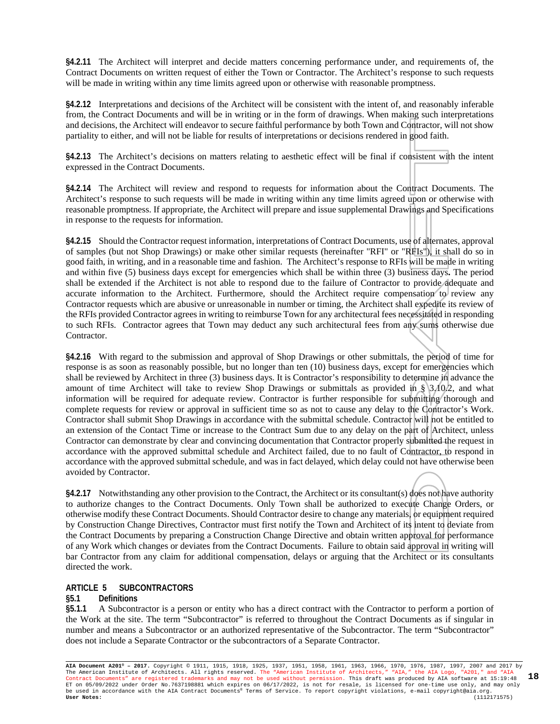**§4.2.11** The Architect will interpret and decide matters concerning performance under, and requirements of, the Contract Documents on written request of either the Town or Contractor. The Architect's response to such requests will be made in writing within any time limits agreed upon or otherwise with reasonable promptness.

**§4.2.12** Interpretations and decisions of the Architect will be consistent with the intent of, and reasonably inferable from, the Contract Documents and will be in writing or in the form of drawings. When making such interpretations and decisions, the Architect will endeavor to secure faithful performance by both Town and Contractor, will not show partiality to either, and will not be liable for results of interpretations or decisions rendered in good faith.

**§4.2.13** The Architect's decisions on matters relating to aesthetic effect will be final if consistent with the intent expressed in the Contract Documents.

**§4.2.14** The Architect will review and respond to requests for information about the Contract Documents. The Architect's response to such requests will be made in writing within any time limits agreed upon or otherwise with reasonable promptness. If appropriate, the Architect will prepare and issue supplemental Drawings and Specifications in response to the requests for information.

**§4.2.15** Should the Contractor request information, interpretations of Contract Documents, use of alternates, approval of samples (but not Shop Drawings) or make other similar requests (hereinafter "RFI" or "RFIs"), it shall do so in good faith, in writing, and in a reasonable time and fashion. The Architect's response to RFIs will be made in writing and within five (5) business days except for emergencies which shall be within three (3) business days**.** The period shall be extended if the Architect is not able to respond due to the failure of Contractor to provide adequate and accurate information to the Architect. Furthermore, should the Architect require compensation to review any Contractor requests which are abusive or unreasonable in number or timing, the Architect shall expedite its review of the RFIs provided Contractor agrees in writing to reimburse Town for any architectural fees necessitated in responding to such RFIs. Contractor agrees that Town may deduct any such architectural fees from any sums otherwise due Contractor.

**§4.2.16** With regard to the submission and approval of Shop Drawings or other submittals, the period of time for response is as soon as reasonably possible, but no longer than ten (10) business days, except for emergencies which shall be reviewed by Architect in three (3) business days. It is Contractor's responsibility to determine in advance the amount of time Architect will take to review Shop Drawings or submittals as provided in §  $3,10.2$ , and what information will be required for adequate review. Contractor is further responsible for submitting thorough and complete requests for review or approval in sufficient time so as not to cause any delay to the Contractor's Work. Contractor shall submit Shop Drawings in accordance with the submittal schedule. Contractor will not be entitled to an extension of the Contact Time or increase to the Contract Sum due to any delay on the part of Architect, unless Contractor can demonstrate by clear and convincing documentation that Contractor properly submitted the request in accordance with the approved submittal schedule and Architect failed, due to no fault of Contractor, to respond in accordance with the approved submittal schedule, and was in fact delayed, which delay could not have otherwise been avoided by Contractor.

**§4.2.17** Notwithstanding any other provision to the Contract, the Architect or its consultant(s) does not have authority to authorize changes to the Contract Documents. Only Town shall be authorized to execute Change Orders, or otherwise modify these Contract Documents. Should Contractor desire to change any materials, or equipment required by Construction Change Directives, Contractor must first notify the Town and Architect of its intent to deviate from the Contract Documents by preparing a Construction Change Directive and obtain written approval for performance of any Work which changes or deviates from the Contract Documents. Failure to obtain said approval in writing will bar Contractor from any claim for additional compensation, delays or arguing that the Architect or its consultants directed the work.

#### **ARTICLE 5 SUBCONTRACTORS**

#### **§5.1 Definitions**

**§5.1.1** A Subcontractor is a person or entity who has a direct contract with the Contractor to perform a portion of the Work at the site. The term "Subcontractor" is referred to throughout the Contract Documents as if singular in number and means a Subcontractor or an authorized representative of the Subcontractor. The term "Subcontractor" does not include a Separate Contractor or the subcontractors of a Separate Contractor.

**AIA Document A201® – 2017.** Copyright © 1911, 1915, 1918, 1925, 1937, 1951, 1958, 1961, 1963, 1966, 1970, 1976, 1987, 1997, 2007 and 2017 by The American Institute of Architects. All rights reserved. The "American Institute of Architects," "AIA," the AIA Logo, "A201," and "AIA<br>Contract Documents" are registered trademarks and may not be used without permission. ET on 05/09/2022 under Order No.7637198881 which expires on 06/17/2022, is not for resale, is licensed for one-time use only, and may only be used in accordance with the AIA Contract Documents® Terms of Service. To report copyright violations, e-mail copyright@aia.org. **User Notes:** (1112171575) **18**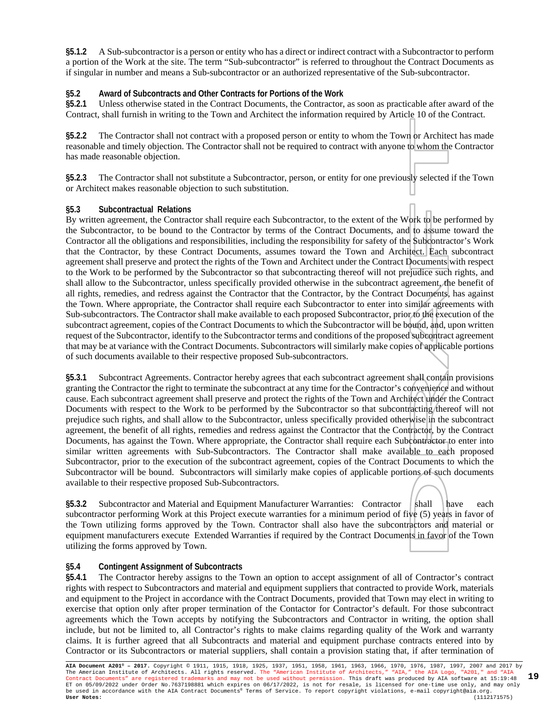**§5.1.2** A Sub-subcontractor is a person or entity who has a direct or indirect contract with a Subcontractor to perform a portion of the Work at the site. The term "Sub-subcontractor" is referred to throughout the Contract Documents as if singular in number and means a Sub-subcontractor or an authorized representative of the Sub-subcontractor.

#### **§5.2 Award of Subcontracts and Other Contracts for Portions of the Work**

**§5.2.1** Unless otherwise stated in the Contract Documents, the Contractor, as soon as practicable after award of the Contract, shall furnish in writing to the Town and Architect the information required by Article 10 of the Contract.

**§5.2.2** The Contractor shall not contract with a proposed person or entity to whom the Town or Architect has made reasonable and timely objection. The Contractor shall not be required to contract with anyone to whom the Contractor has made reasonable objection.

**§5.2.3** The Contractor shall not substitute a Subcontractor, person, or entity for one previously selected if the Town or Architect makes reasonable objection to such substitution.

#### **§5.3 Subcontractual Relations**

By written agreement, the Contractor shall require each Subcontractor, to the extent of the Work to be performed by the Subcontractor, to be bound to the Contractor by terms of the Contract Documents, and to assume toward the Contractor all the obligations and responsibilities, including the responsibility for safety of the Subcontractor's Work that the Contractor, by these Contract Documents, assumes toward the Town and Architect. Each subcontract agreement shall preserve and protect the rights of the Town and Architect under the Contract Documents with respect to the Work to be performed by the Subcontractor so that subcontracting thereof will not prejudice such rights, and shall allow to the Subcontractor, unless specifically provided otherwise in the subcontract agreement, the benefit of all rights, remedies, and redress against the Contractor that the Contractor, by the Contract Documents, has against the Town. Where appropriate, the Contractor shall require each Subcontractor to enter into similar agreements with Sub-subcontractors. The Contractor shall make available to each proposed Subcontractor, prior to the execution of the subcontract agreement, copies of the Contract Documents to which the Subcontractor will be bound, and, upon written request of the Subcontractor, identify to the Subcontractor terms and conditions of the proposed subcontract agreement that may be at variance with the Contract Documents. Subcontractors will similarly make copies of applicable portions of such documents available to their respective proposed Sub-subcontractors.

**§5.3.1** Subcontract Agreements. Contractor hereby agrees that each subcontract agreement shall contain provisions granting the Contractor the right to terminate the subcontract at any time for the Contractor's convenience and without cause. Each subcontract agreement shall preserve and protect the rights of the Town and Architect under the Contract Documents with respect to the Work to be performed by the Subcontractor so that subcontracting thereof will not prejudice such rights, and shall allow to the Subcontractor, unless specifically provided otherwise in the subcontract agreement, the benefit of all rights, remedies and redress against the Contractor that the Contractor, by the Contract Documents, has against the Town. Where appropriate, the Contractor shall require each Subcontractor to enter into similar written agreements with Sub-Subcontractors. The Contractor shall make available to each proposed Subcontractor, prior to the execution of the subcontract agreement, copies of the Contract Documents to which the Subcontractor will be bound. Subcontractors will similarly make copies of applicable portions of such documents available to their respective proposed Sub-Subcontractors.

§5.3.2 Subcontractor and Material and Equipment Manufacturer Warranties: Contractor shall have each subcontractor performing Work at this Project execute warranties for a minimum period of five (5) years in favor of the Town utilizing forms approved by the Town. Contractor shall also have the subcontractors and material or equipment manufacturers execute Extended Warranties if required by the Contract Documents in favor of the Town utilizing the forms approved by Town.

#### **§5.4 Contingent Assignment of Subcontracts**

**§5.4.1** The Contractor hereby assigns to the Town an option to accept assignment of all of Contractor's contract rights with respect to Subcontractors and material and equipment suppliers that contracted to provide Work, materials and equipment to the Project in accordance with the Contract Documents, provided that Town may elect in writing to exercise that option only after proper termination of the Contactor for Contractor's default. For those subcontract agreements which the Town accepts by notifying the Subcontractors and Contractor in writing, the option shall include, but not be limited to, all Contractor's rights to make claims regarding quality of the Work and warranty claims. It is further agreed that all Subcontracts and material and equipment purchase contracts entered into by Contractor or its Subcontractors or material suppliers, shall contain a provision stating that, if after termination of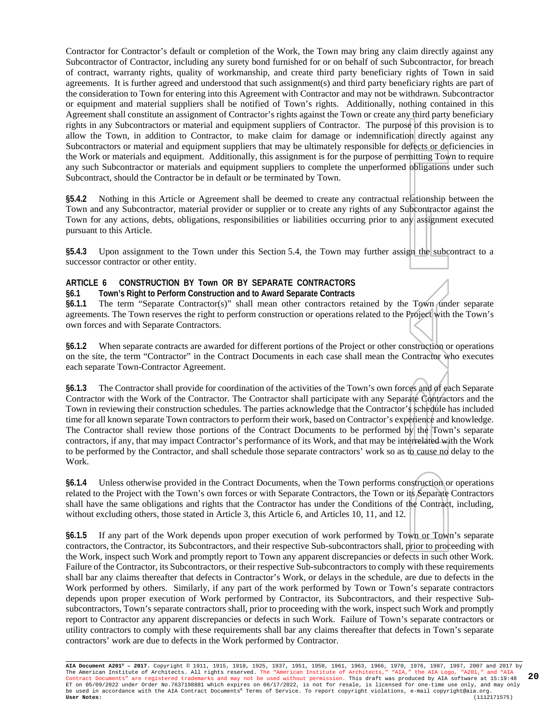Contractor for Contractor's default or completion of the Work, the Town may bring any claim directly against any Subcontractor of Contractor, including any surety bond furnished for or on behalf of such Subcontractor, for breach of contract, warranty rights, quality of workmanship, and create third party beneficiary rights of Town in said agreements. It is further agreed and understood that such assignment(s) and third party beneficiary rights are part of the consideration to Town for entering into this Agreement with Contractor and may not be withdrawn. Subcontractor or equipment and material suppliers shall be notified of Town's rights. Additionally, nothing contained in this Agreement shall constitute an assignment of Contractor's rights against the Town or create any third party beneficiary rights in any Subcontractors or material and equipment suppliers of Contractor. The purpose of this provision is to allow the Town, in addition to Contractor, to make claim for damage or indemnification directly against any Subcontractors or material and equipment suppliers that may be ultimately responsible for defects or deficiencies in the Work or materials and equipment. Additionally, this assignment is for the purpose of permitting Town to require any such Subcontractor or materials and equipment suppliers to complete the unperformed obligations under such Subcontract, should the Contractor be in default or be terminated by Town.

**§5.4.2** Nothing in this Article or Agreement shall be deemed to create any contractual relationship between the Town and any Subcontractor, material provider or supplier or to create any rights of any Subcontractor against the Town for any actions, debts, obligations, responsibilities or liabilities occurring prior to any assignment executed pursuant to this Article.

**§5.4.3** Upon assignment to the Town under this Section 5.4, the Town may further assign the subcontract to a successor contractor or other entity.

#### **ARTICLE 6 CONSTRUCTION BY Town OR BY SEPARATE CONTRACTORS**

#### **§6.1 Town's Right to Perform Construction and to Award Separate Contracts**

§6.1.1 The term "Separate Contractor(s)" shall mean other contractors retained by the Town under separate agreements. The Town reserves the right to perform construction or operations related to the Project with the Town's own forces and with Separate Contractors.

**§6.1.2** When separate contracts are awarded for different portions of the Project or other construction or operations on the site, the term "Contractor" in the Contract Documents in each case shall mean the Contractor who executes each separate Town-Contractor Agreement.

**§6.1.3** The Contractor shall provide for coordination of the activities of the Town's own forces and of each Separate Contractor with the Work of the Contractor. The Contractor shall participate with any Separate Contractors and the Town in reviewing their construction schedules. The parties acknowledge that the Contractor's schedule has included time for all known separate Town contractors to perform their work, based on Contractor's experience and knowledge. The Contractor shall review those portions of the Contract Documents to be performed by the Town's separate contractors, if any, that may impact Contractor's performance of its Work, and that may be interrelated with the Work to be performed by the Contractor, and shall schedule those separate contractors' work so as to cause no delay to the Work.

**§6.1.4** Unless otherwise provided in the Contract Documents, when the Town performs construction or operations related to the Project with the Town's own forces or with Separate Contractors, the Town or its Separate Contractors shall have the same obligations and rights that the Contractor has under the Conditions of the Contract, including, without excluding others, those stated in Article 3, this Article 6, and Articles 10, 11, and 12.

**§6.1.5** If any part of the Work depends upon proper execution of work performed by Town or Town's separate contractors, the Contractor, its Subcontractors, and their respective Sub-subcontractors shall, prior to proceeding with the Work, inspect such Work and promptly report to Town any apparent discrepancies or defects in such other Work. Failure of the Contractor, its Subcontractors, or their respective Sub-subcontractors to comply with these requirements shall bar any claims thereafter that defects in Contractor's Work, or delays in the schedule, are due to defects in the Work performed by others. Similarly, if any part of the work performed by Town or Town's separate contractors depends upon proper execution of Work performed by Contractor, its Subcontractors, and their respective Subsubcontractors, Town's separate contractors shall, prior to proceeding with the work, inspect such Work and promptly report to Contractor any apparent discrepancies or defects in such Work. Failure of Town's separate contractors or utility contractors to comply with these requirements shall bar any claims thereafter that defects in Town's separate contractors' work are due to defects in the Work performed by Contractor.

**AIA Document A201® – 2017.** Copyright © 1911, 1915, 1918, 1925, 1937, 1951, 1958, 1961, 1963, 1966, 1970, 1976, 1987, 1997, 2007 and 2017 by The American Institute of Architects. All rights reserved. The "American Institute of Architects," "AIA," the AIA Logo, "A201," and "AIA<br>Contract Documents" are registered trademarks and may not be used without permission. ET on 05/09/2022 under Order No.7637198881 which expires on 06/17/2022, is not for resale, is licensed for one-time use only, and may only<br>be used in accordance with the AIA Contract Documents® Terms of Service. To report **20**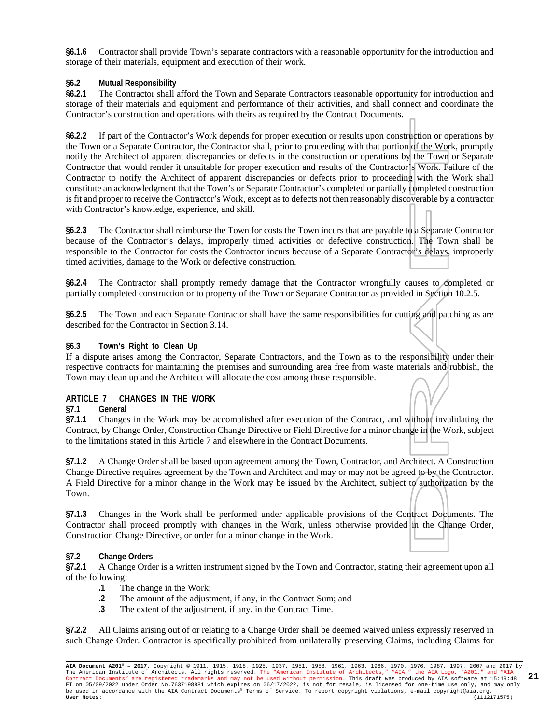**§6.1.6** Contractor shall provide Town's separate contractors with a reasonable opportunity for the introduction and storage of their materials, equipment and execution of their work.

#### **§6.2 Mutual Responsibility**

**§6.2.1** The Contractor shall afford the Town and Separate Contractors reasonable opportunity for introduction and storage of their materials and equipment and performance of their activities, and shall connect and coordinate the Contractor's construction and operations with theirs as required by the Contract Documents.

**§6.2.2** If part of the Contractor's Work depends for proper execution or results upon construction or operations by the Town or a Separate Contractor, the Contractor shall, prior to proceeding with that portion of the Work, promptly notify the Architect of apparent discrepancies or defects in the construction or operations by the Town or Separate Contractor that would render it unsuitable for proper execution and results of the Contractor's Work. Failure of the Contractor to notify the Architect of apparent discrepancies or defects prior to proceeding with the Work shall constitute an acknowledgment that the Town's or Separate Contractor's completed or partially completed construction is fit and proper to receive the Contractor's Work, except as to defects not then reasonably discoverable by a contractor with Contractor's knowledge, experience, and skill.

**§6.2.3** The Contractor shall reimburse the Town for costs the Town incurs that are payable to a Separate Contractor because of the Contractor's delays, improperly timed activities or defective construction. The Town shall be responsible to the Contractor for costs the Contractor incurs because of a Separate Contractor's delays, improperly timed activities, damage to the Work or defective construction.

**§6.2.4** The Contractor shall promptly remedy damage that the Contractor wrongfully causes to completed or partially completed construction or to property of the Town or Separate Contractor as provided in Section 10.2.5.

**§6.2.5** The Town and each Separate Contractor shall have the same responsibilities for cutting and patching as are described for the Contractor in Section 3.14.

#### **§6.3 Town's Right to Clean Up**

If a dispute arises among the Contractor, Separate Contractors, and the Town as to the responsibility under their respective contracts for maintaining the premises and surrounding area free from waste materials and rubbish, the Town may clean up and the Architect will allocate the cost among those responsible.

#### **ARTICLE 7 CHANGES IN THE WORK**

#### **§7.1 General**

**§7.1.1** Changes in the Work may be accomplished after execution of the Contract, and without invalidating the Contract, by Change Order, Construction Change Directive or Field Directive for a minor change in the Work, subject to the limitations stated in this Article 7 and elsewhere in the Contract Documents.

**§7.1.2** A Change Order shall be based upon agreement among the Town, Contractor, and Architect. A Construction Change Directive requires agreement by the Town and Architect and may or may not be agreed to by the Contractor. A Field Directive for a minor change in the Work may be issued by the Architect, subject to authorization by the Town.

**§7.1.3** Changes in the Work shall be performed under applicable provisions of the Contract Documents. The Contractor shall proceed promptly with changes in the Work, unless otherwise provided in the Change Order, Construction Change Directive, or order for a minor change in the Work.

#### **§7.2 Change Orders**

**§7.2.1** A Change Order is a written instrument signed by the Town and Contractor, stating their agreement upon all of the following:

- **.1** The change in the Work;<br>**.2** The amount of the adjust:
- The amount of the adjustment, if any, in the Contract Sum; and
- **.3** The extent of the adjustment, if any, in the Contract Time.

**§7.2.2** All Claims arising out of or relating to a Change Order shall be deemed waived unless expressly reserved in such Change Order. Contractor is specifically prohibited from unilaterally preserving Claims, including Claims for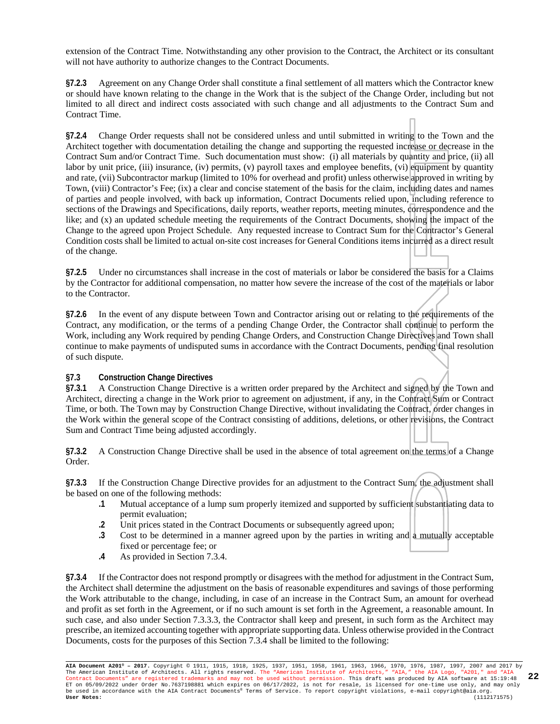extension of the Contract Time. Notwithstanding any other provision to the Contract, the Architect or its consultant will not have authority to authorize changes to the Contract Documents.

**§7.2.3** Agreement on any Change Order shall constitute a final settlement of all matters which the Contractor knew or should have known relating to the change in the Work that is the subject of the Change Order, including but not limited to all direct and indirect costs associated with such change and all adjustments to the Contract Sum and Contract Time.

**§7.2.4** Change Order requests shall not be considered unless and until submitted in writing to the Town and the Architect together with documentation detailing the change and supporting the requested increase or decrease in the Contract Sum and/or Contract Time. Such documentation must show: (i) all materials by quantity and price, (ii) all labor by unit price, (iii) insurance, (iv) permits, (v) payroll taxes and employee benefits, (vi) equipment by quantity and rate, (vii) Subcontractor markup (limited to 10% for overhead and profit) unless otherwise approved in writing by Town, (viii) Contractor's Fee; (ix) a clear and concise statement of the basis for the claim, including dates and names of parties and people involved, with back up information, Contract Documents relied upon, including reference to sections of the Drawings and Specifications, daily reports, weather reports, meeting minutes, correspondence and the like; and (x) an updated schedule meeting the requirements of the Contract Documents, showing the impact of the Change to the agreed upon Project Schedule. Any requested increase to Contract Sum for the Contractor's General Condition costs shall be limited to actual on-site cost increases for General Conditions items incurred as a direct result of the change.

**§7.2.5** Under no circumstances shall increase in the cost of materials or labor be considered the basis for a Claims by the Contractor for additional compensation, no matter how severe the increase of the cost of the materials or labor to the Contractor.

**§7.2.6** In the event of any dispute between Town and Contractor arising out or relating to the requirements of the Contract, any modification, or the terms of a pending Change Order, the Contractor shall continue to perform the Work, including any Work required by pending Change Orders, and Construction Change Directives and Town shall continue to make payments of undisputed sums in accordance with the Contract Documents, pending final resolution of such dispute.

#### **§7.3 Construction Change Directives**

**§7.3.1** A Construction Change Directive is a written order prepared by the Architect and signed by the Town and Architect, directing a change in the Work prior to agreement on adjustment, if any, in the Contract Sum or Contract Time, or both. The Town may by Construction Change Directive, without invalidating the Contract, order changes in the Work within the general scope of the Contract consisting of additions, deletions, or other revisions, the Contract Sum and Contract Time being adjusted accordingly.

**§7.3.2** A Construction Change Directive shall be used in the absence of total agreement on the terms of a Change Order.

**§7.3.3** If the Construction Change Directive provides for an adjustment to the Contract Sum, the adjustment shall be based on one of the following methods:

- **.1** Mutual acceptance of a lump sum properly itemized and supported by sufficient substantiating data to permit evaluation;
- **.2** Unit prices stated in the Contract Documents or subsequently agreed upon;
- **.3** Cost to be determined in a manner agreed upon by the parties in writing and a mutually acceptable fixed or percentage fee; or
- **.4** As provided in Section 7.3.4.

**§7.3.4** If the Contractor does not respond promptly or disagrees with the method for adjustment in the Contract Sum, the Architect shall determine the adjustment on the basis of reasonable expenditures and savings of those performing the Work attributable to the change, including, in case of an increase in the Contract Sum, an amount for overhead and profit as set forth in the Agreement, or if no such amount is set forth in the Agreement, a reasonable amount. In such case, and also under Section 7.3.3.3, the Contractor shall keep and present, in such form as the Architect may prescribe, an itemized accounting together with appropriate supporting data. Unless otherwise provided in the Contract Documents, costs for the purposes of this Section 7.3.4 shall be limited to the following: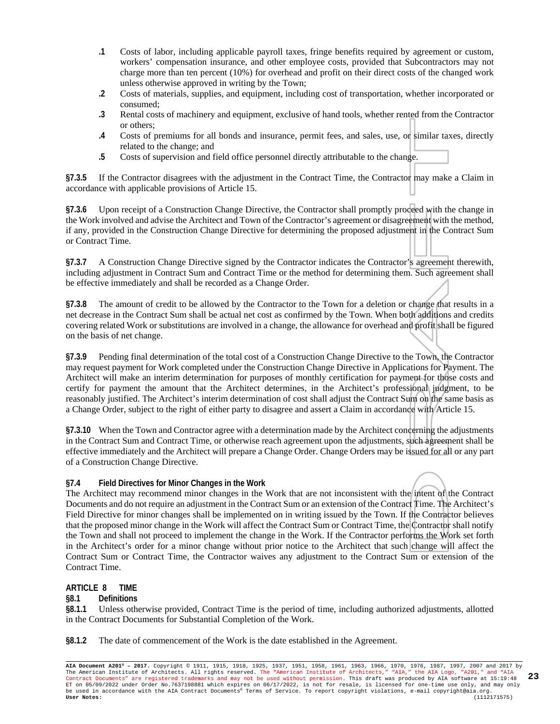- **.1** Costs of labor, including applicable payroll taxes, fringe benefits required by agreement or custom, workers' compensation insurance, and other employee costs, provided that Subcontractors may not charge more than ten percent (10%) for overhead and profit on their direct costs of the changed work unless otherwise approved in writing by the Town;
- **.2** Costs of materials, supplies, and equipment, including cost of transportation, whether incorporated or consumed;
- **.3** Rental costs of machinery and equipment, exclusive of hand tools, whether rented from the Contractor or others;
- **.4** Costs of premiums for all bonds and insurance, permit fees, and sales, use, or similar taxes, directly related to the change; and
- **.5** Costs of supervision and field office personnel directly attributable to the change.

**§7.3.5** If the Contractor disagrees with the adjustment in the Contract Time, the Contractor may make a Claim in accordance with applicable provisions of Article 15.

**§7.3.6** Upon receipt of a Construction Change Directive, the Contractor shall promptly proceed with the change in the Work involved and advise the Architect and Town of the Contractor's agreement or disagreement with the method, if any, provided in the Construction Change Directive for determining the proposed adjustment in the Contract Sum or Contract Time.

**§7.3.7** A Construction Change Directive signed by the Contractor indicates the Contractor's agreement therewith, including adjustment in Contract Sum and Contract Time or the method for determining them. Such agreement shall be effective immediately and shall be recorded as a Change Order.

**§7.3.8** The amount of credit to be allowed by the Contractor to the Town for a deletion or change that results in a net decrease in the Contract Sum shall be actual net cost as confirmed by the Town. When both additions and credits covering related Work or substitutions are involved in a change, the allowance for overhead and profit shall be figured on the basis of net change.

**§7.3.9** Pending final determination of the total cost of a Construction Change Directive to the Town, the Contractor may request payment for Work completed under the Construction Change Directive in Applications for Payment. The Architect will make an interim determination for purposes of monthly certification for payment for those costs and certify for payment the amount that the Architect determines, in the Architect's professional judgment, to be reasonably justified. The Architect's interim determination of cost shall adjust the Contract Sum on the same basis as a Change Order, subject to the right of either party to disagree and assert a Claim in accordance with Article 15.

**§7.3.10** When the Town and Contractor agree with a determination made by the Architect concerning the adjustments in the Contract Sum and Contract Time, or otherwise reach agreement upon the adjustments, such agreement shall be effective immediately and the Architect will prepare a Change Order. Change Orders may be issued for all or any part of a Construction Change Directive.

#### **§7.4 Field Directives for Minor Changes in the Work**

The Architect may recommend minor changes in the Work that are not inconsistent with the intent of the Contract Documents and do not require an adjustment in the Contract Sum or an extension of the Contract Time. The Architect's Field Directive for minor changes shall be implemented on in writing issued by the Town. If the Contractor believes that the proposed minor change in the Work will affect the Contract Sum or Contract Time, the Contractor shall notify the Town and shall not proceed to implement the change in the Work. If the Contractor performs the Work set forth in the Architect's order for a minor change without prior notice to the Architect that such change will affect the Contract Sum or Contract Time, the Contractor waives any adjustment to the Contract Sum or extension of the Contract Time.

#### **ARTICLE 8 TIME**

**§8.1 Definitions**

**§8.1.1** Unless otherwise provided, Contract Time is the period of time, including authorized adjustments, allotted in the Contract Documents for Substantial Completion of the Work.

**§8.1.2** The date of commencement of the Work is the date established in the Agreement.

**AIA Document A201® – 2017.** Copyright © 1911, 1915, 1918, 1925, 1937, 1951, 1958, 1961, 1963, 1966, 1970, 1976, 1987, 1997, 2007 and 2017 by The American Institute of Architects. All rights reserved. The "American Institute of Architects," "AIA," the AIA Logo, "A201," and "AIA<br>Contract Documents" are registered trademarks and may not be used without permission. ET on 05/09/2022 under Order No.7637198881 which expires on 06/17/2022, is not for resale, is licensed for one-time use only, and may only<br>be used in accordance with the AIA Contract Documents® Terms of Service. To report **23**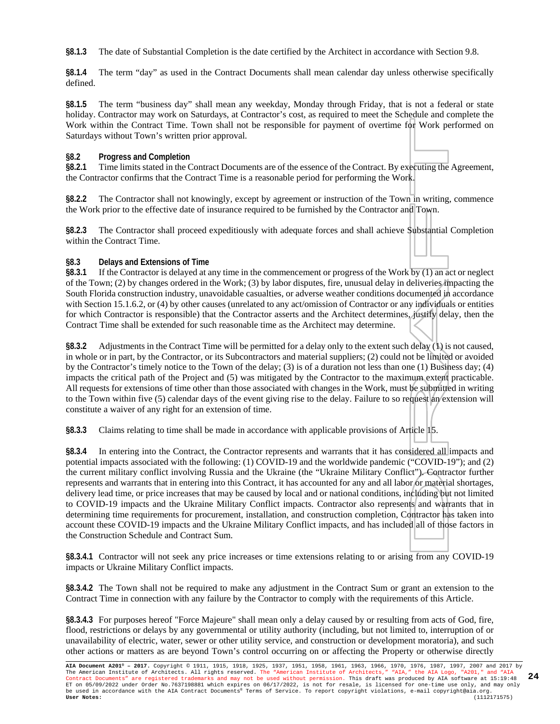**§8.1.3** The date of Substantial Completion is the date certified by the Architect in accordance with Section 9.8.

**§8.1.4** The term "day" as used in the Contract Documents shall mean calendar day unless otherwise specifically defined.

**§8.1.5** The term "business day" shall mean any weekday, Monday through Friday, that is not a federal or state holiday. Contractor may work on Saturdays, at Contractor's cost, as required to meet the Schedule and complete the Work within the Contract Time. Town shall not be responsible for payment of overtime for Work performed on Saturdays without Town's written prior approval.

#### **§8.2 Progress and Completion**

**§8.2.1** Time limits stated in the Contract Documents are of the essence of the Contract. By executing the Agreement, the Contractor confirms that the Contract Time is a reasonable period for performing the Work.

**§8.2.2** The Contractor shall not knowingly, except by agreement or instruction of the Town in writing, commence the Work prior to the effective date of insurance required to be furnished by the Contractor and Town.

**§8.2.3** The Contractor shall proceed expeditiously with adequate forces and shall achieve Substantial Completion within the Contract Time.

#### **§8.3 Delays and Extensions of Time**

**§8.3.1** If the Contractor is delayed at any time in the commencement or progress of the Work by (1) an act or neglect of the Town; (2) by changes ordered in the Work; (3) by labor disputes, fire, unusual delay in deliveries impacting the South Florida construction industry, unavoidable casualties, or adverse weather conditions documented in accordance with Section 15.1.6.2, or (4) by other causes (unrelated to any act/omission of Contractor or any individuals or entities for which Contractor is responsible) that the Contractor asserts and the Architect determines, justify delay, then the Contract Time shall be extended for such reasonable time as the Architect may determine.

**§8.3.2** Adjustments in the Contract Time will be permitted for a delay only to the extent such delay (1) is not caused, in whole or in part, by the Contractor, or its Subcontractors and material suppliers; (2) could not be limited or avoided by the Contractor's timely notice to the Town of the delay; (3) is of a duration not less than one (1) Business day; (4) impacts the critical path of the Project and (5) was mitigated by the Contractor to the maximum extent practicable. All requests for extensions of time other than those associated with changes in the Work, must be submitted in writing to the Town within five (5) calendar days of the event giving rise to the delay. Failure to so request an extension will constitute a waiver of any right for an extension of time.

**§8.3.3** Claims relating to time shall be made in accordance with applicable provisions of Article 15.

**§8.3.4** In entering into the Contract, the Contractor represents and warrants that it has considered all impacts and potential impacts associated with the following: (1) COVID-19 and the worldwide pandemic ("COVID-19"); and (2) the current military conflict involving Russia and the Ukraine (the "Ukraine Military Conflict"). Contractor further represents and warrants that in entering into this Contract, it has accounted for any and all labor or material shortages, delivery lead time, or price increases that may be caused by local and or national conditions, including but not limited to COVID-19 impacts and the Ukraine Military Conflict impacts. Contractor also represents and warrants that in determining time requirements for procurement, installation, and construction completion, Contractor has taken into account these COVID-19 impacts and the Ukraine Military Conflict impacts, and has included all of those factors in the Construction Schedule and Contract Sum.

**§8.3.4.1** Contractor will not seek any price increases or time extensions relating to or arising from any COVID-19 impacts or Ukraine Military Conflict impacts.

**§8.3.4.2** The Town shall not be required to make any adjustment in the Contract Sum or grant an extension to the Contract Time in connection with any failure by the Contractor to comply with the requirements of this Article.

**§8.3.4.3** For purposes hereof "Force Majeure" shall mean only a delay caused by or resulting from acts of God, fire, flood, restrictions or delays by any governmental or utility authority (including, but not limited to, interruption of or unavailability of electric, water, sewer or other utility service, and construction or development moratoria), and such other actions or matters as are beyond Town's control occurring on or affecting the Property or otherwise directly

**AIA Document A201® – 2017.** Copyright © 1911, 1915, 1918, 1925, 1937, 1951, 1958, 1961, 1963, 1966, 1970, 1976, 1987, 1997, 2007 and 2017 by The American Institute of Architects. All rights reserved. The "American Institute of Architects," "AIA," the AIA Logo, "A201," and "AIA<br>Contract Documents" are registered trademarks and may not be used without permission. ET on 05/09/2022 under Order No.7637198881 which expires on 06/17/2022, is not for resale, is licensed for one-time use only, and may only<br>be used in accordance with the AIA Contract Documents® Terms of Service. To report **24**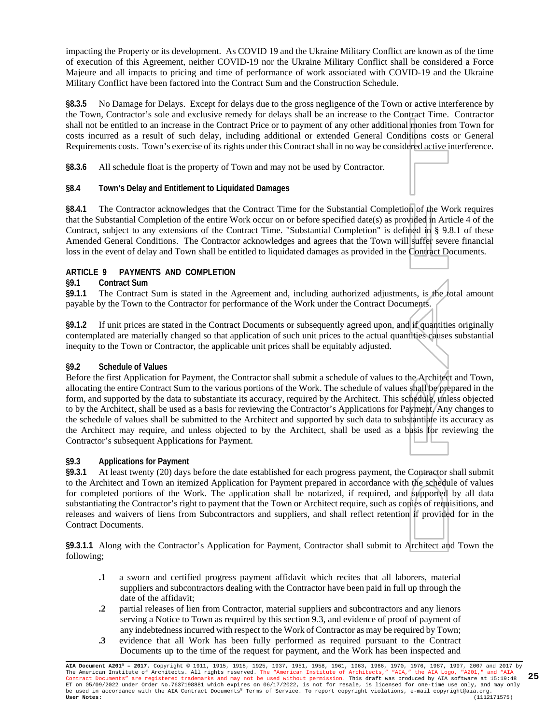impacting the Property or its development. As COVID 19 and the Ukraine Military Conflict are known as of the time of execution of this Agreement, neither COVID-19 nor the Ukraine Military Conflict shall be considered a Force Majeure and all impacts to pricing and time of performance of work associated with COVID-19 and the Ukraine Military Conflict have been factored into the Contract Sum and the Construction Schedule.

**§8.3.5** No Damage for Delays. Except for delays due to the gross negligence of the Town or active interference by the Town, Contractor's sole and exclusive remedy for delays shall be an increase to the Contract Time. Contractor shall not be entitled to an increase in the Contract Price or to payment of any other additional monies from Town for costs incurred as a result of such delay, including additional or extended General Conditions costs or General Requirements costs. Town's exercise of its rights under this Contract shall in no way be considered active interference.

**§8.3.6** All schedule float is the property of Town and may not be used by Contractor.

#### **§8.4 Town's Delay and Entitlement to Liquidated Damages**

**§8.4.1** The Contractor acknowledges that the Contract Time for the Substantial Completion of the Work requires that the Substantial Completion of the entire Work occur on or before specified date(s) as provided in Article 4 of the Contract, subject to any extensions of the Contract Time. "Substantial Completion" is defined in § 9.8.1 of these Amended General Conditions. The Contractor acknowledges and agrees that the Town will suffer severe financial loss in the event of delay and Town shall be entitled to liquidated damages as provided in the Contract Documents.

#### **ARTICLE 9 PAYMENTS AND COMPLETION**

**§9.1 Contract Sum** The Contract Sum is stated in the Agreement and, including authorized adjustments, is the total amount payable by the Town to the Contractor for performance of the Work under the Contract Documents.

**§9.1.2** If unit prices are stated in the Contract Documents or subsequently agreed upon, and if quantities originally contemplated are materially changed so that application of such unit prices to the actual quantities causes substantial inequity to the Town or Contractor, the applicable unit prices shall be equitably adjusted.

#### **§9.2 Schedule of Values**

Before the first Application for Payment, the Contractor shall submit a schedule of values to the Architect and Town, allocating the entire Contract Sum to the various portions of the Work. The schedule of values shall be prepared in the form, and supported by the data to substantiate its accuracy, required by the Architect. This schedule, unless objected to by the Architect, shall be used as a basis for reviewing the Contractor's Applications for Payment. Any changes to the schedule of values shall be submitted to the Architect and supported by such data to substantiate its accuracy as the Architect may require, and unless objected to by the Architect, shall be used as a basis for reviewing the Contractor's subsequent Applications for Payment.

#### **§9.3 Applications for Payment**

**§9.3.1** At least twenty (20) days before the date established for each progress payment, the Contractor shall submit to the Architect and Town an itemized Application for Payment prepared in accordance with the schedule of values for completed portions of the Work. The application shall be notarized, if required, and supported by all data substantiating the Contractor's right to payment that the Town or Architect require, such as copies of requisitions, and releases and waivers of liens from Subcontractors and suppliers, and shall reflect retention if provided for in the Contract Documents.

**§9.3.1.1** Along with the Contractor's Application for Payment, Contractor shall submit to Architect and Town the following;

- **.1** a sworn and certified progress payment affidavit which recites that all laborers, material suppliers and subcontractors dealing with the Contractor have been paid in full up through the date of the affidavit;
- **.2** partial releases of lien from Contractor, material suppliers and subcontractors and any lienors serving a Notice to Town as required by this section 9.3, and evidence of proof of payment of any indebtedness incurred with respect to the Work of Contractor as may be required by Town;
- **.3** evidence that all Work has been fully performed as required pursuant to the Contract Documents up to the time of the request for payment, and the Work has been inspected and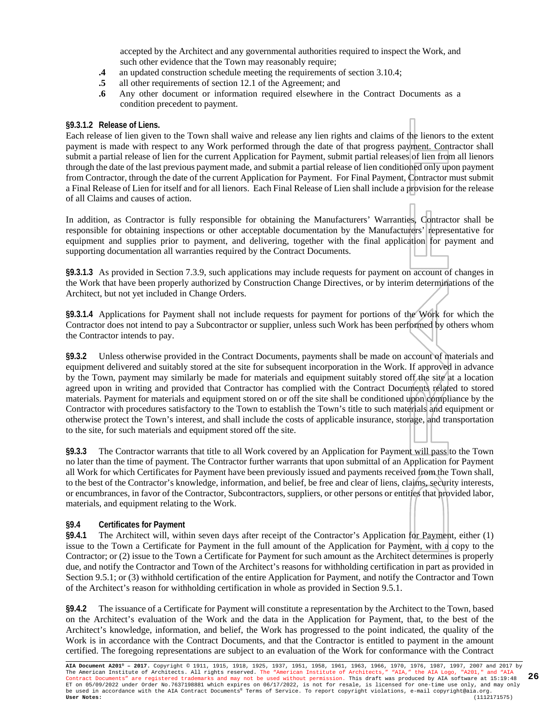accepted by the Architect and any governmental authorities required to inspect the Work, and such other evidence that the Town may reasonably require;

- **.4** an updated construction schedule meeting the requirements of section 3.10.4;
- **.5** all other requirements of section 12.1 of the Agreement; and
- **.6** Any other document or information required elsewhere in the Contract Documents as a condition precedent to payment.

#### **§9.3.1.2 Release of Liens.**

Each release of lien given to the Town shall waive and release any lien rights and claims of the lienors to the extent payment is made with respect to any Work performed through the date of that progress payment. Contractor shall submit a partial release of lien for the current Application for Payment, submit partial releases of lien from all lienors through the date of the last previous payment made, and submit a partial release of lien conditioned only upon payment from Contractor, through the date of the current Application for Payment. For Final Payment, Contractor must submit a Final Release of Lien for itself and for all lienors. Each Final Release of Lien shall include a provision for the release of all Claims and causes of action.

In addition, as Contractor is fully responsible for obtaining the Manufacturers' Warranties, Contractor shall be responsible for obtaining inspections or other acceptable documentation by the Manufacturers' representative for equipment and supplies prior to payment, and delivering, together with the final application for payment and supporting documentation all warranties required by the Contract Documents.

**§9.3.1.3** As provided in Section 7.3.9, such applications may include requests for payment on account of changes in the Work that have been properly authorized by Construction Change Directives, or by interim determinations of the Architect, but not yet included in Change Orders.

**§9.3.1.4** Applications for Payment shall not include requests for payment for portions of the Work for which the Contractor does not intend to pay a Subcontractor or supplier, unless such Work has been performed by others whom the Contractor intends to pay.

**§9.3.2** Unless otherwise provided in the Contract Documents, payments shall be made on account of materials and equipment delivered and suitably stored at the site for subsequent incorporation in the Work. If approved in advance by the Town, payment may similarly be made for materials and equipment suitably stored off the site at a location agreed upon in writing and provided that Contractor has complied with the Contract Documents related to stored materials. Payment for materials and equipment stored on or off the site shall be conditioned upon compliance by the Contractor with procedures satisfactory to the Town to establish the Town's title to such materials and equipment or otherwise protect the Town's interest, and shall include the costs of applicable insurance, storage, and transportation to the site, for such materials and equipment stored off the site.

**§9.3.3** The Contractor warrants that title to all Work covered by an Application for Payment will pass to the Town no later than the time of payment. The Contractor further warrants that upon submittal of an Application for Payment all Work for which Certificates for Payment have been previously issued and payments received from the Town shall, to the best of the Contractor's knowledge, information, and belief, be free and clear of liens, claims, security interests, or encumbrances, in favor of the Contractor, Subcontractors, suppliers, or other persons or entities that provided labor, materials, and equipment relating to the Work.

#### **§9.4 Certificates for Payment**

**§9.4.1** The Architect will, within seven days after receipt of the Contractor's Application for Payment, either (1) issue to the Town a Certificate for Payment in the full amount of the Application for Payment, with a copy to the Contractor; or (2) issue to the Town a Certificate for Payment for such amount as the Architect determines is properly due, and notify the Contractor and Town of the Architect's reasons for withholding certification in part as provided in Section 9.5.1; or (3) withhold certification of the entire Application for Payment, and notify the Contractor and Town of the Architect's reason for withholding certification in whole as provided in Section 9.5.1.

**§9.4.2** The issuance of a Certificate for Payment will constitute a representation by the Architect to the Town, based on the Architect's evaluation of the Work and the data in the Application for Payment, that, to the best of the Architect's knowledge, information, and belief, the Work has progressed to the point indicated, the quality of the Work is in accordance with the Contract Documents, and that the Contractor is entitled to payment in the amount certified. The foregoing representations are subject to an evaluation of the Work for conformance with the Contract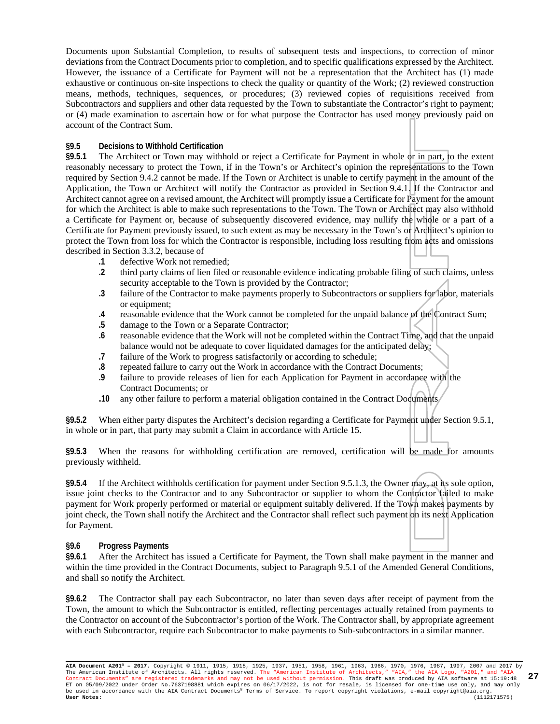Documents upon Substantial Completion, to results of subsequent tests and inspections, to correction of minor deviations from the Contract Documents prior to completion, and to specific qualifications expressed by the Architect. However, the issuance of a Certificate for Payment will not be a representation that the Architect has (1) made exhaustive or continuous on-site inspections to check the quality or quantity of the Work; (2) reviewed construction means, methods, techniques, sequences, or procedures; (3) reviewed copies of requisitions received from Subcontractors and suppliers and other data requested by the Town to substantiate the Contractor's right to payment; or (4) made examination to ascertain how or for what purpose the Contractor has used money previously paid on account of the Contract Sum.

#### **§9.5 Decisions to Withhold Certification**

**§9.5.1** The Architect or Town may withhold or reject a Certificate for Payment in whole or in part, to the extent reasonably necessary to protect the Town, if in the Town's or Architect's opinion the representations to the Town required by Section 9.4.2 cannot be made. If the Town or Architect is unable to certify payment in the amount of the Application, the Town or Architect will notify the Contractor as provided in Section 9.4.1. If the Contractor and Architect cannot agree on a revised amount, the Architect will promptly issue a Certificate for Payment for the amount for which the Architect is able to make such representations to the Town. The Town or Architect may also withhold a Certificate for Payment or, because of subsequently discovered evidence, may nullify the whole or a part of a Certificate for Payment previously issued, to such extent as may be necessary in the Town's or Architect's opinion to protect the Town from loss for which the Contractor is responsible, including loss resulting from acts and omissions described in Section 3.3.2, because of

- **.1** defective Work not remedied;
- **.2** third party claims of lien filed or reasonable evidence indicating probable filing of such claims, unless security acceptable to the Town is provided by the Contractor;
- **.3** failure of the Contractor to make payments properly to Subcontractors or suppliers for labor, materials or equipment;
- **.4** reasonable evidence that the Work cannot be completed for the unpaid balance of the Contract Sum;
- **.5** damage to the Town or a Separate Contractor;
- **.6** reasonable evidence that the Work will not be completed within the Contract Time, and that the unpaid balance would not be adequate to cover liquidated damages for the anticipated delay;
- **.7** failure of the Work to progress satisfactorily or according to schedule;
- **.8** repeated failure to carry out the Work in accordance with the Contract Documents;
- failure to provide releases of lien for each Application for Payment in accordance with the Contract Documents; or
- **.10** any other failure to perform a material obligation contained in the Contract Documents

**§9.5.2** When either party disputes the Architect's decision regarding a Certificate for Payment under Section 9.5.1, in whole or in part, that party may submit a Claim in accordance with Article 15.

**§9.5.3** When the reasons for withholding certification are removed, certification will be made for amounts previously withheld.

**§9.5.4** If the Architect withholds certification for payment under Section 9.5.1.3, the Owner may, at its sole option, issue joint checks to the Contractor and to any Subcontractor or supplier to whom the Contractor failed to make payment for Work properly performed or material or equipment suitably delivered. If the Town makes payments by joint check, the Town shall notify the Architect and the Contractor shall reflect such payment on its next Application for Payment.

#### **§9.6 Progress Payments**

**§9.6.1** After the Architect has issued a Certificate for Payment, the Town shall make payment in the manner and within the time provided in the Contract Documents, subject to Paragraph 9.5.1 of the Amended General Conditions, and shall so notify the Architect.

**§9.6.2** The Contractor shall pay each Subcontractor, no later than seven days after receipt of payment from the Town, the amount to which the Subcontractor is entitled, reflecting percentages actually retained from payments to the Contractor on account of the Subcontractor's portion of the Work. The Contractor shall, by appropriate agreement with each Subcontractor, require each Subcontractor to make payments to Sub-subcontractors in a similar manner.

**AIA Document A201® – 2017.** Copyright © 1911, 1915, 1918, 1925, 1937, 1951, 1958, 1961, 1963, 1966, 1970, 1976, 1987, 1997, 2007 and 2017 by The American Institute of Architects. All rights reserved. The "American Institute of Architects," "AIA," the AIA Logo, "A201," and "AIA<br>Contract Documents" are registered trademarks and may not be used without permission. ET on 05/09/2022 under Order No.7637198881 which expires on 06/17/2022, is not for resale, is licensed for one-time use only, and may only be used in accordance with the AIA Contract Documents® Terms of Service. To report copyright violations, e-mail copyright@aia.org. **User Notes:** (1112171575) **27**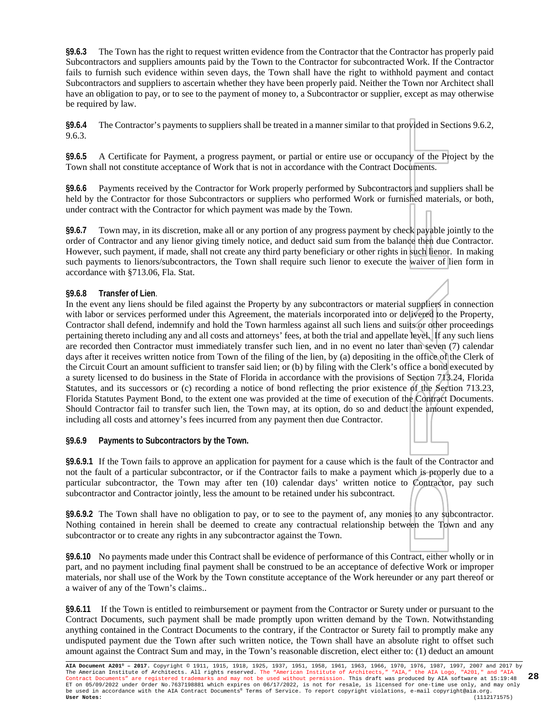**§9.6.3** The Town has the right to request written evidence from the Contractor that the Contractor has properly paid Subcontractors and suppliers amounts paid by the Town to the Contractor for subcontracted Work. If the Contractor fails to furnish such evidence within seven days, the Town shall have the right to withhold payment and contact Subcontractors and suppliers to ascertain whether they have been properly paid. Neither the Town nor Architect shall have an obligation to pay, or to see to the payment of money to, a Subcontractor or supplier, except as may otherwise be required by law.

**§9.6.4** The Contractor's payments to suppliers shall be treated in a manner similar to that provided in Sections 9.6.2, 9.6.3.

**§9.6.5** A Certificate for Payment, a progress payment, or partial or entire use or occupancy of the Project by the Town shall not constitute acceptance of Work that is not in accordance with the Contract Documents.

**§9.6.6** Payments received by the Contractor for Work properly performed by Subcontractors and suppliers shall be held by the Contractor for those Subcontractors or suppliers who performed Work or furnished materials, or both, under contract with the Contractor for which payment was made by the Town.

**§9.6.7** Town may, in its discretion, make all or any portion of any progress payment by check payable jointly to the order of Contractor and any lienor giving timely notice, and deduct said sum from the balance then due Contractor. However, such payment, if made, shall not create any third party beneficiary or other rights in such lienor. In making such payments to lienors/subcontractors, the Town shall require such lienor to execute the waiver of lien form in accordance with §713.06, Fla. Stat.

#### **§9.6.8 Transfer of Lien**.

In the event any liens should be filed against the Property by any subcontractors or material suppliers in connection with labor or services performed under this Agreement, the materials incorporated into or delivered to the Property, Contractor shall defend, indemnify and hold the Town harmless against all such liens and suits or other proceedings pertaining thereto including any and all costs and attorneys' fees, at both the trial and appellate level. If any such liens are recorded then Contractor must immediately transfer such lien, and in no event no later than seven (7) calendar days after it receives written notice from Town of the filing of the lien, by (a) depositing in the office of the Clerk of the Circuit Court an amount sufficient to transfer said lien; or (b) by filing with the Clerk's office a bond executed by a surety licensed to do business in the State of Florida in accordance with the provisions of Section 713.24, Florida Statutes, and its successors or (c) recording a notice of bond reflecting the prior existence of the Section 713.23, Florida Statutes Payment Bond, to the extent one was provided at the time of execution of the Contract Documents. Should Contractor fail to transfer such lien, the Town may, at its option, do so and deduct the amount expended, including all costs and attorney's fees incurred from any payment then due Contractor.

**§9.6.9 Payments to Subcontractors by the Town.**

**§9.6.9.1** If the Town fails to approve an application for payment for a cause which is the fault of the Contractor and not the fault of a particular subcontractor, or if the Contractor fails to make a payment which is properly due to a particular subcontractor, the Town may after ten (10) calendar days' written notice to Contractor, pay such subcontractor and Contractor jointly, less the amount to be retained under his subcontract.

**§9.6.9.2** The Town shall have no obligation to pay, or to see to the payment of, any monies to any subcontractor. Nothing contained in herein shall be deemed to create any contractual relationship between the Town and any subcontractor or to create any rights in any subcontractor against the Town.

**§9.6.10** No payments made under this Contract shall be evidence of performance of this Contract, either wholly or in part, and no payment including final payment shall be construed to be an acceptance of defective Work or improper materials, nor shall use of the Work by the Town constitute acceptance of the Work hereunder or any part thereof or a waiver of any of the Town's claims..

**§9.6.11** If the Town is entitled to reimbursement or payment from the Contractor or Surety under or pursuant to the Contract Documents, such payment shall be made promptly upon written demand by the Town. Notwithstanding anything contained in the Contract Documents to the contrary, if the Contractor or Surety fail to promptly make any undisputed payment due the Town after such written notice, the Town shall have an absolute right to offset such amount against the Contract Sum and may, in the Town's reasonable discretion, elect either to: (1) deduct an amount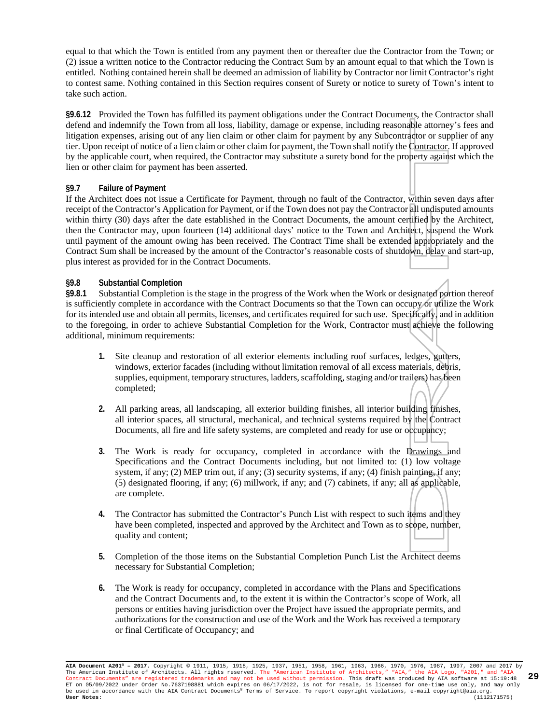equal to that which the Town is entitled from any payment then or thereafter due the Contractor from the Town; or (2) issue a written notice to the Contractor reducing the Contract Sum by an amount equal to that which the Town is entitled. Nothing contained herein shall be deemed an admission of liability by Contractor nor limit Contractor's right to contest same. Nothing contained in this Section requires consent of Surety or notice to surety of Town's intent to take such action.

**§9.6.12** Provided the Town has fulfilled its payment obligations under the Contract Documents, the Contractor shall defend and indemnify the Town from all loss, liability, damage or expense, including reasonable attorney's fees and litigation expenses, arising out of any lien claim or other claim for payment by any Subcontractor or supplier of any tier. Upon receipt of notice of a lien claim or other claim for payment, the Town shall notify the Contractor. If approved by the applicable court, when required, the Contractor may substitute a surety bond for the property against which the lien or other claim for payment has been asserted.

#### **§9.7 Failure of Payment**

If the Architect does not issue a Certificate for Payment, through no fault of the Contractor, within seven days after receipt of the Contractor's Application for Payment, or if the Town does not pay the Contractor all undisputed amounts within thirty (30) days after the date established in the Contract Documents, the amount certified by the Architect, then the Contractor may, upon fourteen (14) additional days' notice to the Town and Architect, suspend the Work until payment of the amount owing has been received. The Contract Time shall be extended appropriately and the Contract Sum shall be increased by the amount of the Contractor's reasonable costs of shutdown, delay and start-up, plus interest as provided for in the Contract Documents.

# **§9.8 Substantial Completion**

Substantial Completion is the stage in the progress of the Work when the Work or designated portion thereof is sufficiently complete in accordance with the Contract Documents so that the Town can occupy or utilize the Work for its intended use and obtain all permits, licenses, and certificates required for such use. Specifically, and in addition to the foregoing, in order to achieve Substantial Completion for the Work, Contractor must achieve the following additional, minimum requirements:

- **1.** Site cleanup and restoration of all exterior elements including roof surfaces, ledges, gutters, windows, exterior facades (including without limitation removal of all excess materials, debris, supplies, equipment, temporary structures, ladders, scaffolding, staging and/or trailers) has been completed;
- **2.** All parking areas, all landscaping, all exterior building finishes, all interior building finishes, all interior spaces, all structural, mechanical, and technical systems required by the Contract Documents, all fire and life safety systems, are completed and ready for use or occupancy;
- **3.** The Work is ready for occupancy, completed in accordance with the Drawings and Specifications and the Contract Documents including, but not limited to: (1) low voltage system, if any; (2) MEP trim out, if any; (3) security systems, if any; (4) finish painting, if any; (5) designated flooring, if any; (6) millwork, if any; and (7) cabinets, if any; all as applicable, are complete.
- **4.** The Contractor has submitted the Contractor's Punch List with respect to such items and they have been completed, inspected and approved by the Architect and Town as to scope, number, quality and content;
- **5.** Completion of the those items on the Substantial Completion Punch List the Architect deems necessary for Substantial Completion;
- **6.** The Work is ready for occupancy, completed in accordance with the Plans and Specifications and the Contract Documents and, to the extent it is within the Contractor's scope of Work, all persons or entities having jurisdiction over the Project have issued the appropriate permits, and authorizations for the construction and use of the Work and the Work has received a temporary or final Certificate of Occupancy; and

**AIA Document A201® – 2017.** Copyright © 1911, 1915, 1918, 1925, 1937, 1951, 1958, 1961, 1963, 1966, 1970, 1976, 1987, 1997, 2007 and 2017 by The American Institute of Architects. All rights reserved. The "American Institute of Architects," "AIA," the AIA Logo, "A201," and "AIA<br>Contract Documents" are registered trademarks and may not be used without permission. ET on 05/09/2022 under Order No.7637198881 which expires on 06/17/2022, is not for resale, is licensed for one-time use only, and may only<br>be used in accordance with the AIA Contract Documents® Terms of Service. To report **29**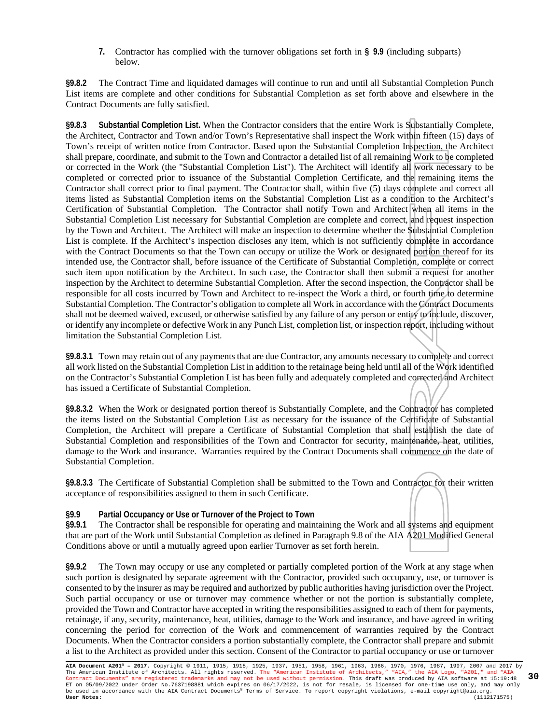**7.** Contractor has complied with the turnover obligations set forth in **§ 9.9** (including subparts) below.

**§9.8.2** The Contract Time and liquidated damages will continue to run and until all Substantial Completion Punch List items are complete and other conditions for Substantial Completion as set forth above and elsewhere in the Contract Documents are fully satisfied.

**§9.8.3 Substantial Completion List.** When the Contractor considers that the entire Work is Substantially Complete, the Architect, Contractor and Town and/or Town's Representative shall inspect the Work within fifteen (15) days of Town's receipt of written notice from Contractor. Based upon the Substantial Completion Inspection, the Architect shall prepare, coordinate, and submit to the Town and Contractor a detailed list of all remaining Work to be completed or corrected in the Work (the "Substantial Completion List"). The Architect will identify all work necessary to be completed or corrected prior to issuance of the Substantial Completion Certificate, and the remaining items the Contractor shall correct prior to final payment. The Contractor shall, within five (5) days complete and correct all items listed as Substantial Completion items on the Substantial Completion List as a condition to the Architect's Certification of Substantial Completion. The Contractor shall notify Town and Architect when all items in the Substantial Completion List necessary for Substantial Completion are complete and correct, and request inspection by the Town and Architect. The Architect will make an inspection to determine whether the Substantial Completion List is complete. If the Architect's inspection discloses any item, which is not sufficiently complete in accordance with the Contract Documents so that the Town can occupy or utilize the Work or designated portion thereof for its intended use, the Contractor shall, before issuance of the Certificate of Substantial Completion, complete or correct such item upon notification by the Architect. In such case, the Contractor shall then submit a request for another inspection by the Architect to determine Substantial Completion. After the second inspection, the Contractor shall be responsible for all costs incurred by Town and Architect to re-inspect the Work a third, or fourth time to determine Substantial Completion. The Contractor's obligation to complete all Work in accordance with the Contract Documents shall not be deemed waived, excused, or otherwise satisfied by any failure of any person or entity to include, discover, or identify any incomplete or defective Work in any Punch List, completion list, or inspection report, including without limitation the Substantial Completion List.

**§9.8.3.1** Town may retain out of any payments that are due Contractor, any amounts necessary to complete and correct all work listed on the Substantial Completion List in addition to the retainage being held until all of the Work identified on the Contractor's Substantial Completion List has been fully and adequately completed and corrected and Architect has issued a Certificate of Substantial Completion.

**§9.8.3.2** When the Work or designated portion thereof is Substantially Complete, and the Contractor has completed the items listed on the Substantial Completion List as necessary for the issuance of the Certificate of Substantial Completion, the Architect will prepare a Certificate of Substantial Completion that shall establish the date of Substantial Completion and responsibilities of the Town and Contractor for security, maintenance, heat, utilities, damage to the Work and insurance. Warranties required by the Contract Documents shall commence on the date of Substantial Completion.

**§9.8.3.3** The Certificate of Substantial Completion shall be submitted to the Town and Contractor for their written acceptance of responsibilities assigned to them in such Certificate.

#### **§9.9 Partial Occupancy or Use or Turnover of the Project to Town**

**§9.9.1** The Contractor shall be responsible for operating and maintaining the Work and all systems and equipment that are part of the Work until Substantial Completion as defined in Paragraph 9.8 of the AIA A201 Modified General Conditions above or until a mutually agreed upon earlier Turnover as set forth herein.

**§9.9.2** The Town may occupy or use any completed or partially completed portion of the Work at any stage when such portion is designated by separate agreement with the Contractor, provided such occupancy, use, or turnover is consented to by the insurer as may be required and authorized by public authorities having jurisdiction over the Project. Such partial occupancy or use or turnover may commence whether or not the portion is substantially complete, provided the Town and Contractor have accepted in writing the responsibilities assigned to each of them for payments, retainage, if any, security, maintenance, heat, utilities, damage to the Work and insurance, and have agreed in writing concerning the period for correction of the Work and commencement of warranties required by the Contract Documents. When the Contractor considers a portion substantially complete, the Contractor shall prepare and submit a list to the Architect as provided under this section. Consent of the Contractor to partial occupancy or use or turnover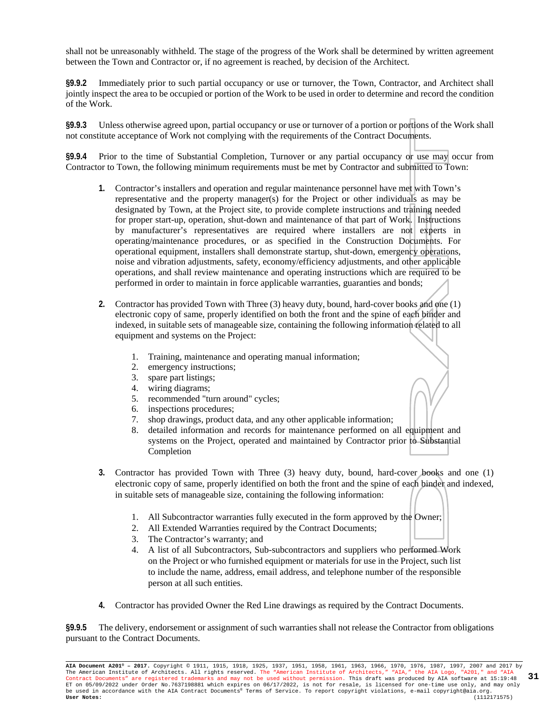shall not be unreasonably withheld. The stage of the progress of the Work shall be determined by written agreement between the Town and Contractor or, if no agreement is reached, by decision of the Architect.

**§9.9.2** Immediately prior to such partial occupancy or use or turnover, the Town, Contractor, and Architect shall jointly inspect the area to be occupied or portion of the Work to be used in order to determine and record the condition of the Work.

**§9.9.3** Unless otherwise agreed upon, partial occupancy or use or turnover of a portion or portions of the Work shall not constitute acceptance of Work not complying with the requirements of the Contract Documents.

**§9.9.4** Prior to the time of Substantial Completion, Turnover or any partial occupancy or use may occur from Contractor to Town, the following minimum requirements must be met by Contractor and submitted to Town:

- **1.** Contractor's installers and operation and regular maintenance personnel have met with Town's representative and the property manager(s) for the Project or other individuals as may be designated by Town, at the Project site, to provide complete instructions and training needed for proper start-up, operation, shut-down and maintenance of that part of Work. Instructions by manufacturer's representatives are required where installers are not experts in operating/maintenance procedures, or as specified in the Construction Documents. For operational equipment, installers shall demonstrate startup, shut-down, emergency operations, noise and vibration adjustments, safety, economy/efficiency adjustments, and other applicable operations, and shall review maintenance and operating instructions which are required to be performed in order to maintain in force applicable warranties, guaranties and bonds;
- **2.** Contractor has provided Town with Three (3) heavy duty, bound, hard-cover books and one (1) electronic copy of same, properly identified on both the front and the spine of each binder and indexed, in suitable sets of manageable size, containing the following information related to all equipment and systems on the Project:
	- 1. Training, maintenance and operating manual information;
	- 2. emergency instructions;
	- 3. spare part listings;
	- 4. wiring diagrams;
	- 5. recommended "turn around" cycles;
	- 6. inspections procedures;
	- 7. shop drawings, product data, and any other applicable information;
	- 8. detailed information and records for maintenance performed on all equipment and systems on the Project, operated and maintained by Contractor prior to Substantial Completion
- **3.** Contractor has provided Town with Three (3) heavy duty, bound, hard-cover books and one (1) electronic copy of same, properly identified on both the front and the spine of each binder and indexed, in suitable sets of manageable size, containing the following information:
	- 1. All Subcontractor warranties fully executed in the form approved by the Owner;
	- 2. All Extended Warranties required by the Contract Documents;
	- 3. The Contractor's warranty; and
	- 4. A list of all Subcontractors, Sub-subcontractors and suppliers who performed Work on the Project or who furnished equipment or materials for use in the Project, such list to include the name, address, email address, and telephone number of the responsible person at all such entities.
- **4.** Contractor has provided Owner the Red Line drawings as required by the Contract Documents.

**§9.9.5** The delivery, endorsement or assignment of such warranties shall not release the Contractor from obligations pursuant to the Contract Documents.

**AIA Document A201® – 2017.** Copyright © 1911, 1915, 1918, 1925, 1937, 1951, 1958, 1961, 1963, 1966, 1970, 1976, 1987, 1997, 2007 and 2017 by The American Institute of Architects. All rights reserved. The "American Institute of Architects," "AIA," the AIA Logo, "A201," and "AIA<br>Contract Documents" are registered trademarks and may not be used without permission. ET on 05/09/2022 under Order No.7637198881 which expires on 06/17/2022, is not for resale, is licensed for one-time use only, and may only<br>be used in accordance with the AIA Contract Documents® Terms of Service. To report **31**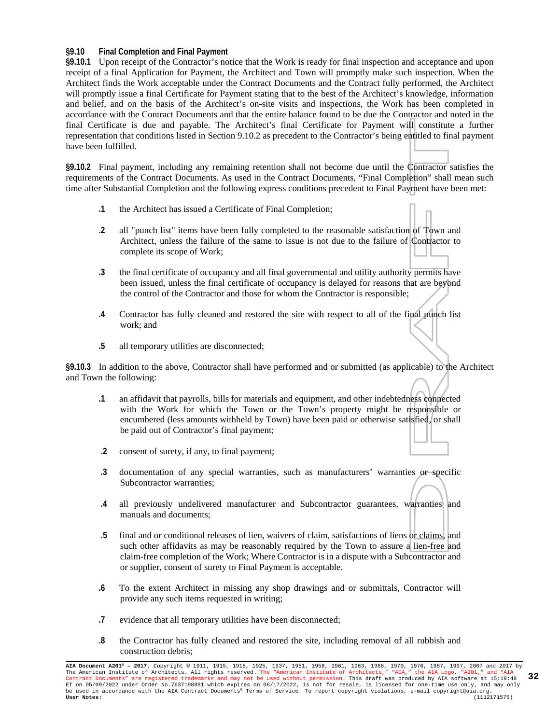#### **§9.10 Final Completion and Final Payment**

**§9.10.1** Upon receipt of the Contractor's notice that the Work is ready for final inspection and acceptance and upon receipt of a final Application for Payment, the Architect and Town will promptly make such inspection. When the Architect finds the Work acceptable under the Contract Documents and the Contract fully performed, the Architect will promptly issue a final Certificate for Payment stating that to the best of the Architect's knowledge, information and belief, and on the basis of the Architect's on-site visits and inspections, the Work has been completed in accordance with the Contract Documents and that the entire balance found to be due the Contractor and noted in the final Certificate is due and payable. The Architect's final Certificate for Payment will constitute a further representation that conditions listed in Section 9.10.2 as precedent to the Contractor's being entitled to final payment have been fulfilled.

**§9.10.2** Final payment, including any remaining retention shall not become due until the Contractor satisfies the requirements of the Contract Documents. As used in the Contract Documents, "Final Completion" shall mean such time after Substantial Completion and the following express conditions precedent to Final Payment have been met:

- **.1** the Architect has issued a Certificate of Final Completion;
- **.2** all "punch list" items have been fully completed to the reasonable satisfaction of Town and Architect, unless the failure of the same to issue is not due to the failure of Contractor to complete its scope of Work;
- **.3** the final certificate of occupancy and all final governmental and utility authority permits have been issued, unless the final certificate of occupancy is delayed for reasons that are beyond the control of the Contractor and those for whom the Contractor is responsible;
- **.4** Contractor has fully cleaned and restored the site with respect to all of the final punch list work; and
- **.5** all temporary utilities are disconnected;

**§9.10.3** In addition to the above, Contractor shall have performed and or submitted (as applicable) to the Architect and Town the following:

- **.1** an affidavit that payrolls, bills for materials and equipment, and other indebtedness connected with the Work for which the Town or the Town's property might be responsible or encumbered (less amounts withheld by Town) have been paid or otherwise satisfied, or shall be paid out of Contractor's final payment;
- **.2** consent of surety, if any, to final payment;
- **.3** documentation of any special warranties, such as manufacturers' warranties or specific Subcontractor warranties;
- **.4** all previously undelivered manufacturer and Subcontractor guarantees, warranties and manuals and documents;
- **.5** final and or conditional releases of lien, waivers of claim, satisfactions of liens or claims, and such other affidavits as may be reasonably required by the Town to assure a lien-free and claim-free completion of the Work; Where Contractor is in a dispute with a Subcontractor and or supplier, consent of surety to Final Payment is acceptable.
- **.6** To the extent Architect in missing any shop drawings and or submittals, Contractor will provide any such items requested in writing;
- **.7** evidence that all temporary utilities have been disconnected;
- **.8** the Contractor has fully cleaned and restored the site, including removal of all rubbish and construction debris;

**AIA Document A201® – 2017.** Copyright © 1911, 1915, 1918, 1925, 1937, 1951, 1958, 1961, 1963, 1966, 1970, 1976, 1987, 1997, 2007 and 2017 by The American Institute of Architects. All rights reserved. The "American Institute of Architects," "AIA," the AIA Logo, "A201," and "AIA<br>Contract Documents" are registered trademarks and may not be used without permission. ET on 05/09/2022 under Order No.7637198881 which expires on 06/17/2022, is not for resale, is licensed for one-time use only, and may only<br>be used in accordance with the AIA Contract Documents® Terms of Service. To report **32**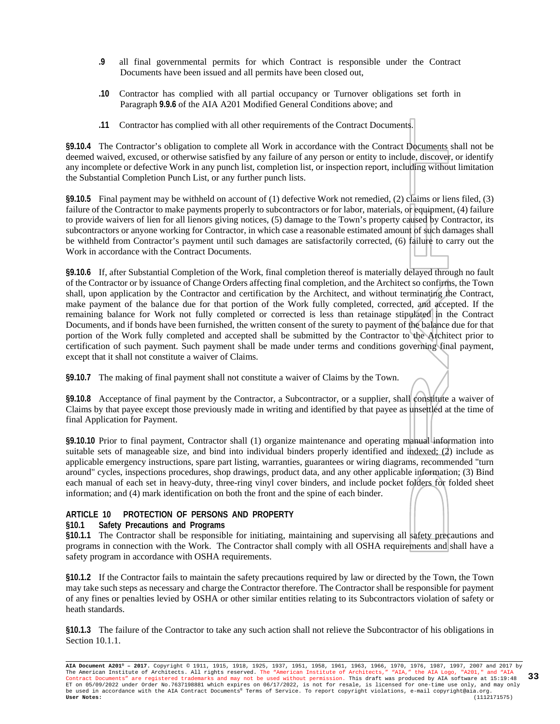- **.9** all final governmental permits for which Contract is responsible under the Contract Documents have been issued and all permits have been closed out,
- **.10** Contractor has complied with all partial occupancy or Turnover obligations set forth in Paragraph **9.9.6** of the AIA A201 Modified General Conditions above; and
- **.11** Contractor has complied with all other requirements of the Contract Documents.

**§9.10.4** The Contractor's obligation to complete all Work in accordance with the Contract Documents shall not be deemed waived, excused, or otherwise satisfied by any failure of any person or entity to include, discover, or identify any incomplete or defective Work in any punch list, completion list, or inspection report, including without limitation the Substantial Completion Punch List, or any further punch lists.

**§9.10.5** Final payment may be withheld on account of (1) defective Work not remedied, (2) claims or liens filed, (3) failure of the Contractor to make payments properly to subcontractors or for labor, materials, or equipment, (4) failure to provide waivers of lien for all lienors giving notices, (5) damage to the Town's property caused by Contractor, its subcontractors or anyone working for Contractor, in which case a reasonable estimated amount of such damages shall be withheld from Contractor's payment until such damages are satisfactorily corrected, (6) failure to carry out the Work in accordance with the Contract Documents.

**§9.10.6** If, after Substantial Completion of the Work, final completion thereof is materially delayed through no fault of the Contractor or by issuance of Change Orders affecting final completion, and the Architect so confirms, the Town shall, upon application by the Contractor and certification by the Architect, and without terminating the Contract, make payment of the balance due for that portion of the Work fully completed, corrected, and accepted. If the remaining balance for Work not fully completed or corrected is less than retainage stipulated in the Contract Documents, and if bonds have been furnished, the written consent of the surety to payment of the balance due for that portion of the Work fully completed and accepted shall be submitted by the Contractor to the Architect prior to certification of such payment. Such payment shall be made under terms and conditions governing final payment, except that it shall not constitute a waiver of Claims.

**§9.10.7** The making of final payment shall not constitute a waiver of Claims by the Town.

**§9.10.8** Acceptance of final payment by the Contractor, a Subcontractor, or a supplier, shall constitute a waiver of Claims by that payee except those previously made in writing and identified by that payee as unsettled at the time of final Application for Payment.

**§9.10.10** Prior to final payment, Contractor shall (1) organize maintenance and operating manual information into suitable sets of manageable size, and bind into individual binders properly identified and indexed; (2) include as applicable emergency instructions, spare part listing, warranties, guarantees or wiring diagrams, recommended "turn around" cycles, inspections procedures, shop drawings, product data, and any other applicable information; (3) Bind each manual of each set in heavy-duty, three-ring vinyl cover binders, and include pocket folders for folded sheet information; and (4) mark identification on both the front and the spine of each binder.

#### **ARTICLE 10 PROTECTION OF PERSONS AND PROPERTY**

#### **§10.1 Safety Precautions and Programs**

**§10.1.1** The Contractor shall be responsible for initiating, maintaining and supervising all safety precautions and programs in connection with the Work. The Contractor shall comply with all OSHA requirements and shall have a safety program in accordance with OSHA requirements.

**§10.1.2** If the Contractor fails to maintain the safety precautions required by law or directed by the Town, the Town may take such steps as necessary and charge the Contractor therefore. The Contractor shall be responsible for payment of any fines or penalties levied by OSHA or other similar entities relating to its Subcontractors violation of safety or heath standards.

**§10.1.3** The failure of the Contractor to take any such action shall not relieve the Subcontractor of his obligations in Section 10.1.1.

**AIA Document A201® – 2017.** Copyright © 1911, 1915, 1918, 1925, 1937, 1951, 1958, 1961, 1963, 1966, 1970, 1976, 1987, 1997, 2007 and 2017 by The American Institute of Architects. All rights reserved. The "American Institute of Architects," "AIA," the AIA Logo, "A201," and "AIA<br>Contract Documents" are registered trademarks and may not be used without permission. ET on 05/09/2022 under Order No.7637198881 which expires on 06/17/2022, is not for resale, is licensed for one-time use only, and may only<br>be used in accordance with the AIA Contract Documents® Terms of Service. To report **33**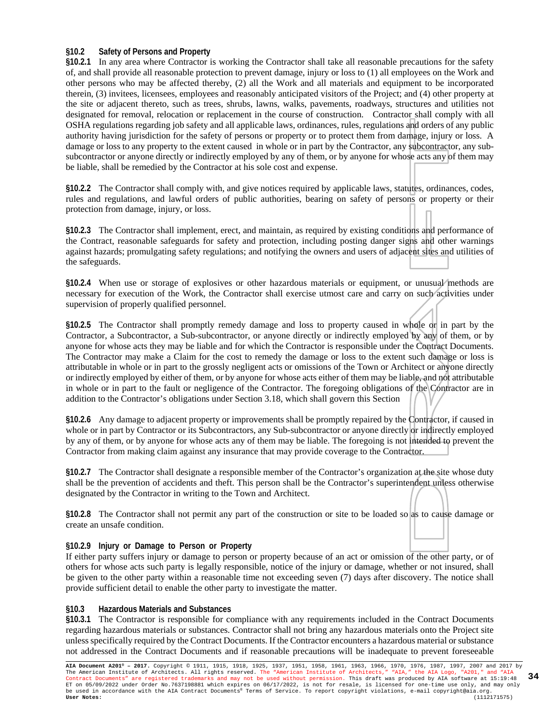#### **§10.2 Safety of Persons and Property**

**§10.2.1** In any area where Contractor is working the Contractor shall take all reasonable precautions for the safety of, and shall provide all reasonable protection to prevent damage, injury or loss to (1) all employees on the Work and other persons who may be affected thereby, (2) all the Work and all materials and equipment to be incorporated therein, (3) invitees, licensees, employees and reasonably anticipated visitors of the Project; and (4) other property at the site or adjacent thereto, such as trees, shrubs, lawns, walks, pavements, roadways, structures and utilities not designated for removal, relocation or replacement in the course of construction. Contractor shall comply with all OSHA regulations regarding job safety and all applicable laws, ordinances, rules, regulations and orders of any public authority having jurisdiction for the safety of persons or property or to protect them from damage, injury or loss. A damage or loss to any property to the extent caused in whole or in part by the Contractor, any subcontractor, any subsubcontractor or anyone directly or indirectly employed by any of them, or by anyone for whose acts any of them may be liable, shall be remedied by the Contractor at his sole cost and expense.

**§10.2.2** The Contractor shall comply with, and give notices required by applicable laws, statutes, ordinances, codes, rules and regulations, and lawful orders of public authorities, bearing on safety of persons or property or their protection from damage, injury, or loss.

**§10.2.3** The Contractor shall implement, erect, and maintain, as required by existing conditions and performance of the Contract, reasonable safeguards for safety and protection, including posting danger signs and other warnings against hazards; promulgating safety regulations; and notifying the owners and users of adjacent sites and utilities of the safeguards.

**§10.2.4** When use or storage of explosives or other hazardous materials or equipment, or unusual methods are necessary for execution of the Work, the Contractor shall exercise utmost care and carry on such activities under supervision of properly qualified personnel.

**§10.2.5** The Contractor shall promptly remedy damage and loss to property caused in whole or in part by the Contractor, a Subcontractor, a Sub-subcontractor, or anyone directly or indirectly employed by any of them, or by anyone for whose acts they may be liable and for which the Contractor is responsible under the Contract Documents. The Contractor may make a Claim for the cost to remedy the damage or loss to the extent such damage or loss is attributable in whole or in part to the grossly negligent acts or omissions of the Town or Architect or anyone directly or indirectly employed by either of them, or by anyone for whose acts either of them may be liable, and not attributable in whole or in part to the fault or negligence of the Contractor. The foregoing obligations of the Contractor are in addition to the Contractor's obligations under Section 3.18, which shall govern this Section

**§10.2.6** Any damage to adjacent property or improvements shall be promptly repaired by the Contractor, if caused in whole or in part by Contractor or its Subcontractors, any Sub-subcontractor or anyone directly or indirectly employed by any of them, or by anyone for whose acts any of them may be liable. The foregoing is not intended to prevent the Contractor from making claim against any insurance that may provide coverage to the Contractor.

**§10.2.7** The Contractor shall designate a responsible member of the Contractor's organization at the site whose duty shall be the prevention of accidents and theft. This person shall be the Contractor's superintendent unless otherwise designated by the Contractor in writing to the Town and Architect.

**§10.2.8** The Contractor shall not permit any part of the construction or site to be loaded so as to cause damage or create an unsafe condition.

#### **§10.2.9 Injury or Damage to Person or Property**

If either party suffers injury or damage to person or property because of an act or omission of the other party, or of others for whose acts such party is legally responsible, notice of the injury or damage, whether or not insured, shall be given to the other party within a reasonable time not exceeding seven (7) days after discovery. The notice shall provide sufficient detail to enable the other party to investigate the matter.

#### **§10.3 Hazardous Materials and Substances**

**§10.3.1** The Contractor is responsible for compliance with any requirements included in the Contract Documents regarding hazardous materials or substances. Contractor shall not bring any hazardous materials onto the Project site unless specifically required by the Contract Documents. If the Contractor encounters a hazardous material or substance not addressed in the Contract Documents and if reasonable precautions will be inadequate to prevent foreseeable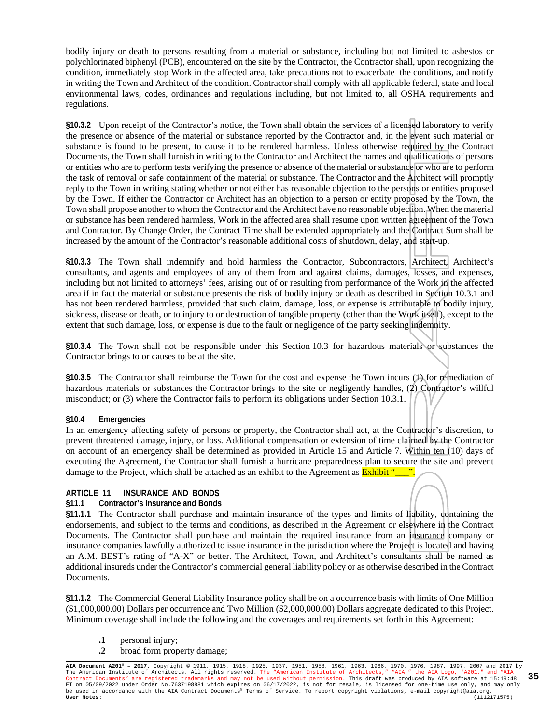bodily injury or death to persons resulting from a material or substance, including but not limited to asbestos or polychlorinated biphenyl (PCB), encountered on the site by the Contractor, the Contractor shall, upon recognizing the condition, immediately stop Work in the affected area, take precautions not to exacerbate the conditions, and notify in writing the Town and Architect of the condition. Contractor shall comply with all applicable federal, state and local environmental laws, codes, ordinances and regulations including, but not limited to, all OSHA requirements and regulations.

**§10.3.2** Upon receipt of the Contractor's notice, the Town shall obtain the services of a licensed laboratory to verify the presence or absence of the material or substance reported by the Contractor and, in the event such material or substance is found to be present, to cause it to be rendered harmless. Unless otherwise required by the Contract Documents, the Town shall furnish in writing to the Contractor and Architect the names and qualifications of persons or entities who are to perform tests verifying the presence or absence of the material or substance or who are to perform the task of removal or safe containment of the material or substance. The Contractor and the Architect will promptly reply to the Town in writing stating whether or not either has reasonable objection to the persons or entities proposed by the Town. If either the Contractor or Architect has an objection to a person or entity proposed by the Town, the Town shall propose another to whom the Contractor and the Architect have no reasonable objection. When the material or substance has been rendered harmless, Work in the affected area shall resume upon written agreement of the Town and Contractor. By Change Order, the Contract Time shall be extended appropriately and the Contract Sum shall be increased by the amount of the Contractor's reasonable additional costs of shutdown, delay, and start-up.

**§10.3.3** The Town shall indemnify and hold harmless the Contractor, Subcontractors, Architect, Architect's consultants, and agents and employees of any of them from and against claims, damages, losses, and expenses, including but not limited to attorneys' fees, arising out of or resulting from performance of the Work in the affected area if in fact the material or substance presents the risk of bodily injury or death as described in Section 10.3.1 and has not been rendered harmless, provided that such claim, damage, loss, or expense is attributable to bodily injury, sickness, disease or death, or to injury to or destruction of tangible property (other than the Work itself), except to the extent that such damage, loss, or expense is due to the fault or negligence of the party seeking indemnity.

**§10.3.4** The Town shall not be responsible under this Section 10.3 for hazardous materials or substances the Contractor brings to or causes to be at the site.

**§10.3.5** The Contractor shall reimburse the Town for the cost and expense the Town incurs (1) for remediation of hazardous materials or substances the Contractor brings to the site or negligently handles, (2) Contractor's willful misconduct; or (3) where the Contractor fails to perform its obligations under Section 10.3.1.

#### **§10.4 Emergencies**

In an emergency affecting safety of persons or property, the Contractor shall act, at the Contractor's discretion, to prevent threatened damage, injury, or loss. Additional compensation or extension of time claimed by the Contractor on account of an emergency shall be determined as provided in Article 15 and Article 7. Within ten (10) days of executing the Agreement, the Contractor shall furnish a hurricane preparedness plan to secure the site and prevent damage to the Project, which shall be attached as an exhibit to the Agreement as **Exhibit "** 

#### **ARTICLE 11 INSURANCE AND BONDS**

#### **§11.1 Contractor's Insurance and Bonds**

**§11.1.1** The Contractor shall purchase and maintain insurance of the types and limits of liability, containing the endorsements, and subject to the terms and conditions, as described in the Agreement or elsewhere in the Contract Documents. The Contractor shall purchase and maintain the required insurance from an insurance company or insurance companies lawfully authorized to issue insurance in the jurisdiction where the Project is located and having an A.M. BEST's rating of "A-X" or better. The Architect, Town, and Architect's consultants shall be named as additional insureds under the Contractor's commercial general liability policy or as otherwise described in the Contract Documents.

**§11.1.2** The Commercial General Liability Insurance policy shall be on a occurrence basis with limits of One Million (\$1,000,000.00) Dollars per occurrence and Two Million (\$2,000,000.00) Dollars aggregate dedicated to this Project. Minimum coverage shall include the following and the coverages and requirements set forth in this Agreement:

- **.1** personal injury;
- **.2** broad form property damage;

**AIA Document A201® – 2017.** Copyright © 1911, 1915, 1918, 1925, 1937, 1951, 1958, 1961, 1963, 1966, 1970, 1976, 1987, 1997, 2007 and 2017 by The American Institute of Architects. All rights reserved. The "American Institute of Architects," "AIA," the AIA Logo, "A201," and "AIA<br>Contract Documents" are registered trademarks and may not be used without permission. ET on 05/09/2022 under Order No.7637198881 which expires on 06/17/2022, is not for resale, is licensed for one-time use only, and may only<br>be used in accordance with the AIA Contract Documents® Terms of Service. To report **35**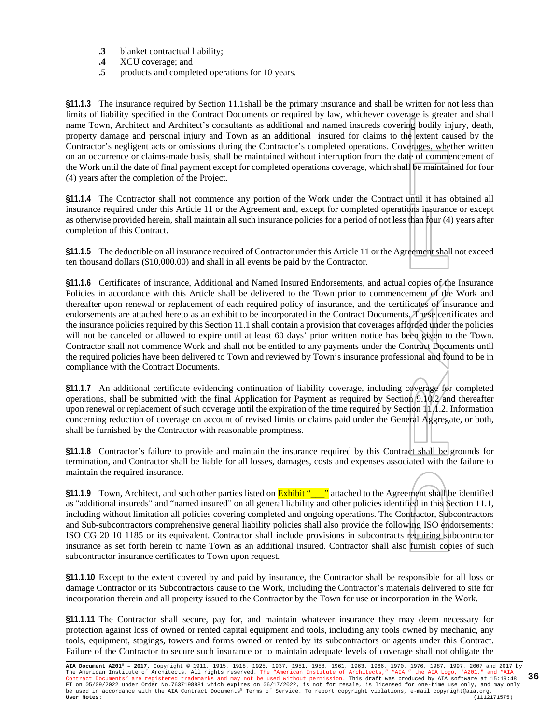- **.3** blanket contractual liability;
- **.4** XCU coverage; and
- **.5** products and completed operations for 10 years.

**§11.1.3** The insurance required by Section 11.1shall be the primary insurance and shall be written for not less than limits of liability specified in the Contract Documents or required by law, whichever coverage is greater and shall name Town, Architect and Architect's consultants as additional and named insureds covering bodily injury, death, property damage and personal injury and Town as an additional insured for claims to the extent caused by the Contractor's negligent acts or omissions during the Contractor's completed operations. Coverages, whether written on an occurrence or claims-made basis, shall be maintained without interruption from the date of commencement of the Work until the date of final payment except for completed operations coverage, which shall be maintained for four (4) years after the completion of the Project.

**§11.1.4** The Contractor shall not commence any portion of the Work under the Contract until it has obtained all insurance required under this Article 11 or the Agreement and, except for completed operations insurance or except as otherwise provided herein, shall maintain all such insurance policies for a period of not less than four (4) years after completion of this Contract.

**§11.1.5** The deductible on all insurance required of Contractor under this Article 11 or the Agreementshall not exceed ten thousand dollars (\$10,000.00) and shall in all events be paid by the Contractor.

**§11.1.6** Certificates of insurance, Additional and Named Insured Endorsements, and actual copies of the Insurance Policies in accordance with this Article shall be delivered to the Town prior to commencement of the Work and thereafter upon renewal or replacement of each required policy of insurance, and the certificates of insurance and endorsements are attached hereto as an exhibit to be incorporated in the Contract Documents. These certificates and the insurance policies required by this Section 11.1 shall contain a provision that coverages afforded under the policies will not be canceled or allowed to expire until at least 60 days' prior written notice has been given to the Town. Contractor shall not commence Work and shall not be entitled to any payments under the Contract Documents until the required policies have been delivered to Town and reviewed by Town's insurance professional and found to be in compliance with the Contract Documents.

§11.1.7 An additional certificate evidencing continuation of liability coverage, including coverage for completed operations, shall be submitted with the final Application for Payment as required by Section 9.10.2 and thereafter upon renewal or replacement of such coverage until the expiration of the time required by Section 11.1.2. Information concerning reduction of coverage on account of revised limits or claims paid under the General Aggregate, or both, shall be furnished by the Contractor with reasonable promptness.

**§11.1.8** Contractor's failure to provide and maintain the insurance required by this Contract shall be grounds for termination, and Contractor shall be liable for all losses, damages, costs and expenses associated with the failure to maintain the required insurance.

§11.1.9 Town, Architect, and such other parties listed on **Exhibit "**\_\_\_" attached to the Agreement shall be identified as "additional insureds" and "named insured" on all general liability and other policies identified in this Section 11.1, including without limitation all policies covering completed and ongoing operations. The Contractor, Subcontractors and Sub-subcontractors comprehensive general liability policies shall also provide the following ISO endorsements: ISO CG 20 10 1185 or its equivalent. Contractor shall include provisions in subcontracts requiring subcontractor insurance as set forth herein to name Town as an additional insured. Contractor shall also furnish copies of such subcontractor insurance certificates to Town upon request.

**§11.1.10** Except to the extent covered by and paid by insurance, the Contractor shall be responsible for all loss or damage Contractor or its Subcontractors cause to the Work, including the Contractor's materials delivered to site for incorporation therein and all property issued to the Contractor by the Town for use or incorporation in the Work.

**§11.1.11** The Contractor shall secure, pay for, and maintain whatever insurance they may deem necessary for protection against loss of owned or rented capital equipment and tools, including any tools owned by mechanic, any tools, equipment, stagings, towers and forms owned or rented by its subcontractors or agents under this Contract. Failure of the Contractor to secure such insurance or to maintain adequate levels of coverage shall not obligate the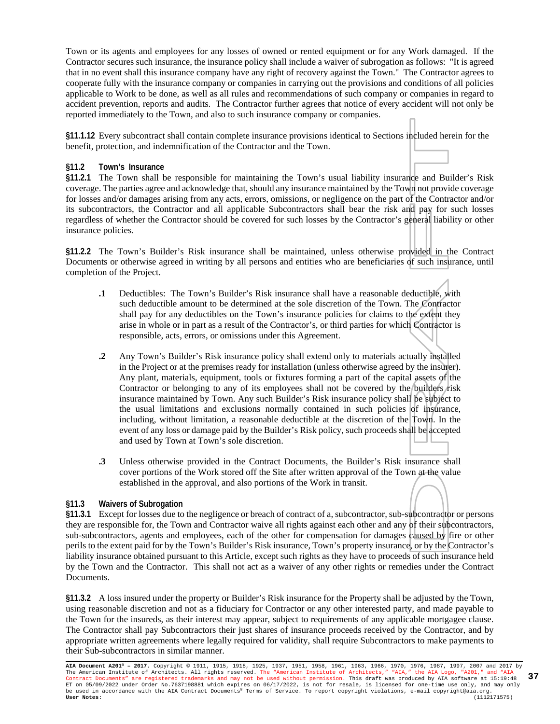Town or its agents and employees for any losses of owned or rented equipment or for any Work damaged. If the Contractor secures such insurance, the insurance policy shall include a waiver of subrogation as follows: "It is agreed that in no event shall this insurance company have any right of recovery against the Town." The Contractor agrees to cooperate fully with the insurance company or companies in carrying out the provisions and conditions of all policies applicable to Work to be done, as well as all rules and recommendations of such company or companies in regard to accident prevention, reports and audits. The Contractor further agrees that notice of every accident will not only be reported immediately to the Town, and also to such insurance company or companies.

**§11.1.12** Every subcontract shall contain complete insurance provisions identical to Sections included herein for the benefit, protection, and indemnification of the Contractor and the Town.

#### **§11.2 Town's Insurance**

**§11.2.1** The Town shall be responsible for maintaining the Town's usual liability insurance and Builder's Risk coverage. The parties agree and acknowledge that, should any insurance maintained by the Town not provide coverage for losses and/or damages arising from any acts, errors, omissions, or negligence on the part of the Contractor and/or its subcontractors, the Contractor and all applicable Subcontractors shall bear the risk and pay for such losses regardless of whether the Contractor should be covered for such losses by the Contractor's general liability or other insurance policies.

**§11.2.2** The Town's Builder's Risk insurance shall be maintained, unless otherwise provided in the Contract Documents or otherwise agreed in writing by all persons and entities who are beneficiaries of such insurance, until completion of the Project.

- **.1** Deductibles: The Town's Builder's Risk insurance shall have a reasonable deductible, with such deductible amount to be determined at the sole discretion of the Town. The Contractor shall pay for any deductibles on the Town's insurance policies for claims to the extent they arise in whole or in part as a result of the Contractor's, or third parties for which Contractor is responsible, acts, errors, or omissions under this Agreement.
- **.2** Any Town's Builder's Risk insurance policy shall extend only to materials actually installed in the Project or at the premises ready for installation (unless otherwise agreed by the insurer). Any plant, materials, equipment, tools or fixtures forming a part of the capital assets of the Contractor or belonging to any of its employees shall not be covered by the builders risk insurance maintained by Town. Any such Builder's Risk insurance policy shall be subject to the usual limitations and exclusions normally contained in such policies of insurance, including, without limitation, a reasonable deductible at the discretion of the Town. In the event of any loss or damage paid by the Builder's Risk policy, such proceeds shall be accepted and used by Town at Town's sole discretion.
- **.3** Unless otherwise provided in the Contract Documents, the Builder's Risk insurance shall cover portions of the Work stored off the Site after written approval of the Town at the value established in the approval, and also portions of the Work in transit.

#### **§11.3 Waivers of Subrogation**

**§11.3.1** Except for losses due to the negligence or breach of contract of a, subcontractor, sub-subcontractor or persons they are responsible for, the Town and Contractor waive all rights against each other and any of their subcontractors, sub-subcontractors, agents and employees, each of the other for compensation for damages caused by fire or other perils to the extent paid for by the Town's Builder's Risk insurance, Town's property insurance, or by the Contractor's liability insurance obtained pursuant to this Article, except such rights as they have to proceeds of such insurance held by the Town and the Contractor. This shall not act as a waiver of any other rights or remedies under the Contract Documents.

**§11.3.2** A loss insured under the property or Builder's Risk insurance for the Property shall be adjusted by the Town, using reasonable discretion and not as a fiduciary for Contractor or any other interested party, and made payable to the Town for the insureds, as their interest may appear, subject to requirements of any applicable mortgagee clause. The Contractor shall pay Subcontractors their just shares of insurance proceeds received by the Contractor, and by appropriate written agreements where legally required for validity, shall require Subcontractors to make payments to their Sub-subcontractors in similar manner.

**AIA Document A201® – 2017.** Copyright © 1911, 1915, 1918, 1925, 1937, 1951, 1958, 1961, 1963, 1966, 1970, 1976, 1987, 1997, 2007 and 2017 by The American Institute of Architects. All rights reserved. The "American Institute of Architects," "AIA," the AIA Logo, "A201," and "AIA<br>Contract Documents" are registered trademarks and may not be used without permission. ET on 05/09/2022 under Order No.7637198881 which expires on 06/17/2022, is not for resale, is licensed for one-time use only, and may only<br>be used in accordance with the AIA Contract Documents® Terms of Service. To report **37**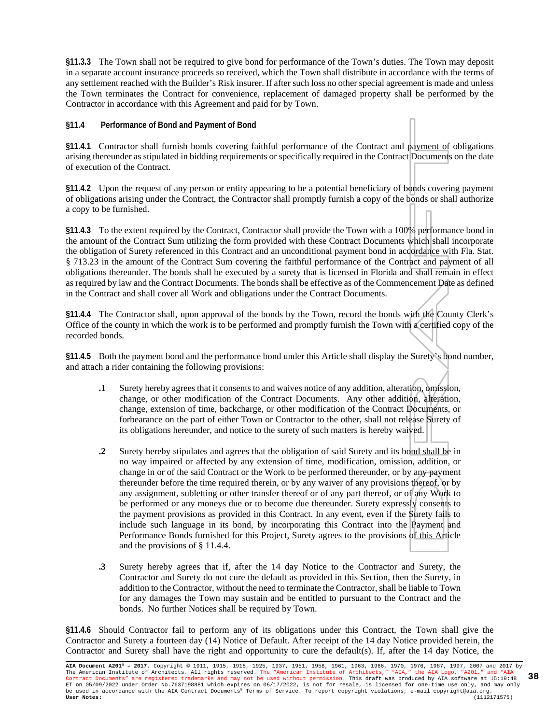**§11.3.3** The Town shall not be required to give bond for performance of the Town's duties. The Town may deposit in a separate account insurance proceeds so received, which the Town shall distribute in accordance with the terms of any settlement reached with the Builder's Risk insurer. If after such loss no other special agreement is made and unless the Town terminates the Contract for convenience, replacement of damaged property shall be performed by the Contractor in accordance with this Agreement and paid for by Town.

#### **§11.4 Performance of Bond and Payment of Bond**

**§11.4.1** Contractor shall furnish bonds covering faithful performance of the Contract and payment of obligations arising thereunder as stipulated in bidding requirements or specifically required in the Contract Documents on the date of execution of the Contract.

**§11.4.2** Upon the request of any person or entity appearing to be a potential beneficiary of bonds covering payment of obligations arising under the Contract, the Contractor shall promptly furnish a copy of the bonds or shall authorize a copy to be furnished.

**§11.4.3** To the extent required by the Contract, Contractor shall provide the Town with a 100% performance bond in the amount of the Contract Sum utilizing the form provided with these Contract Documents which shall incorporate the obligation of Surety referenced in this Contract and an unconditional payment bond in accordance with Fla. Stat. § 713.23 in the amount of the Contract Sum covering the faithful performance of the Contract and payment of all obligations thereunder. The bonds shall be executed by a surety that is licensed in Florida and shall remain in effect as required by law and the Contract Documents. The bonds shall be effective as of the Commencement Date as defined in the Contract and shall cover all Work and obligations under the Contract Documents.

**§11.4.4** The Contractor shall, upon approval of the bonds by the Town, record the bonds with the County Clerk's Office of the county in which the work is to be performed and promptly furnish the Town with a certified copy of the recorded bonds.

**§11.4.5** Both the payment bond and the performance bond under this Article shall display the Surety's bond number, and attach a rider containing the following provisions:

- **.1** Surety hereby agrees that it consents to and waives notice of any addition, alteration, omission, change, or other modification of the Contract Documents. Any other addition, alteration, change, extension of time, backcharge, or other modification of the Contract Documents, or forbearance on the part of either Town or Contractor to the other, shall not release Surety of its obligations hereunder, and notice to the surety of such matters is hereby waived.
- **.2** Surety hereby stipulates and agrees that the obligation of said Surety and its bond shall be in no way impaired or affected by any extension of time, modification, omission, addition, or change in or of the said Contract or the Work to be performed thereunder, or by any payment thereunder before the time required therein, or by any waiver of any provisions thereof, or by any assignment, subletting or other transfer thereof or of any part thereof, or of any Work to be performed or any moneys due or to become due thereunder. Surety expressly consents to the payment provisions as provided in this Contract. In any event, even if the Surety fails to include such language in its bond, by incorporating this Contract into the Payment and Performance Bonds furnished for this Project, Surety agrees to the provisions of this Article and the provisions of § 11.4.4.
- **.3** Surety hereby agrees that if, after the 14 day Notice to the Contractor and Surety, the Contractor and Surety do not cure the default as provided in this Section, then the Surety, in addition to the Contractor, without the need to terminate the Contractor, shall be liable to Town for any damages the Town may sustain and be entitled to pursuant to the Contract and the bonds. No further Notices shall be required by Town.

**§11.4.6** Should Contractor fail to perform any of its obligations under this Contract, the Town shall give the Contractor and Surety a fourteen day (14) Notice of Default. After receipt of the 14 day Notice provided herein, the Contractor and Surety shall have the right and opportunity to cure the default(s). If, after the 14 day Notice, the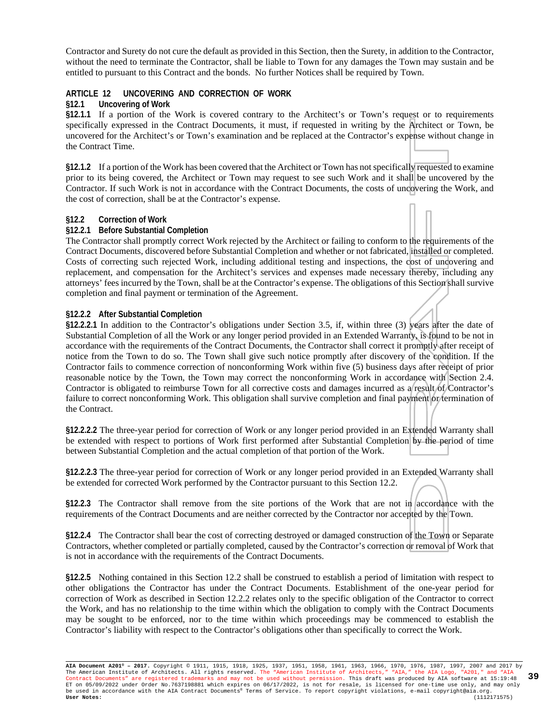Contractor and Surety do not cure the default as provided in this Section, then the Surety, in addition to the Contractor, without the need to terminate the Contractor, shall be liable to Town for any damages the Town may sustain and be entitled to pursuant to this Contract and the bonds. No further Notices shall be required by Town.

#### **ARTICLE 12 UNCOVERING AND CORRECTION OF WORK**

#### **§12.1 Uncovering of Work**

**§12.1.1** If a portion of the Work is covered contrary to the Architect's or Town's request or to requirements specifically expressed in the Contract Documents, it must, if requested in writing by the Architect or Town, be uncovered for the Architect's or Town's examination and be replaced at the Contractor's expense without change in the Contract Time.

**§12.1.2** If a portion of the Work has been covered that the Architect or Town has not specifically requested to examine prior to its being covered, the Architect or Town may request to see such Work and it shall be uncovered by the Contractor. If such Work is not in accordance with the Contract Documents, the costs of uncovering the Work, and the cost of correction, shall be at the Contractor's expense.

#### **§12.2 Correction of Work**

#### **§12.2.1 Before Substantial Completion**

The Contractor shall promptly correct Work rejected by the Architect or failing to conform to the requirements of the Contract Documents, discovered before Substantial Completion and whether or not fabricated, installed or completed. Costs of correcting such rejected Work, including additional testing and inspections, the cost of uncovering and replacement, and compensation for the Architect's services and expenses made necessary thereby, including any attorneys' fees incurred by the Town, shall be at the Contractor's expense. The obligations of this Section shall survive completion and final payment or termination of the Agreement.

#### **§12.2.2 After Substantial Completion**

**§12.2.2.1** In addition to the Contractor's obligations under Section 3.5, if, within three (3) years after the date of Substantial Completion of all the Work or any longer period provided in an Extended Warranty, is found to be not in accordance with the requirements of the Contract Documents, the Contractor shall correct it promptly after receipt of notice from the Town to do so. The Town shall give such notice promptly after discovery of the condition. If the Contractor fails to commence correction of nonconforming Work within five (5) business days after receipt of prior reasonable notice by the Town, the Town may correct the nonconforming Work in accordance with Section 2.4. Contractor is obligated to reimburse Town for all corrective costs and damages incurred as a result of Contractor's failure to correct nonconforming Work. This obligation shall survive completion and final payment or termination of the Contract.

**§12.2.2.2** The three-year period for correction of Work or any longer period provided in an Extended Warranty shall be extended with respect to portions of Work first performed after Substantial Completion by the period of time between Substantial Completion and the actual completion of that portion of the Work.

**§12.2.2.3** The three-year period for correction of Work or any longer period provided in an Extended Warranty shall be extended for corrected Work performed by the Contractor pursuant to this Section 12.2.

**§12.2.3** The Contractor shall remove from the site portions of the Work that are not in accordance with the requirements of the Contract Documents and are neither corrected by the Contractor nor accepted by the Town.

**§12.2.4** The Contractor shall bear the cost of correcting destroyed or damaged construction of the Town or Separate Contractors, whether completed or partially completed, caused by the Contractor's correction or removal of Work that is not in accordance with the requirements of the Contract Documents.

**§12.2.5** Nothing contained in this Section 12.2 shall be construed to establish a period of limitation with respect to other obligations the Contractor has under the Contract Documents. Establishment of the one-year period for correction of Work as described in Section 12.2.2 relates only to the specific obligation of the Contractor to correct the Work, and has no relationship to the time within which the obligation to comply with the Contract Documents may be sought to be enforced, nor to the time within which proceedings may be commenced to establish the Contractor's liability with respect to the Contractor's obligations other than specifically to correct the Work.

**AIA Document A201® – 2017.** Copyright © 1911, 1915, 1918, 1925, 1937, 1951, 1958, 1961, 1963, 1966, 1970, 1976, 1987, 1997, 2007 and 2017 by The American Institute of Architects. All rights reserved. The "American Institute of Architects," "AIA," the AIA Logo, "A201," and "AIA<br>Contract Documents" are registered trademarks and may not be used without permission. ET on 05/09/2022 under Order No.7637198881 which expires on 06/17/2022, is not for resale, is licensed for one-time use only, and may only<br>be used in accordance with the AIA Contract Documents® Terms of Service. To report **39**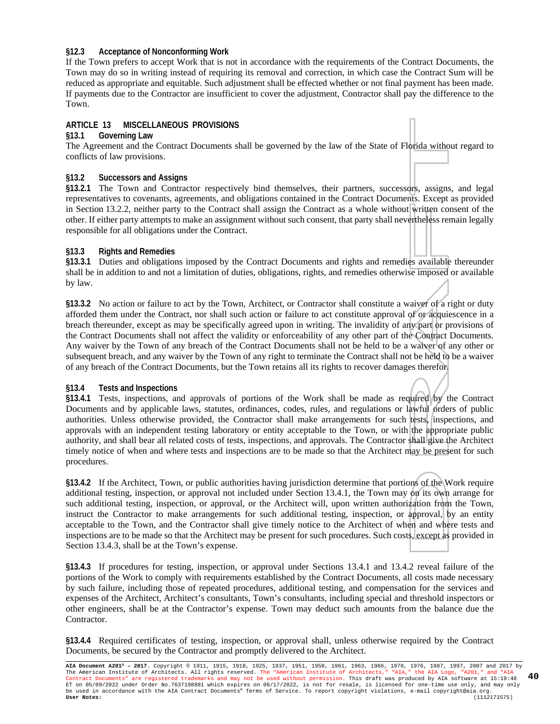#### **§12.3 Acceptance of Nonconforming Work**

If the Town prefers to accept Work that is not in accordance with the requirements of the Contract Documents, the Town may do so in writing instead of requiring its removal and correction, in which case the Contract Sum will be reduced as appropriate and equitable. Such adjustment shall be effected whether or not final payment has been made. If payments due to the Contractor are insufficient to cover the adjustment, Contractor shall pay the difference to the Town.

#### **ARTICLE 13 MISCELLANEOUS PROVISIONS**

#### **§13.1 Governing Law**

The Agreement and the Contract Documents shall be governed by the law of the State of Florida without regard to conflicts of law provisions.

#### **§13.2 Successors and Assigns**

**§13.2.1** The Town and Contractor respectively bind themselves, their partners, successors, assigns, and legal representatives to covenants, agreements, and obligations contained in the Contract Documents. Except as provided in Section 13.2.2, neither party to the Contract shall assign the Contract as a whole without written consent of the other. If either party attempts to make an assignment without such consent, that party shall nevertheless remain legally responsible for all obligations under the Contract.

#### **§13.3 Rights and Remedies**

**§13.3.1** Duties and obligations imposed by the Contract Documents and rights and remedies available thereunder shall be in addition to and not a limitation of duties, obligations, rights, and remedies otherwise imposed or available by law.

**§13.3.2** No action or failure to act by the Town, Architect, or Contractor shall constitute a waiver of a right or duty afforded them under the Contract, nor shall such action or failure to act constitute approval of or acquiescence in a breach thereunder, except as may be specifically agreed upon in writing. The invalidity of any part or provisions of the Contract Documents shall not affect the validity or enforceability of any other part of the Contract Documents. Any waiver by the Town of any breach of the Contract Documents shall not be held to be a waiver of any other or subsequent breach, and any waiver by the Town of any right to terminate the Contract shall not be held to be a waiver of any breach of the Contract Documents, but the Town retains all its rights to recover damages therefor.

#### **§13.4 Tests and Inspections**

**§13.4.1** Tests, inspections, and approvals of portions of the Work shall be made as required by the Contract Documents and by applicable laws, statutes, ordinances, codes, rules, and regulations or lawful orders of public authorities. Unless otherwise provided, the Contractor shall make arrangements for such tests, inspections, and approvals with an independent testing laboratory or entity acceptable to the Town, or with the appropriate public authority, and shall bear all related costs of tests, inspections, and approvals. The Contractor shall give the Architect timely notice of when and where tests and inspections are to be made so that the Architect may be present for such procedures.

**§13.4.2** If the Architect, Town, or public authorities having jurisdiction determine that portions of the Work require additional testing, inspection, or approval not included under Section 13.4.1, the Town may on its own arrange for such additional testing, inspection, or approval, or the Architect will, upon written authorization from the Town, instruct the Contractor to make arrangements for such additional testing, inspection, or approval, by an entity acceptable to the Town, and the Contractor shall give timely notice to the Architect of when and where tests and inspections are to be made so that the Architect may be present for such procedures. Such costs, except as provided in Section 13.4.3, shall be at the Town's expense.

**§13.4.3** If procedures for testing, inspection, or approval under Sections 13.4.1 and 13.4.2 reveal failure of the portions of the Work to comply with requirements established by the Contract Documents, all costs made necessary by such failure, including those of repeated procedures, additional testing, and compensation for the services and expenses of the Architect, Architect's consultants, Town's consultants, including special and threshold inspectors or other engineers, shall be at the Contractor's expense. Town may deduct such amounts from the balance due the Contractor.

**§13.4.4** Required certificates of testing, inspection, or approval shall, unless otherwise required by the Contract Documents, be secured by the Contractor and promptly delivered to the Architect.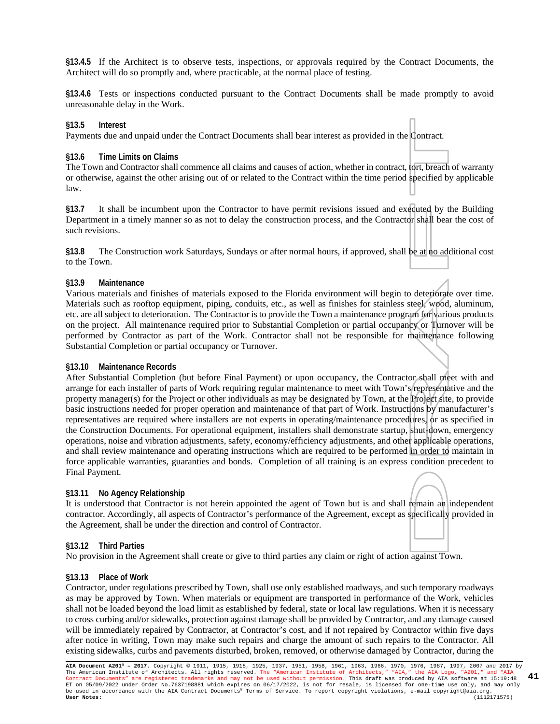**§13.4.5** If the Architect is to observe tests, inspections, or approvals required by the Contract Documents, the Architect will do so promptly and, where practicable, at the normal place of testing.

**§13.4.6** Tests or inspections conducted pursuant to the Contract Documents shall be made promptly to avoid unreasonable delay in the Work.

#### **§13.5 Interest**

Payments due and unpaid under the Contract Documents shall bear interest as provided in the Contract.

#### **§13.6 Time Limits on Claims**

The Town and Contractor shall commence all claims and causes of action, whether in contract, tort, breach of warranty or otherwise, against the other arising out of or related to the Contract within the time period specified by applicable law.

**§13.7** It shall be incumbent upon the Contractor to have permit revisions issued and executed by the Building Department in a timely manner so as not to delay the construction process, and the Contractor shall bear the cost of such revisions.

**§13.8** The Construction work Saturdays, Sundays or after normal hours, if approved, shall be at no additional cost to the Town.

#### **§13.9 Maintenance**

Various materials and finishes of materials exposed to the Florida environment will begin to deteriorate over time. Materials such as rooftop equipment, piping, conduits, etc., as well as finishes for stainless steel, wood, aluminum, etc. are all subject to deterioration. The Contractor is to provide the Town a maintenance program for various products on the project. All maintenance required prior to Substantial Completion or partial occupancy or Turnover will be performed by Contractor as part of the Work. Contractor shall not be responsible for maintenance following Substantial Completion or partial occupancy or Turnover.

#### **§13.10 Maintenance Records**

After Substantial Completion (but before Final Payment) or upon occupancy, the Contractor shall meet with and arrange for each installer of parts of Work requiring regular maintenance to meet with Town's representative and the property manager(s) for the Project or other individuals as may be designated by Town, at the Project site, to provide basic instructions needed for proper operation and maintenance of that part of Work. Instructions by manufacturer's representatives are required where installers are not experts in operating/maintenance procedures, or as specified in the Construction Documents. For operational equipment, installers shall demonstrate startup, shut-down, emergency operations, noise and vibration adjustments, safety, economy/efficiency adjustments, and other applicable operations, and shall review maintenance and operating instructions which are required to be performed in order to maintain in force applicable warranties, guaranties and bonds. Completion of all training is an express condition precedent to Final Payment.

#### **§13.11 No Agency Relationship**

It is understood that Contractor is not herein appointed the agent of Town but is and shall remain an independent contractor. Accordingly, all aspects of Contractor's performance of the Agreement, except as specifically provided in the Agreement, shall be under the direction and control of Contractor.

#### **§13.12 Third Parties**

No provision in the Agreement shall create or give to third parties any claim or right of action against Town.

#### **§13.13 Place of Work**

Contractor, under regulations prescribed by Town, shall use only established roadways, and such temporary roadways as may be approved by Town. When materials or equipment are transported in performance of the Work, vehicles shall not be loaded beyond the load limit as established by federal, state or local law regulations. When it is necessary to cross curbing and/or sidewalks, protection against damage shall be provided by Contractor, and any damage caused will be immediately repaired by Contractor, at Contractor's cost, and if not repaired by Contractor within five days after notice in writing, Town may make such repairs and charge the amount of such repairs to the Contractor. All existing sidewalks, curbs and pavements disturbed, broken, removed, or otherwise damaged by Contractor, during the

**AIA Document A201® – 2017.** Copyright © 1911, 1915, 1918, 1925, 1937, 1951, 1958, 1961, 1963, 1966, 1970, 1976, 1987, 1997, 2007 and 2017 by The American Institute of Architects. All rights reserved. The "American Institute of Architects," "AIA," the AIA Logo, "A201," and "AIA<br>Contract Documents" are registered trademarks and may not be used without permission. ET on 05/09/2022 under Order No.7637198881 which expires on 06/17/2022, is not for resale, is licensed for one-time use only, and may only be used in accordance with the AIA Contract Documents® Terms of Service. To report copyright violations, e-mail copyright@aia.org. **User Notes:** (1112171575) **41**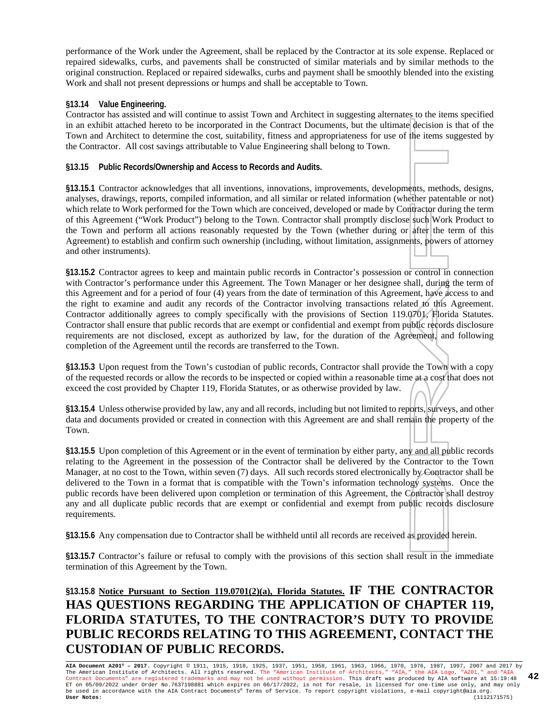performance of the Work under the Agreement, shall be replaced by the Contractor at its sole expense. Replaced or repaired sidewalks, curbs, and pavements shall be constructed of similar materials and by similar methods to the original construction. Replaced or repaired sidewalks, curbs and payment shall be smoothly blended into the existing Work and shall not present depressions or humps and shall be acceptable to Town.

#### **§13.14 Value Engineering.**

Contractor has assisted and will continue to assist Town and Architect in suggesting alternates to the items specified in an exhibit attached hereto to be incorporated in the Contract Documents, but the ultimate decision is that of the Town and Architect to determine the cost, suitability, fitness and appropriateness for use of the items suggested by the Contractor. All cost savings attributable to Value Engineering shall belong to Town.

**§13.15 Public Records/Ownership and Access to Records and Audits.**

**§13.15.1** Contractor acknowledges that all inventions, innovations, improvements, developments, methods, designs, analyses, drawings, reports, compiled information, and all similar or related information (whether patentable or not) which relate to Work performed for the Town which are conceived, developed or made by Contractor during the term of this Agreement ("Work Product") belong to the Town. Contractor shall promptly disclose such Work Product to the Town and perform all actions reasonably requested by the Town (whether during or after the term of this Agreement) to establish and confirm such ownership (including, without limitation, assignments, powers of attorney and other instruments).

**§13.15.2** Contractor agrees to keep and maintain public records in Contractor's possession or control in connection with Contractor's performance under this Agreement. The Town Manager or her designee shall, during the term of this Agreement and for a period of four (4) years from the date of termination of this Agreement, have access to and the right to examine and audit any records of the Contractor involving transactions related to this Agreement. Contractor additionally agrees to comply specifically with the provisions of Section 119.0701, Florida Statutes. Contractor shall ensure that public records that are exempt or confidential and exempt from public records disclosure requirements are not disclosed, except as authorized by law, for the duration of the Agreement, and following completion of the Agreement until the records are transferred to the Town.

**§13.15.3** Upon request from the Town's custodian of public records, Contractor shall provide the Town with a copy of the requested records or allow the records to be inspected or copied within a reasonable time at a cost that does not exceed the cost provided by Chapter 119, Florida Statutes, or as otherwise provided by law.

**§13.15.4** Unless otherwise provided by law, any and all records, including but not limited to reports, surveys, and other data and documents provided or created in connection with this Agreement are and shall remain the property of the Town.

**§13.15.5** Upon completion of this Agreement or in the event of termination by either party, any and all public records relating to the Agreement in the possession of the Contractor shall be delivered by the Contractor to the Town Manager, at no cost to the Town, within seven (7) days. All such records stored electronically by Contractor shall be delivered to the Town in a format that is compatible with the Town's information technology systems. Once the public records have been delivered upon completion or termination of this Agreement, the Contractor shall destroy any and all duplicate public records that are exempt or confidential and exempt from public records disclosure requirements.

**§13.15.6** Any compensation due to Contractor shall be withheld until all records are received as provided herein.

**§13.15.7** Contractor's failure or refusal to comply with the provisions of this section shall result in the immediate termination of this Agreement by the Town.

### **§13.15.8 Notice Pursuant to Section 119.0701(2)(a), Florida Statutes. IF THE CONTRACTOR HAS QUESTIONS REGARDING THE APPLICATION OF CHAPTER 119, FLORIDA STATUTES, TO THE CONTRACTOR'S DUTY TO PROVIDE PUBLIC RECORDS RELATING TO THIS AGREEMENT, CONTACT THE CUSTODIAN OF PUBLIC RECORDS.**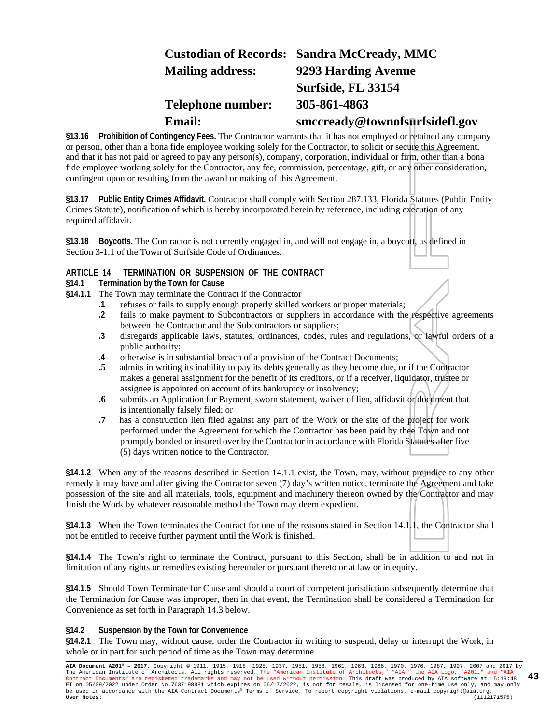### **Custodian of Records: Sandra McCready, MMC Mailing address: 9293 Harding Avenue Surfside, FL 33154 Telephone number: 305-861-4863 Email: smccready@townofsurfsidefl.gov**

**§13.16 Prohibition of Contingency Fees.** The Contractor warrants that it has not employed or retained any company or person, other than a bona fide employee working solely for the Contractor, to solicit or secure this Agreement, and that it has not paid or agreed to pay any person(s), company, corporation, individual or firm, other than a bona fide employee working solely for the Contractor, any fee, commission, percentage, gift, or any other consideration, contingent upon or resulting from the award or making of this Agreement.

**§13.17 Public Entity Crimes Affidavit.** Contractor shall comply with Section 287.133, Florida Statutes (Public Entity Crimes Statute), notification of which is hereby incorporated herein by reference, including execution of any required affidavit.

**§13.18 Boycotts.** The Contractor is not currently engaged in, and will not engage in, a boycott, as defined in Section 3-1.1 of the Town of Surfside Code of Ordinances.

#### **ARTICLE 14 TERMINATION OR SUSPENSION OF THE CONTRACT**

**§14.1 Termination by the Town for Cause**

- **§14.1.1** The Town may terminate the Contract if the Contractor
	- **.1** refuses or fails to supply enough properly skilled workers or proper materials;
	- **.2** fails to make payment to Subcontractors or suppliers in accordance with the respective agreements between the Contractor and the Subcontractors or suppliers;
	- **.3** disregards applicable laws, statutes, ordinances, codes, rules and regulations, or lawful orders of a public authority;
	- **.4** otherwise is in substantial breach of a provision of the Contract Documents;
	- **.5** admits in writing its inability to pay its debts generally as they become due, or if the Contractor makes a general assignment for the benefit of its creditors, or if a receiver, liquidator, trustee or assignee is appointed on account of its bankruptcy or insolvency;
	- **.6** submits an Application for Payment, sworn statement, waiver of lien, affidavit or document that is intentionally falsely filed; or
	- **.7** has a construction lien filed against any part of the Work or the site of the project for work performed under the Agreement for which the Contractor has been paid by thee Town and not promptly bonded or insured over by the Contractor in accordance with Florida Statutes after five (5) days written notice to the Contractor.

**§14.1.2** When any of the reasons described in Section 14.1.1 exist, the Town, may, without prejudice to any other remedy it may have and after giving the Contractor seven (7) day's written notice, terminate the Agreement and take possession of the site and all materials, tools, equipment and machinery thereon owned by the Contractor and may finish the Work by whatever reasonable method the Town may deem expedient.

**§14.1.3** When the Town terminates the Contract for one of the reasons stated in Section 14.1.1, the Contractor shall not be entitled to receive further payment until the Work is finished.

**§14.1.4** The Town's right to terminate the Contract, pursuant to this Section, shall be in addition to and not in limitation of any rights or remedies existing hereunder or pursuant thereto or at law or in equity.

**§14.1.5** Should Town Terminate for Cause and should a court of competent jurisdiction subsequently determine that the Termination for Cause was improper, then in that event, the Termination shall be considered a Termination for Convenience as set forth in Paragraph 14.3 below.

#### **§14.2 Suspension by the Town for Convenience**

**§14.2.1** The Town may, without cause, order the Contractor in writing to suspend, delay or interrupt the Work, in whole or in part for such period of time as the Town may determine.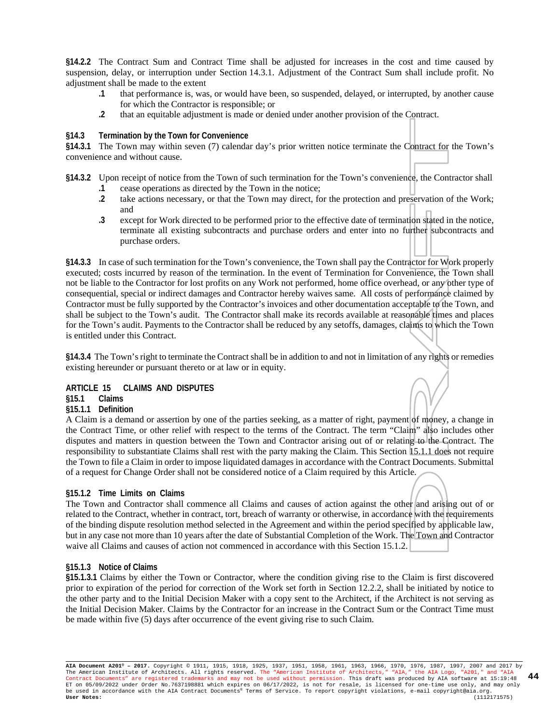**§14.2.2** The Contract Sum and Contract Time shall be adjusted for increases in the cost and time caused by suspension, delay, or interruption under Section 14.3.1. Adjustment of the Contract Sum shall include profit. No adjustment shall be made to the extent

- **.1** that performance is, was, or would have been, so suspended, delayed, or interrupted, by another cause for which the Contractor is responsible; or
- **.2** that an equitable adjustment is made or denied under another provision of the Contract.

#### **§14.3 Termination by the Town for Convenience**

**§14.3.1** The Town may within seven (7) calendar day's prior written notice terminate the Contract for the Town's convenience and without cause.

**§14.3.2** Upon receipt of notice from the Town of such termination for the Town's convenience, the Contractor shall **.1** cease operations as directed by the Town in the notice;

- **.2** take actions necessary, or that the Town may direct, for the protection and preservation of the Work; and
- **.3** except for Work directed to be performed prior to the effective date of termination stated in the notice, terminate all existing subcontracts and purchase orders and enter into no further subcontracts and purchase orders.

**§14.3.3** In case of such termination for the Town's convenience, the Town shall pay the Contractor for Work properly executed; costs incurred by reason of the termination. In the event of Termination for Convenience, the Town shall not be liable to the Contractor for lost profits on any Work not performed, home office overhead, or any other type of consequential, special or indirect damages and Contractor hereby waives same. All costs of performance claimed by Contractor must be fully supported by the Contractor's invoices and other documentation acceptable to the Town, and shall be subject to the Town's audit. The Contractor shall make its records available at reasonable times and places for the Town's audit. Payments to the Contractor shall be reduced by any setoffs, damages, claims to which the Town is entitled under this Contract.

**§14.3.4** The Town's right to terminate the Contract shall be in addition to and not in limitation of any rights or remedies existing hereunder or pursuant thereto or at law or in equity.

#### **ARTICLE 15 CLAIMS AND DISPUTES**

#### **§15.1 Claims**

#### **§15.1.1 Definition**

A Claim is a demand or assertion by one of the parties seeking, as a matter of right, payment of money, a change in the Contract Time, or other relief with respect to the terms of the Contract. The term "Claim" also includes other disputes and matters in question between the Town and Contractor arising out of or relating to the Contract. The responsibility to substantiate Claims shall rest with the party making the Claim. This Section 15.1.1 does not require the Town to file a Claim in order to impose liquidated damages in accordance with the Contract Documents. Submittal of a request for Change Order shall not be considered notice of a Claim required by this Article.

#### **§15.1.2 Time Limits on Claims**

The Town and Contractor shall commence all Claims and causes of action against the other and arising out of or related to the Contract, whether in contract, tort, breach of warranty or otherwise, in accordance with the requirements of the binding dispute resolution method selected in the Agreement and within the period specified by applicable law, but in any case not more than 10 years after the date of Substantial Completion of the Work. The Town and Contractor waive all Claims and causes of action not commenced in accordance with this Section 15.1.2.

#### **§15.1.3 Notice of Claims**

**§15.1.3.1** Claims by either the Town or Contractor, where the condition giving rise to the Claim is first discovered prior to expiration of the period for correction of the Work set forth in Section 12.2.2, shall be initiated by notice to the other party and to the Initial Decision Maker with a copy sent to the Architect, if the Architect is not serving as the Initial Decision Maker. Claims by the Contractor for an increase in the Contract Sum or the Contract Time must be made within five (5) days after occurrence of the event giving rise to such Claim.

**AIA Document A201® – 2017.** Copyright © 1911, 1915, 1918, 1925, 1937, 1951, 1958, 1961, 1963, 1966, 1970, 1976, 1987, 1997, 2007 and 2017 by The American Institute of Architects. All rights reserved. The "American Institute of Architects," "AIA," the AIA Logo, "A201," and "AIA<br>Contract Documents" are registered trademarks and may not be used without permission. ET on 05/09/2022 under Order No.7637198881 which expires on 06/17/2022, is not for resale, is licensed for one-time use only, and may only<br>be used in accordance with the AIA Contract Documents® Terms of Service. To report **44**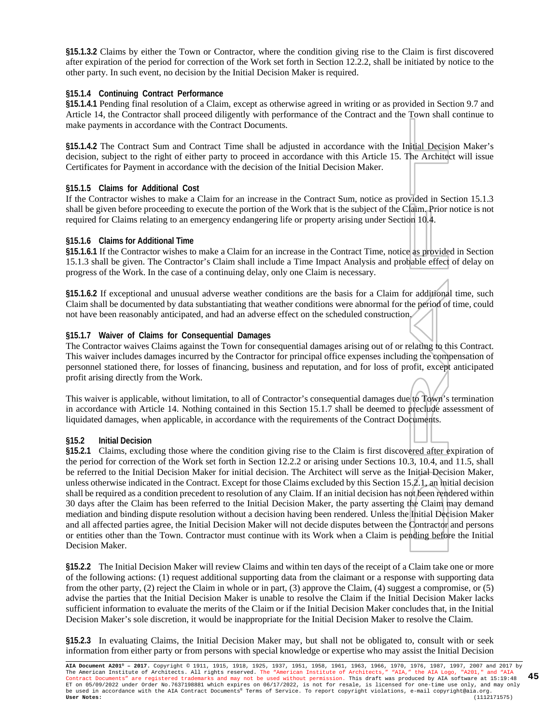**§15.1.3.2** Claims by either the Town or Contractor, where the condition giving rise to the Claim is first discovered after expiration of the period for correction of the Work set forth in Section 12.2.2, shall be initiated by notice to the other party. In such event, no decision by the Initial Decision Maker is required.

#### **§15.1.4 Continuing Contract Performance**

**§15.1.4.1** Pending final resolution of a Claim, except as otherwise agreed in writing or as provided in Section 9.7 and Article 14, the Contractor shall proceed diligently with performance of the Contract and the Town shall continue to make payments in accordance with the Contract Documents.

**§15.1.4.2** The Contract Sum and Contract Time shall be adjusted in accordance with the Initial Decision Maker's decision, subject to the right of either party to proceed in accordance with this Article 15. The Architect will issue Certificates for Payment in accordance with the decision of the Initial Decision Maker.

#### **§15.1.5 Claims for Additional Cost**

If the Contractor wishes to make a Claim for an increase in the Contract Sum, notice as provided in Section 15.1.3 shall be given before proceeding to execute the portion of the Work that is the subject of the Claim. Prior notice is not required for Claims relating to an emergency endangering life or property arising under Section 10.4.

#### **§15.1.6 Claims for Additional Time**

**§15.1.6.1** If the Contractor wishes to make a Claim for an increase in the Contract Time, notice as provided in Section 15.1.3 shall be given. The Contractor's Claim shall include a Time Impact Analysis and probable effect of delay on progress of the Work. In the case of a continuing delay, only one Claim is necessary.

**§15.1.6.2** If exceptional and unusual adverse weather conditions are the basis for a Claim for additional time, such Claim shall be documented by data substantiating that weather conditions were abnormal for the period of time, could not have been reasonably anticipated, and had an adverse effect on the scheduled construction.

#### **§15.1.7 Waiver of Claims for Consequential Damages**

The Contractor waives Claims against the Town for consequential damages arising out of or relating to this Contract. This waiver includes damages incurred by the Contractor for principal office expenses including the compensation of personnel stationed there, for losses of financing, business and reputation, and for loss of profit, except anticipated profit arising directly from the Work.

This waiver is applicable, without limitation, to all of Contractor's consequential damages due to Town's termination in accordance with Article 14. Nothing contained in this Section 15.1.7 shall be deemed to preclude assessment of liquidated damages, when applicable, in accordance with the requirements of the Contract Documents.

#### **§15.2 Initial Decision**

**§15.2.1** Claims, excluding those where the condition giving rise to the Claim is first discovered after expiration of the period for correction of the Work set forth in Section 12.2.2 or arising under Sections 10.3, 10.4, and 11.5, shall be referred to the Initial Decision Maker for initial decision. The Architect will serve as the Initial Decision Maker, unless otherwise indicated in the Contract. Except for those Claims excluded by this Section 15.2.1, an initial decision shall be required as a condition precedent to resolution of any Claim. If an initial decision has not been rendered within 30 days after the Claim has been referred to the Initial Decision Maker, the party asserting the Claim may demand mediation and binding dispute resolution without a decision having been rendered. Unless the Initial Decision Maker and all affected parties agree, the Initial Decision Maker will not decide disputes between the Contractor and persons or entities other than the Town. Contractor must continue with its Work when a Claim is pending before the Initial Decision Maker.

**§15.2.2** The Initial Decision Maker will review Claims and within ten days of the receipt of a Claim take one or more of the following actions: (1) request additional supporting data from the claimant or a response with supporting data from the other party, (2) reject the Claim in whole or in part, (3) approve the Claim, (4) suggest a compromise, or (5) advise the parties that the Initial Decision Maker is unable to resolve the Claim if the Initial Decision Maker lacks sufficient information to evaluate the merits of the Claim or if the Initial Decision Maker concludes that, in the Initial Decision Maker's sole discretion, it would be inappropriate for the Initial Decision Maker to resolve the Claim.

**§15.2.3** In evaluating Claims, the Initial Decision Maker may, but shall not be obligated to, consult with or seek information from either party or from persons with special knowledge or expertise who may assist the Initial Decision

**AIA Document A201® – 2017.** Copyright © 1911, 1915, 1918, 1925, 1937, 1951, 1958, 1961, 1963, 1966, 1970, 1976, 1987, 1997, 2007 and 2017 by The American Institute of Architects. All rights reserved. The "American Institute of Architects," "AIA," the AIA Logo, "A201," and "AIA<br>Contract Documents" are registered trademarks and may not be used without permission. ET on 05/09/2022 under Order No.7637198881 which expires on 06/17/2022, is not for resale, is licensed for one-time use only, and may only<br>be used in accordance with the AIA Contract Documents® Terms of Service. To report **45**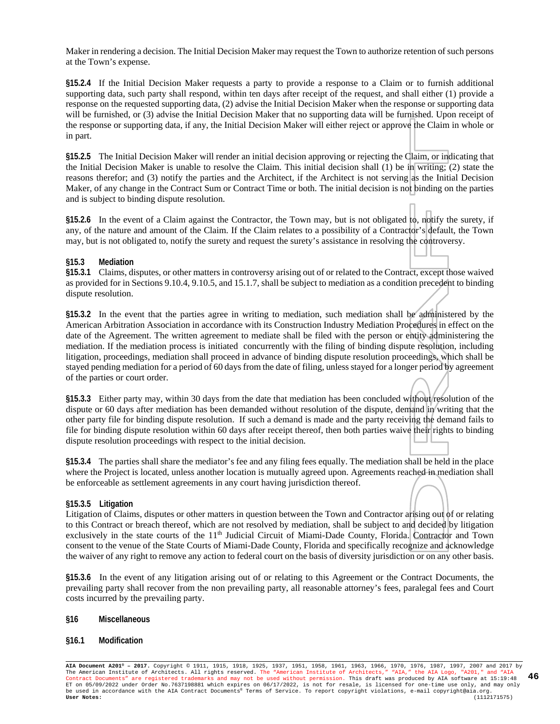Maker in rendering a decision. The Initial Decision Maker may request the Town to authorize retention of such persons at the Town's expense.

**§15.2.4** If the Initial Decision Maker requests a party to provide a response to a Claim or to furnish additional supporting data, such party shall respond, within ten days after receipt of the request, and shall either (1) provide a response on the requested supporting data, (2) advise the Initial Decision Maker when the response or supporting data will be furnished, or (3) advise the Initial Decision Maker that no supporting data will be furnished. Upon receipt of the response or supporting data, if any, the Initial Decision Maker will either reject or approve the Claim in whole or in part.

**§15.2.5** The Initial Decision Maker will render an initial decision approving or rejecting the Claim, or indicating that the Initial Decision Maker is unable to resolve the Claim. This initial decision shall (1) be in writing; (2) state the reasons therefor; and (3) notify the parties and the Architect, if the Architect is not serving as the Initial Decision Maker, of any change in the Contract Sum or Contract Time or both. The initial decision is not binding on the parties and is subject to binding dispute resolution.

**§15.2.6** In the event of a Claim against the Contractor, the Town may, but is not obligated to, notify the surety, if any, of the nature and amount of the Claim. If the Claim relates to a possibility of a Contractor's default, the Town may, but is not obligated to, notify the surety and request the surety's assistance in resolving the controversy.

#### **§15.3 Mediation**

**§15.3.1** Claims, disputes, or other matters in controversy arising out of or related to the Contract, except those waived as provided for in Sections 9.10.4, 9.10.5, and 15.1.7, shall be subject to mediation as a condition precedent to binding dispute resolution.

**§15.3.2** In the event that the parties agree in writing to mediation, such mediation shall be administered by the American Arbitration Association in accordance with its Construction Industry Mediation Procedures in effect on the date of the Agreement. The written agreement to mediate shall be filed with the person or entity administering the mediation. If the mediation process is initiated concurrently with the filing of binding dispute resolution, including litigation, proceedings, mediation shall proceed in advance of binding dispute resolution proceedings, which shall be stayed pending mediation for a period of 60 days from the date of filing, unless stayed for a longer period by agreement of the parties or court order.

**§15.3.3** Either party may, within 30 days from the date that mediation has been concluded without resolution of the dispute or 60 days after mediation has been demanded without resolution of the dispute, demand in writing that the other party file for binding dispute resolution. If such a demand is made and the party receiving the demand fails to file for binding dispute resolution within 60 days after receipt thereof, then both parties waive their rights to binding dispute resolution proceedings with respect to the initial decision.

**§15.3.4** The parties shall share the mediator's fee and any filing fees equally. The mediation shall be held in the place where the Project is located, unless another location is mutually agreed upon. Agreements reached in mediation shall be enforceable as settlement agreements in any court having jurisdiction thereof.

#### **§15.3.5 Litigation**

Litigation of Claims, disputes or other matters in question between the Town and Contractor arising out of or relating to this Contract or breach thereof, which are not resolved by mediation, shall be subject to and decided by litigation exclusively in the state courts of the 11<sup>th</sup> Judicial Circuit of Miami-Dade County, Florida. Contractor and Town consent to the venue of the State Courts of Miami-Dade County, Florida and specifically recognize and acknowledge the waiver of any right to remove any action to federal court on the basis of diversity jurisdiction or on any other basis.

**§15.3.6** In the event of any litigation arising out of or relating to this Agreement or the Contract Documents, the prevailing party shall recover from the non prevailing party, all reasonable attorney's fees, paralegal fees and Court costs incurred by the prevailing party.

#### **§16 Miscellaneous**

#### **§16.1 Modification**

**AIA Document A201® – 2017.** Copyright © 1911, 1915, 1918, 1925, 1937, 1951, 1958, 1961, 1963, 1966, 1970, 1976, 1987, 1997, 2007 and 2017 by The American Institute of Architects. All rights reserved. The "American Institute of Architects," "AIA," the AIA Logo, "A201," and "AIA<br>Contract Documents" are registered trademarks and may not be used without permission. ET on 05/09/2022 under Order No.7637198881 which expires on 06/17/2022, is not for resale, is licensed for one-time use only, and may only<br>be used in accordance with the AIA Contract Documents® Terms of Service. To report **46**